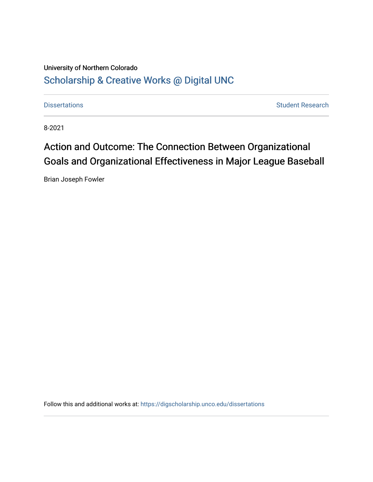# University of Northern Colorado [Scholarship & Creative Works @ Digital UNC](https://digscholarship.unco.edu/)

[Dissertations](https://digscholarship.unco.edu/dissertations) **Student Research** 

8-2021

# Action and Outcome: The Connection Between Organizational Goals and Organizational Effectiveness in Major League Baseball

Brian Joseph Fowler

Follow this and additional works at: [https://digscholarship.unco.edu/dissertations](https://digscholarship.unco.edu/dissertations?utm_source=digscholarship.unco.edu%2Fdissertations%2F814&utm_medium=PDF&utm_campaign=PDFCoverPages)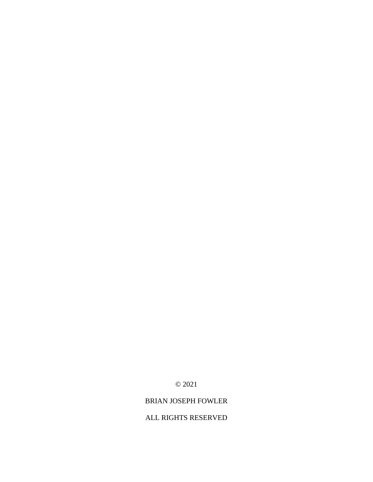BRIAN JOSEPH FOWLER

ALL RIGHTS RESERVED

© 2021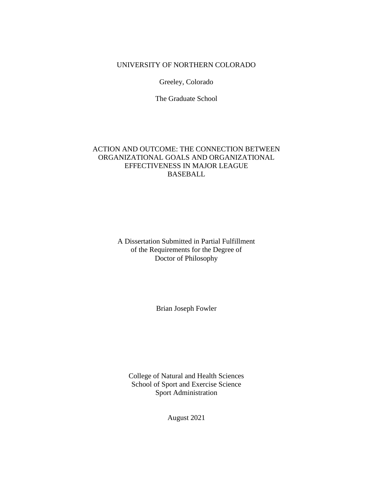# UNIVERSITY OF NORTHERN COLORADO

Greeley, Colorado

The Graduate School

# ACTION AND OUTCOME: THE CONNECTION BETWEEN ORGANIZATIONAL GOALS AND ORGANIZATIONAL EFFECTIVENESS IN MAJOR LEAGUE BASEBALL

A Dissertation Submitted in Partial Fulfillment of the Requirements for the Degree of Doctor of Philosophy

Brian Joseph Fowler

College of Natural and Health Sciences School of Sport and Exercise Science Sport Administration

August 2021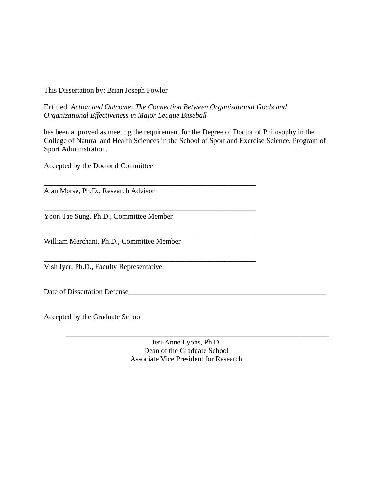This Dissertation by: Brian Joseph Fowler

Entitled: *Action and Outcome: The Connection Between Organizational Goals and Organizational Effectiveness in Major League Baseball*

\_\_\_\_\_\_\_\_\_\_\_\_\_\_\_\_\_\_\_\_\_\_\_\_\_\_\_\_\_\_\_\_\_\_\_\_\_\_\_\_\_\_\_\_\_\_\_\_\_\_\_\_\_\_\_\_\_\_

\_\_\_\_\_\_\_\_\_\_\_\_\_\_\_\_\_\_\_\_\_\_\_\_\_\_\_\_\_\_\_\_\_\_\_\_\_\_\_\_\_\_\_\_\_\_\_\_\_\_\_\_\_\_\_\_\_\_

\_\_\_\_\_\_\_\_\_\_\_\_\_\_\_\_\_\_\_\_\_\_\_\_\_\_\_\_\_\_\_\_\_\_\_\_\_\_\_\_\_\_\_\_\_\_\_\_\_\_\_\_\_\_\_\_\_\_

\_\_\_\_\_\_\_\_\_\_\_\_\_\_\_\_\_\_\_\_\_\_\_\_\_\_\_\_\_\_\_\_\_\_\_\_\_\_\_\_\_\_\_\_\_\_\_\_\_\_\_\_\_\_\_\_\_\_

has been approved as meeting the requirement for the Degree of Doctor of Philosophy in the College of Natural and Health Sciences in the School of Sport and Exercise Science, Program of Sport Administration.

Accepted by the Doctoral Committee

Alan Morse, Ph.D., Research Advisor

Yoon Tae Sung, Ph.D., Committee Member

William Merchant, Ph.D., Committee Member

Vish Iyer, Ph.D., Faculty Representative

Date of Dissertation Defense\_\_\_\_\_\_\_\_\_\_\_\_\_\_\_\_\_\_\_\_\_\_\_\_\_\_\_\_\_\_\_\_\_\_\_\_\_\_\_\_\_\_\_\_\_\_\_\_\_\_\_\_\_\_

Accepted by the Graduate School

Jeri-Anne Lyons, Ph.D. Dean of the Graduate School Associate Vice President for Research

\_\_\_\_\_\_\_\_\_\_\_\_\_\_\_\_\_\_\_\_\_\_\_\_\_\_\_\_\_\_\_\_\_\_\_\_\_\_\_\_\_\_\_\_\_\_\_\_\_\_\_\_\_\_\_\_\_\_\_\_\_\_\_\_\_\_\_\_\_\_\_\_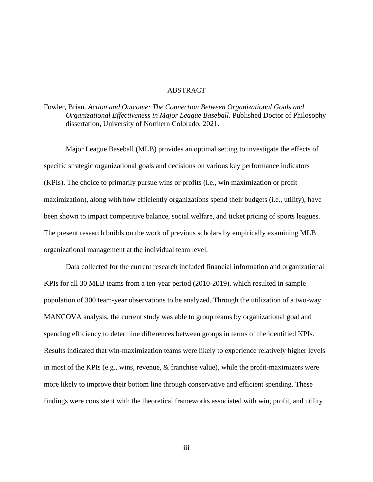# ABSTRACT

Fowler, Brian. *Action and Outcome: The Connection Between Organizational Goals and Organizational Effectiveness in Major League Baseball*. Published Doctor of Philosophy dissertation, University of Northern Colorado, 2021.

Major League Baseball (MLB) provides an optimal setting to investigate the effects of specific strategic organizational goals and decisions on various key performance indicators (KPIs). The choice to primarily pursue wins or profits (i.e., win maximization or profit maximization), along with how efficiently organizations spend their budgets (i.e., utility), have been shown to impact competitive balance, social welfare, and ticket pricing of sports leagues. The present research builds on the work of previous scholars by empirically examining MLB organizational management at the individual team level.

Data collected for the current research included financial information and organizational KPIs for all 30 MLB teams from a ten-year period (2010-2019), which resulted in sample population of 300 team-year observations to be analyzed. Through the utilization of a two-way MANCOVA analysis, the current study was able to group teams by organizational goal and spending efficiency to determine differences between groups in terms of the identified KPIs. Results indicated that win-maximization teams were likely to experience relatively higher levels in most of the KPIs (e.g., wins, revenue,  $\&$  franchise value), while the profit-maximizers were more likely to improve their bottom line through conservative and efficient spending. These findings were consistent with the theoretical frameworks associated with win, profit, and utility

iii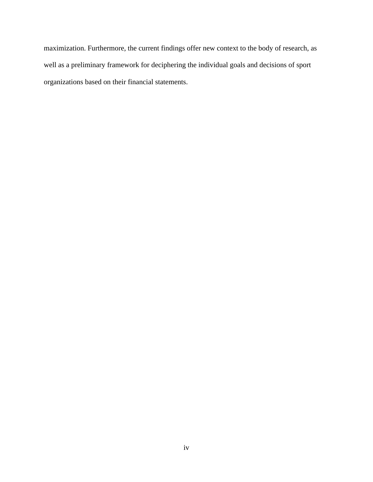maximization. Furthermore, the current findings offer new context to the body of research, as well as a preliminary framework for deciphering the individual goals and decisions of sport organizations based on their financial statements.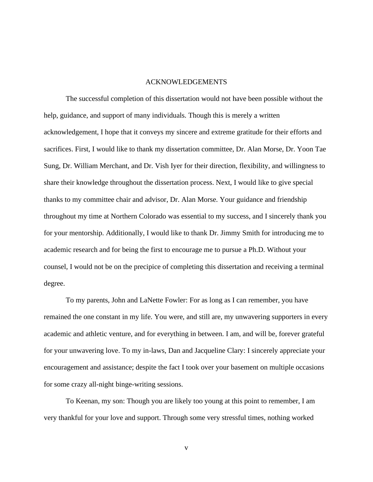# ACKNOWLEDGEMENTS

The successful completion of this dissertation would not have been possible without the help, guidance, and support of many individuals. Though this is merely a written acknowledgement, I hope that it conveys my sincere and extreme gratitude for their efforts and sacrifices. First, I would like to thank my dissertation committee, Dr. Alan Morse, Dr. Yoon Tae Sung, Dr. William Merchant, and Dr. Vish Iyer for their direction, flexibility, and willingness to share their knowledge throughout the dissertation process. Next, I would like to give special thanks to my committee chair and advisor, Dr. Alan Morse. Your guidance and friendship throughout my time at Northern Colorado was essential to my success, and I sincerely thank you for your mentorship. Additionally, I would like to thank Dr. Jimmy Smith for introducing me to academic research and for being the first to encourage me to pursue a Ph.D. Without your counsel, I would not be on the precipice of completing this dissertation and receiving a terminal degree.

To my parents, John and LaNette Fowler: For as long as I can remember, you have remained the one constant in my life. You were, and still are, my unwavering supporters in every academic and athletic venture, and for everything in between. I am, and will be, forever grateful for your unwavering love. To my in-laws, Dan and Jacqueline Clary: I sincerely appreciate your encouragement and assistance; despite the fact I took over your basement on multiple occasions for some crazy all-night binge-writing sessions.

To Keenan, my son: Though you are likely too young at this point to remember, I am very thankful for your love and support. Through some very stressful times, nothing worked

v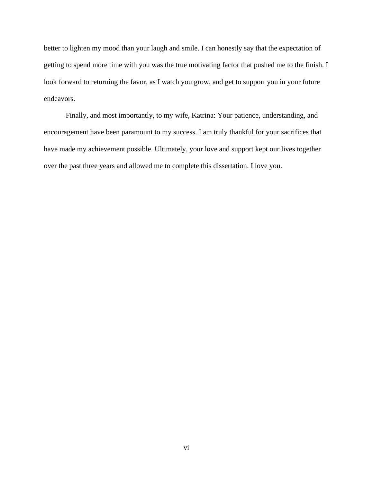better to lighten my mood than your laugh and smile. I can honestly say that the expectation of getting to spend more time with you was the true motivating factor that pushed me to the finish. I look forward to returning the favor, as I watch you grow, and get to support you in your future endeavors.

Finally, and most importantly, to my wife, Katrina: Your patience, understanding, and encouragement have been paramount to my success. I am truly thankful for your sacrifices that have made my achievement possible. Ultimately, your love and support kept our lives together over the past three years and allowed me to complete this dissertation. I love you.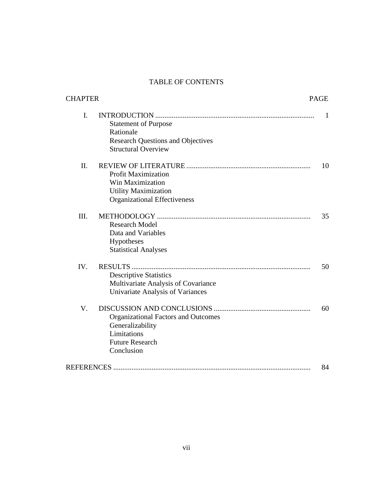# TABLE OF CONTENTS

| <b>CHAPTER</b> |                                                                                                                       | <b>PAGE</b> |
|----------------|-----------------------------------------------------------------------------------------------------------------------|-------------|
| $\mathbf{I}$ . | <b>Statement of Purpose</b><br>Rationale<br><b>Research Questions and Objectives</b><br><b>Structural Overview</b>    | 1           |
| II.            | <b>Profit Maximization</b><br>Win Maximization<br><b>Utility Maximization</b><br><b>Organizational Effectiveness</b>  | 10          |
| III.           | <b>Research Model</b><br>Data and Variables<br>Hypotheses<br><b>Statistical Analyses</b>                              | 35          |
| IV.            | <b>Descriptive Statistics</b><br>Multivariate Analysis of Covariance<br>Univariate Analysis of Variances              | 50          |
| V.             | <b>Organizational Factors and Outcomes</b><br>Generalizability<br>Limitations<br><b>Future Research</b><br>Conclusion | 60          |
|                |                                                                                                                       | 84          |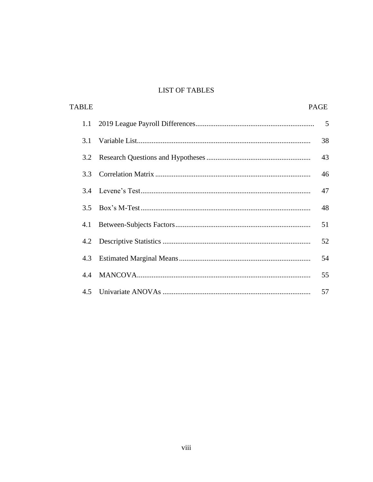# **LIST OF TABLES**

| <b>TABLE</b> | <b>PAGE</b>    |
|--------------|----------------|
| 1.1          | $5\phantom{0}$ |
| 3.1          | 38             |
| 3.2          | 43             |
| 3.3          | 46             |
|              | 47             |
| 3.5          | 48             |
| 4.1          | 51             |
| 4.2          | 52             |
| 4.3          | 54             |
| 4.4          | 55             |
|              | 57             |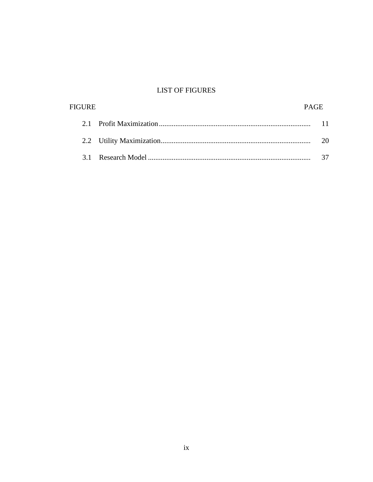# **LIST OF FIGURES**

| <b>FIGURE</b> | <b>PAGE</b> |  |
|---------------|-------------|--|
|               |             |  |
|               |             |  |
|               |             |  |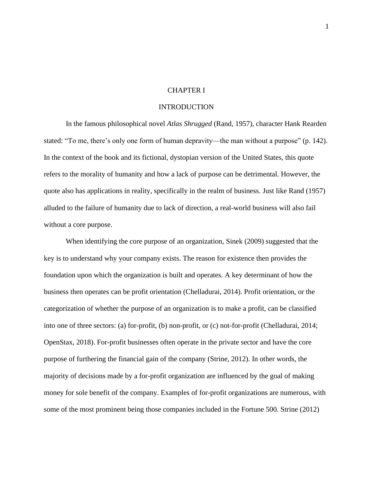# CHAPTER I

# **INTRODUCTION**

In the famous philosophical novel *Atlas Shrugged* (Rand, 1957), character Hank Rearden stated: "To me, there's only one form of human depravity—the man without a purpose" (p. 142). In the context of the book and its fictional, dystopian version of the United States, this quote refers to the morality of humanity and how a lack of purpose can be detrimental. However, the quote also has applications in reality, specifically in the realm of business. Just like Rand (1957) alluded to the failure of humanity due to lack of direction, a real-world business will also fail without a core purpose.

When identifying the core purpose of an organization, Sinek (2009) suggested that the key is to understand why your company exists. The reason for existence then provides the foundation upon which the organization is built and operates. A key determinant of how the business then operates can be profit orientation (Chelladurai, 2014). Profit orientation, or the categorization of whether the purpose of an organization is to make a profit, can be classified into one of three sectors: (a) for-profit, (b) non-profit, or (c) not-for-profit (Chelladurai, 2014; OpenStax, 2018). For-profit businesses often operate in the private sector and have the core purpose of furthering the financial gain of the company (Strine, 2012). In other words, the majority of decisions made by a for-profit organization are influenced by the goal of making money for sole benefit of the company. Examples of for-profit organizations are numerous, with some of the most prominent being those companies included in the Fortune 500. Strine (2012)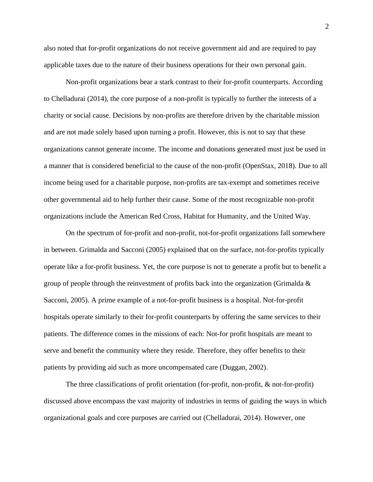also noted that for-profit organizations do not receive government aid and are required to pay applicable taxes due to the nature of their business operations for their own personal gain.

Non-profit organizations bear a stark contrast to their for-profit counterparts. According to Chelladurai (2014), the core purpose of a non-profit is typically to further the interests of a charity or social cause. Decisions by non-profits are therefore driven by the charitable mission and are not made solely based upon turning a profit. However, this is not to say that these organizations cannot generate income. The income and donations generated must just be used in a manner that is considered beneficial to the cause of the non-profit (OpenStax, 2018). Due to all income being used for a charitable purpose, non-profits are tax-exempt and sometimes receive other governmental aid to help further their cause. Some of the most recognizable non-profit organizations include the American Red Cross, Habitat for Humanity, and the United Way.

On the spectrum of for-profit and non-profit, not-for-profit organizations fall somewhere in between. Grimalda and Sacconi (2005) explained that on the surface, not-for-profits typically operate like a for-profit business. Yet, the core purpose is not to generate a profit but to benefit a group of people through the reinvestment of profits back into the organization (Grimalda  $\&$ Sacconi, 2005). A prime example of a not-for-profit business is a hospital. Not-for-profit hospitals operate similarly to their for-profit counterparts by offering the same services to their patients. The difference comes in the missions of each: Not-for profit hospitals are meant to serve and benefit the community where they reside. Therefore, they offer benefits to their patients by providing aid such as more uncompensated care (Duggan, 2002).

The three classifications of profit orientation (for-profit, non-profit, & not-for-profit) discussed above encompass the vast majority of industries in terms of guiding the ways in which organizational goals and core purposes are carried out (Chelladurai, 2014). However, one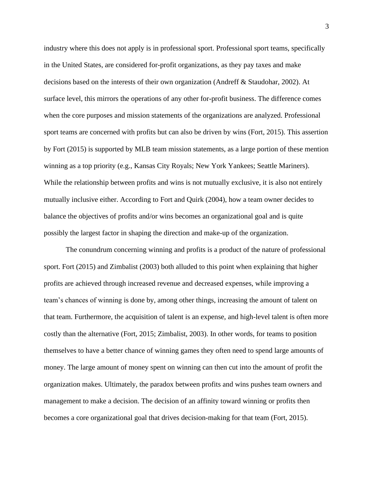industry where this does not apply is in professional sport. Professional sport teams, specifically in the United States, are considered for-profit organizations, as they pay taxes and make decisions based on the interests of their own organization (Andreff & Staudohar, 2002). At surface level, this mirrors the operations of any other for-profit business. The difference comes when the core purposes and mission statements of the organizations are analyzed. Professional sport teams are concerned with profits but can also be driven by wins (Fort, 2015). This assertion by Fort (2015) is supported by MLB team mission statements, as a large portion of these mention winning as a top priority (e.g., Kansas City Royals; New York Yankees; Seattle Mariners). While the relationship between profits and wins is not mutually exclusive, it is also not entirely mutually inclusive either. According to Fort and Quirk (2004), how a team owner decides to balance the objectives of profits and/or wins becomes an organizational goal and is quite possibly the largest factor in shaping the direction and make-up of the organization.

The conundrum concerning winning and profits is a product of the nature of professional sport. Fort (2015) and Zimbalist (2003) both alluded to this point when explaining that higher profits are achieved through increased revenue and decreased expenses, while improving a team's chances of winning is done by, among other things, increasing the amount of talent on that team. Furthermore, the acquisition of talent is an expense, and high-level talent is often more costly than the alternative (Fort, 2015; Zimbalist, 2003). In other words, for teams to position themselves to have a better chance of winning games they often need to spend large amounts of money. The large amount of money spent on winning can then cut into the amount of profit the organization makes. Ultimately, the paradox between profits and wins pushes team owners and management to make a decision. The decision of an affinity toward winning or profits then becomes a core organizational goal that drives decision-making for that team (Fort, 2015).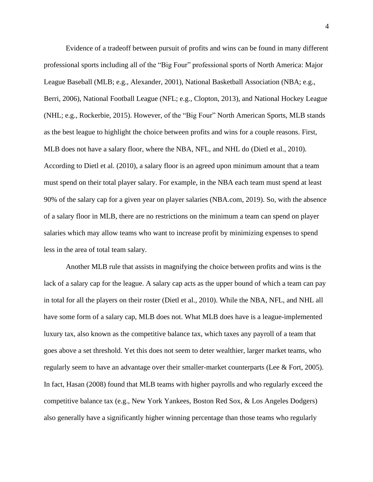Evidence of a tradeoff between pursuit of profits and wins can be found in many different professional sports including all of the "Big Four" professional sports of North America: Major League Baseball (MLB; e.g., Alexander, 2001), National Basketball Association (NBA; e.g., Berri, 2006), National Football League (NFL; e.g., Clopton, 2013), and National Hockey League (NHL; e.g., Rockerbie, 2015). However, of the "Big Four" North American Sports, MLB stands as the best league to highlight the choice between profits and wins for a couple reasons. First, MLB does not have a salary floor, where the NBA, NFL, and NHL do (Dietl et al., 2010). According to Dietl et al. (2010), a salary floor is an agreed upon minimum amount that a team must spend on their total player salary. For example, in the NBA each team must spend at least 90% of the salary cap for a given year on player salaries (NBA.com, 2019). So, with the absence of a salary floor in MLB, there are no restrictions on the minimum a team can spend on player salaries which may allow teams who want to increase profit by minimizing expenses to spend less in the area of total team salary.

Another MLB rule that assists in magnifying the choice between profits and wins is the lack of a salary cap for the league. A salary cap acts as the upper bound of which a team can pay in total for all the players on their roster (Dietl et al., 2010). While the NBA, NFL, and NHL all have some form of a salary cap, MLB does not. What MLB does have is a league-implemented luxury tax, also known as the competitive balance tax, which taxes any payroll of a team that goes above a set threshold. Yet this does not seem to deter wealthier, larger market teams, who regularly seem to have an advantage over their smaller-market counterparts (Lee & Fort, 2005). In fact, Hasan (2008) found that MLB teams with higher payrolls and who regularly exceed the competitive balance tax (e.g., New York Yankees, Boston Red Sox, & Los Angeles Dodgers) also generally have a significantly higher winning percentage than those teams who regularly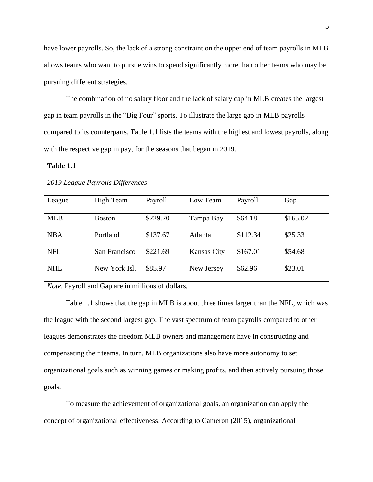have lower payrolls. So, the lack of a strong constraint on the upper end of team payrolls in MLB allows teams who want to pursue wins to spend significantly more than other teams who may be pursuing different strategies.

The combination of no salary floor and the lack of salary cap in MLB creates the largest gap in team payrolls in the "Big Four" sports. To illustrate the large gap in MLB payrolls compared to its counterparts, Table 1.1 lists the teams with the highest and lowest payrolls, along with the respective gap in pay, for the seasons that began in 2019.

# **Table 1.1**

| League     | <b>High Team</b> | Payroll  | Low Team           | Payroll  | Gap      |
|------------|------------------|----------|--------------------|----------|----------|
| <b>MLB</b> | <b>Boston</b>    | \$229.20 | Tampa Bay          | \$64.18  | \$165.02 |
| <b>NBA</b> | Portland         | \$137.67 | Atlanta            | \$112.34 | \$25.33  |
| <b>NFL</b> | San Francisco    | \$221.69 | <b>Kansas City</b> | \$167.01 | \$54.68  |
| <b>NHL</b> | New York Isl.    | \$85.97  | New Jersey         | \$62.96  | \$23.01  |

# *2019 League Payrolls Differences*

*Note*. Payroll and Gap are in millions of dollars.

Table 1.1 shows that the gap in MLB is about three times larger than the NFL, which was the league with the second largest gap. The vast spectrum of team payrolls compared to other leagues demonstrates the freedom MLB owners and management have in constructing and compensating their teams. In turn, MLB organizations also have more autonomy to set organizational goals such as winning games or making profits, and then actively pursuing those goals.

To measure the achievement of organizational goals, an organization can apply the concept of organizational effectiveness. According to Cameron (2015), organizational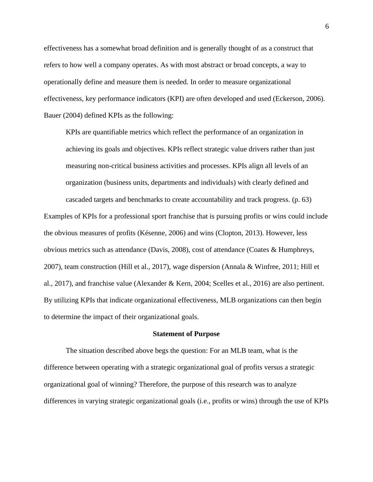effectiveness has a somewhat broad definition and is generally thought of as a construct that refers to how well a company operates. As with most abstract or broad concepts, a way to operationally define and measure them is needed. In order to measure organizational effectiveness, key performance indicators (KPI) are often developed and used (Eckerson, 2006). Bauer (2004) defined KPIs as the following:

KPIs are quantifiable metrics which reflect the performance of an organization in achieving its goals and objectives. KPIs reflect strategic value drivers rather than just measuring non-critical business activities and processes. KPIs align all levels of an organization (business units, departments and individuals) with clearly defined and cascaded targets and benchmarks to create accountability and track progress. (p. 63)

Examples of KPIs for a professional sport franchise that is pursuing profits or wins could include the obvious measures of profits (Késenne, 2006) and wins (Clopton, 2013). However, less obvious metrics such as attendance (Davis, 2008), cost of attendance (Coates & Humphreys, 2007), team construction (Hill et al., 2017), wage dispersion (Annala & Winfree, 2011; Hill et al., 2017), and franchise value (Alexander & Kern, 2004; Scelles et al., 2016) are also pertinent. By utilizing KPIs that indicate organizational effectiveness, MLB organizations can then begin to determine the impact of their organizational goals.

#### **Statement of Purpose**

The situation described above begs the question: For an MLB team, what is the difference between operating with a strategic organizational goal of profits versus a strategic organizational goal of winning? Therefore, the purpose of this research was to analyze differences in varying strategic organizational goals (i.e., profits or wins) through the use of KPIs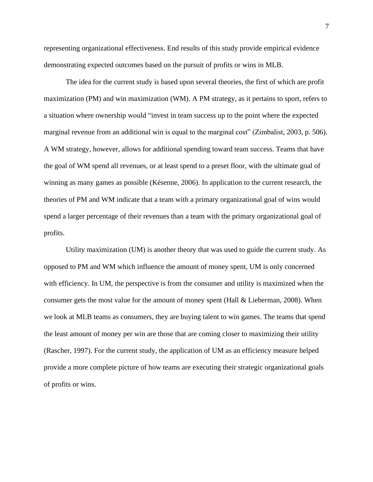representing organizational effectiveness. End results of this study provide empirical evidence demonstrating expected outcomes based on the pursuit of profits or wins in MLB.

The idea for the current study is based upon several theories, the first of which are profit maximization (PM) and win maximization (WM). A PM strategy, as it pertains to sport, refers to a situation where ownership would "invest in team success up to the point where the expected marginal revenue from an additional win is equal to the marginal cost" (Zimbalist, 2003, p. 506). A WM strategy, however, allows for additional spending toward team success. Teams that have the goal of WM spend all revenues, or at least spend to a preset floor, with the ultimate goal of winning as many games as possible (Késenne, 2006). In application to the current research, the theories of PM and WM indicate that a team with a primary organizational goal of wins would spend a larger percentage of their revenues than a team with the primary organizational goal of profits.

Utility maximization (UM) is another theory that was used to guide the current study. As opposed to PM and WM which influence the amount of money spent, UM is only concerned with efficiency. In UM, the perspective is from the consumer and utility is maximized when the consumer gets the most value for the amount of money spent (Hall & Lieberman, 2008). When we look at MLB teams as consumers, they are buying talent to win games. The teams that spend the least amount of money per win are those that are coming closer to maximizing their utility (Rascher, 1997). For the current study, the application of UM as an efficiency measure helped provide a more complete picture of how teams are executing their strategic organizational goals of profits or wins.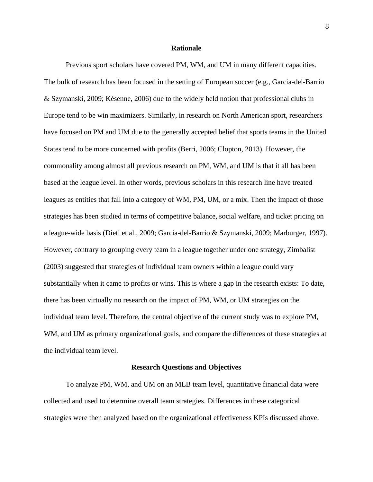## **Rationale**

Previous sport scholars have covered PM, WM, and UM in many different capacities. The bulk of research has been focused in the setting of European soccer (e.g., Garcia-del-Barrio & Szymanski, 2009; Késenne, 2006) due to the widely held notion that professional clubs in Europe tend to be win maximizers. Similarly, in research on North American sport, researchers have focused on PM and UM due to the generally accepted belief that sports teams in the United States tend to be more concerned with profits (Berri, 2006; Clopton, 2013). However, the commonality among almost all previous research on PM, WM, and UM is that it all has been based at the league level. In other words, previous scholars in this research line have treated leagues as entities that fall into a category of WM, PM, UM, or a mix. Then the impact of those strategies has been studied in terms of competitive balance, social welfare, and ticket pricing on a league-wide basis (Dietl et al., 2009; Garcia-del-Barrio & Szymanski, 2009; Marburger, 1997). However, contrary to grouping every team in a league together under one strategy, Zimbalist (2003) suggested that strategies of individual team owners within a league could vary substantially when it came to profits or wins. This is where a gap in the research exists: To date, there has been virtually no research on the impact of PM, WM, or UM strategies on the individual team level. Therefore, the central objective of the current study was to explore PM, WM, and UM as primary organizational goals, and compare the differences of these strategies at the individual team level.

#### **Research Questions and Objectives**

To analyze PM, WM, and UM on an MLB team level, quantitative financial data were collected and used to determine overall team strategies. Differences in these categorical strategies were then analyzed based on the organizational effectiveness KPIs discussed above.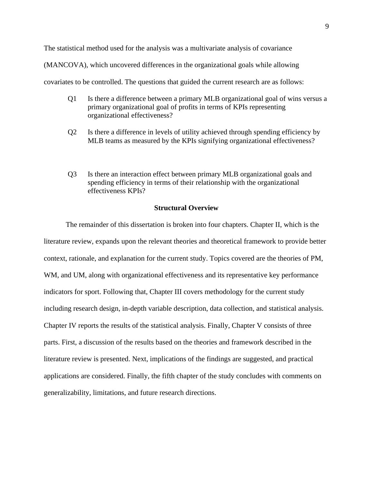The statistical method used for the analysis was a multivariate analysis of covariance

(MANCOVA), which uncovered differences in the organizational goals while allowing

covariates to be controlled. The questions that guided the current research are as follows:

- Q1 Is there a difference between a primary MLB organizational goal of wins versus a primary organizational goal of profits in terms of KPIs representing organizational effectiveness?
- Q2 Is there a difference in levels of utility achieved through spending efficiency by MLB teams as measured by the KPIs signifying organizational effectiveness?
- Q3 Is there an interaction effect between primary MLB organizational goals and spending efficiency in terms of their relationship with the organizational effectiveness KPIs?

# **Structural Overview**

The remainder of this dissertation is broken into four chapters. Chapter II, which is the literature review, expands upon the relevant theories and theoretical framework to provide better context, rationale, and explanation for the current study. Topics covered are the theories of PM, WM, and UM, along with organizational effectiveness and its representative key performance indicators for sport. Following that, Chapter III covers methodology for the current study including research design, in-depth variable description, data collection, and statistical analysis. Chapter IV reports the results of the statistical analysis. Finally, Chapter V consists of three parts. First, a discussion of the results based on the theories and framework described in the literature review is presented. Next, implications of the findings are suggested, and practical applications are considered. Finally, the fifth chapter of the study concludes with comments on generalizability, limitations, and future research directions.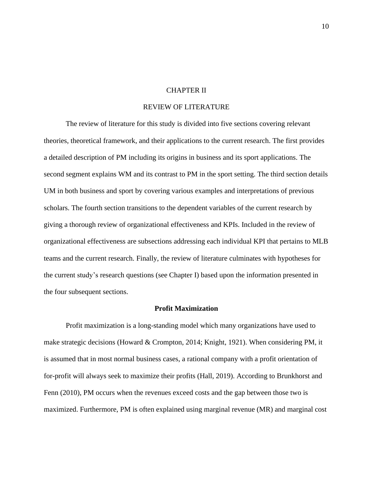# CHAPTER II

# REVIEW OF LITERATURE

The review of literature for this study is divided into five sections covering relevant theories, theoretical framework, and their applications to the current research. The first provides a detailed description of PM including its origins in business and its sport applications. The second segment explains WM and its contrast to PM in the sport setting. The third section details UM in both business and sport by covering various examples and interpretations of previous scholars. The fourth section transitions to the dependent variables of the current research by giving a thorough review of organizational effectiveness and KPIs. Included in the review of organizational effectiveness are subsections addressing each individual KPI that pertains to MLB teams and the current research. Finally, the review of literature culminates with hypotheses for the current study's research questions (see Chapter I) based upon the information presented in the four subsequent sections.

#### **Profit Maximization**

Profit maximization is a long-standing model which many organizations have used to make strategic decisions (Howard & Crompton, 2014; Knight, 1921). When considering PM, it is assumed that in most normal business cases, a rational company with a profit orientation of for-profit will always seek to maximize their profits (Hall, 2019). According to Brunkhorst and Fenn (2010), PM occurs when the revenues exceed costs and the gap between those two is maximized. Furthermore, PM is often explained using marginal revenue (MR) and marginal cost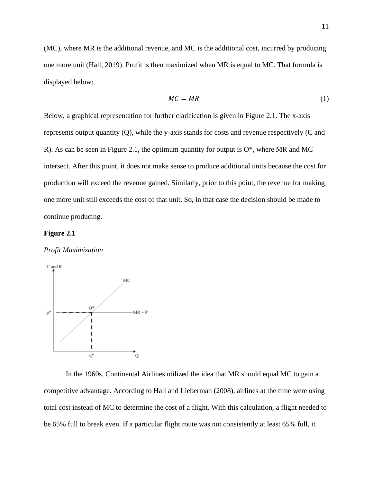(MC), where MR is the additional revenue, and MC is the additional cost, incurred by producing one more unit (Hall, 2019). Profit is then maximized when MR is equal to MC. That formula is displayed below:

$$
MC = MR \tag{1}
$$

Below, a graphical representation for further clarification is given in Figure 2.1. The x-axis represents output quantity (Q), while the y-axis stands for costs and revenue respectively (C and R). As can be seen in Figure 2.1, the optimum quantity for output is  $O^*$ , where MR and MC intersect. After this point, it does not make sense to produce additional units because the cost for production will exceed the revenue gained. Similarly, prior to this point, the revenue for making one more unit still exceeds the cost of that unit. So, in that case the decision should be made to continue producing.

#### **Figure 2.1**

# *Profit Maximization*



In the 1960s, Continental Airlines utilized the idea that MR should equal MC to gain a competitive advantage. According to Hall and Lieberman (2008), airlines at the time were using total cost instead of MC to determine the cost of a flight. With this calculation, a flight needed to be 65% full to break even. If a particular flight route was not consistently at least 65% full, it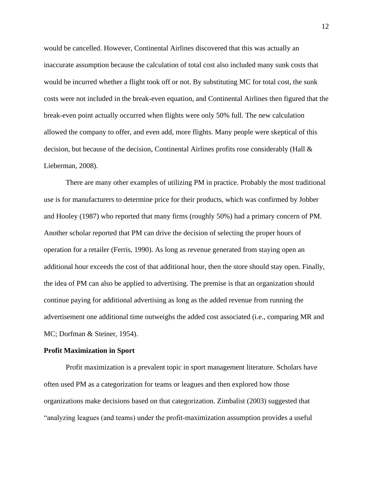would be cancelled. However, Continental Airlines discovered that this was actually an inaccurate assumption because the calculation of total cost also included many sunk costs that would be incurred whether a flight took off or not. By substituting MC for total cost, the sunk costs were not included in the break-even equation, and Continental Airlines then figured that the break-even point actually occurred when flights were only 50% full. The new calculation allowed the company to offer, and even add, more flights. Many people were skeptical of this decision, but because of the decision, Continental Airlines profits rose considerably (Hall & Lieberman, 2008).

There are many other examples of utilizing PM in practice. Probably the most traditional use is for manufacturers to determine price for their products, which was confirmed by Jobber and Hooley (1987) who reported that many firms (roughly 50%) had a primary concern of PM. Another scholar reported that PM can drive the decision of selecting the proper hours of operation for a retailer (Ferris, 1990). As long as revenue generated from staying open an additional hour exceeds the cost of that additional hour, then the store should stay open. Finally, the idea of PM can also be applied to advertising. The premise is that an organization should continue paying for additional advertising as long as the added revenue from running the advertisement one additional time outweighs the added cost associated (i.e., comparing MR and MC; Dorfman & Steiner, 1954).

#### **Profit Maximization in Sport**

Profit maximization is a prevalent topic in sport management literature. Scholars have often used PM as a categorization for teams or leagues and then explored how those organizations make decisions based on that categorization. Zimbalist (2003) suggested that "analyzing leagues (and teams) under the profit-maximization assumption provides a useful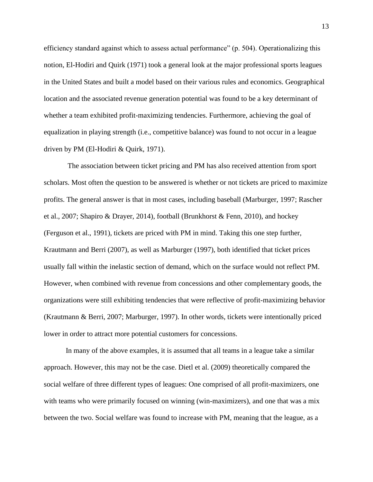efficiency standard against which to assess actual performance" (p. 504). Operationalizing this notion, El-Hodiri and Quirk (1971) took a general look at the major professional sports leagues in the United States and built a model based on their various rules and economics. Geographical location and the associated revenue generation potential was found to be a key determinant of whether a team exhibited profit-maximizing tendencies. Furthermore, achieving the goal of equalization in playing strength (i.e., competitive balance) was found to not occur in a league driven by PM (El-Hodiri & Quirk, 1971).

The association between ticket pricing and PM has also received attention from sport scholars. Most often the question to be answered is whether or not tickets are priced to maximize profits. The general answer is that in most cases, including baseball (Marburger, 1997; Rascher et al., 2007; Shapiro & Drayer, 2014), football (Brunkhorst & Fenn, 2010), and hockey (Ferguson et al., 1991), tickets are priced with PM in mind. Taking this one step further, Krautmann and Berri (2007), as well as Marburger (1997), both identified that ticket prices usually fall within the inelastic section of demand, which on the surface would not reflect PM. However, when combined with revenue from concessions and other complementary goods, the organizations were still exhibiting tendencies that were reflective of profit-maximizing behavior (Krautmann & Berri, 2007; Marburger, 1997). In other words, tickets were intentionally priced lower in order to attract more potential customers for concessions.

In many of the above examples, it is assumed that all teams in a league take a similar approach. However, this may not be the case. Dietl et al. (2009) theoretically compared the social welfare of three different types of leagues: One comprised of all profit-maximizers, one with teams who were primarily focused on winning (win-maximizers), and one that was a mix between the two. Social welfare was found to increase with PM, meaning that the league, as a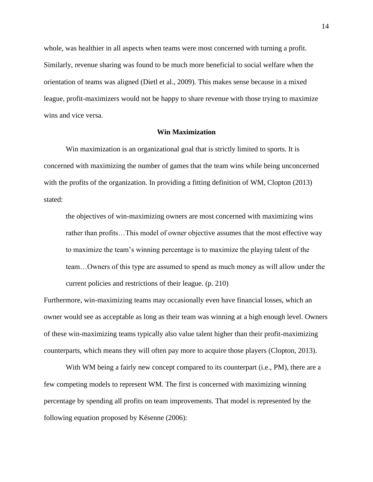whole, was healthier in all aspects when teams were most concerned with turning a profit. Similarly, revenue sharing was found to be much more beneficial to social welfare when the orientation of teams was aligned (Dietl et al., 2009). This makes sense because in a mixed league, profit-maximizers would not be happy to share revenue with those trying to maximize wins and vice versa.

# **Win Maximization**

Win maximization is an organizational goal that is strictly limited to sports. It is concerned with maximizing the number of games that the team wins while being unconcerned with the profits of the organization. In providing a fitting definition of WM, Clopton (2013) stated:

the objectives of win-maximizing owners are most concerned with maximizing wins rather than profits…This model of owner objective assumes that the most effective way to maximize the team's winning percentage is to maximize the playing talent of the team…Owners of this type are assumed to spend as much money as will allow under the current policies and restrictions of their league. (p. 210)

Furthermore, win-maximizing teams may occasionally even have financial losses, which an owner would see as acceptable as long as their team was winning at a high enough level. Owners of these win-maximizing teams typically also value talent higher than their profit-maximizing counterparts, which means they will often pay more to acquire those players (Clopton, 2013).

With WM being a fairly new concept compared to its counterpart (i.e., PM), there are a few competing models to represent WM. The first is concerned with maximizing winning percentage by spending all profits on team improvements. That model is represented by the following equation proposed by Késenne (2006):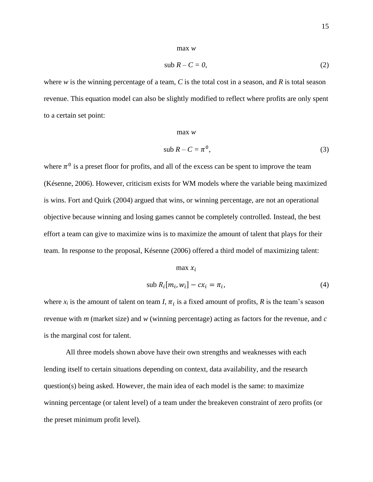#### max *w*

$$
sub R - C = 0,\t(2)
$$

where *w* is the winning percentage of a team, *C* is the total cost in a season, and *R* is total season revenue. This equation model can also be slightly modified to reflect where profits are only spent to a certain set point:

sub  $R - C = \pi^0$ 

# max *w*

,(3)

where  $\pi^0$  is a preset floor for profits, and all of the excess can be spent to improve the team (Késenne, 2006). However, criticism exists for WM models where the variable being maximized is wins. Fort and Quirk (2004) argued that wins, or winning percentage, are not an operational objective because winning and losing games cannot be completely controlled. Instead, the best effort a team can give to maximize wins is to maximize the amount of talent that plays for their team. In response to the proposal, Késenne (2006) offered a third model of maximizing talent:

# $max x_i$

$$
sub R_i[m_i, w_i] - cx_i = \pi_i,
$$
\n<sup>(4)</sup>

where  $x_i$  is the amount of talent on team *I*,  $\pi_i$  is a fixed amount of profits, *R* is the team's season revenue with *m* (market size) and *w* (winning percentage) acting as factors for the revenue, and *c* is the marginal cost for talent.

All three models shown above have their own strengths and weaknesses with each lending itself to certain situations depending on context, data availability, and the research question(s) being asked. However, the main idea of each model is the same: to maximize winning percentage (or talent level) of a team under the breakeven constraint of zero profits (or the preset minimum profit level).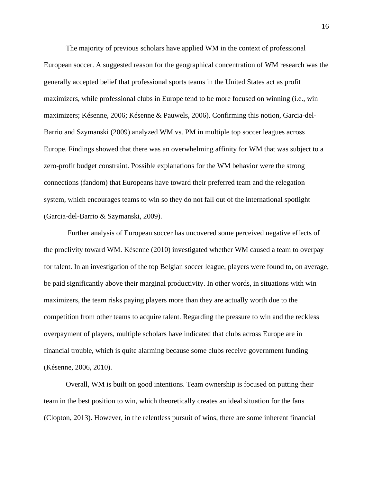The majority of previous scholars have applied WM in the context of professional European soccer. A suggested reason for the geographical concentration of WM research was the generally accepted belief that professional sports teams in the United States act as profit maximizers, while professional clubs in Europe tend to be more focused on winning (i.e., win maximizers; Késenne, 2006; Késenne & Pauwels, 2006). Confirming this notion, Garcia-del-Barrio and Szymanski (2009) analyzed WM vs. PM in multiple top soccer leagues across Europe. Findings showed that there was an overwhelming affinity for WM that was subject to a zero-profit budget constraint. Possible explanations for the WM behavior were the strong connections (fandom) that Europeans have toward their preferred team and the relegation system, which encourages teams to win so they do not fall out of the international spotlight (Garcia-del-Barrio & Szymanski, 2009).

Further analysis of European soccer has uncovered some perceived negative effects of the proclivity toward WM. Késenne (2010) investigated whether WM caused a team to overpay for talent. In an investigation of the top Belgian soccer league, players were found to, on average, be paid significantly above their marginal productivity. In other words, in situations with win maximizers, the team risks paying players more than they are actually worth due to the competition from other teams to acquire talent. Regarding the pressure to win and the reckless overpayment of players, multiple scholars have indicated that clubs across Europe are in financial trouble, which is quite alarming because some clubs receive government funding (Késenne, 2006, 2010).

Overall, WM is built on good intentions. Team ownership is focused on putting their team in the best position to win, which theoretically creates an ideal situation for the fans (Clopton, 2013). However, in the relentless pursuit of wins, there are some inherent financial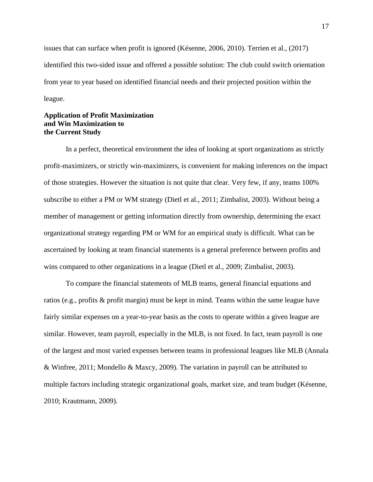issues that can surface when profit is ignored (Késenne, 2006, 2010). Terrien et al., (2017) identified this two-sided issue and offered a possible solution: The club could switch orientation from year to year based on identified financial needs and their projected position within the league.

# **Application of Profit Maximization and Win Maximization to the Current Study**

In a perfect, theoretical environment the idea of looking at sport organizations as strictly profit-maximizers, or strictly win-maximizers, is convenient for making inferences on the impact of those strategies. However the situation is not quite that clear. Very few, if any, teams 100% subscribe to either a PM or WM strategy (Dietl et al., 2011; Zimbalist, 2003). Without being a member of management or getting information directly from ownership, determining the exact organizational strategy regarding PM or WM for an empirical study is difficult. What can be ascertained by looking at team financial statements is a general preference between profits and wins compared to other organizations in a league (Dietl et al., 2009; Zimbalist, 2003).

To compare the financial statements of MLB teams, general financial equations and ratios (e.g., profits & profit margin) must be kept in mind. Teams within the same league have fairly similar expenses on a year-to-year basis as the costs to operate within a given league are similar. However, team payroll, especially in the MLB, is not fixed. In fact, team payroll is one of the largest and most varied expenses between teams in professional leagues like MLB (Annala & Winfree, 2011; Mondello & Maxcy, 2009). The variation in payroll can be attributed to multiple factors including strategic organizational goals, market size, and team budget (Késenne, 2010; Krautmann, 2009).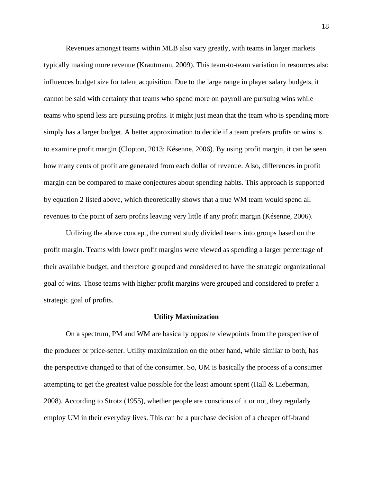Revenues amongst teams within MLB also vary greatly, with teams in larger markets typically making more revenue (Krautmann, 2009). This team-to-team variation in resources also influences budget size for talent acquisition. Due to the large range in player salary budgets, it cannot be said with certainty that teams who spend more on payroll are pursuing wins while teams who spend less are pursuing profits. It might just mean that the team who is spending more simply has a larger budget. A better approximation to decide if a team prefers profits or wins is to examine profit margin (Clopton, 2013; Késenne, 2006). By using profit margin, it can be seen how many cents of profit are generated from each dollar of revenue. Also, differences in profit margin can be compared to make conjectures about spending habits. This approach is supported by equation 2 listed above, which theoretically shows that a true WM team would spend all revenues to the point of zero profits leaving very little if any profit margin (Késenne, 2006).

Utilizing the above concept, the current study divided teams into groups based on the profit margin. Teams with lower profit margins were viewed as spending a larger percentage of their available budget, and therefore grouped and considered to have the strategic organizational goal of wins. Those teams with higher profit margins were grouped and considered to prefer a strategic goal of profits.

#### **Utility Maximization**

On a spectrum, PM and WM are basically opposite viewpoints from the perspective of the producer or price-setter. Utility maximization on the other hand, while similar to both, has the perspective changed to that of the consumer. So, UM is basically the process of a consumer attempting to get the greatest value possible for the least amount spent (Hall  $\&$  Lieberman, 2008). According to Strotz (1955), whether people are conscious of it or not, they regularly employ UM in their everyday lives. This can be a purchase decision of a cheaper off-brand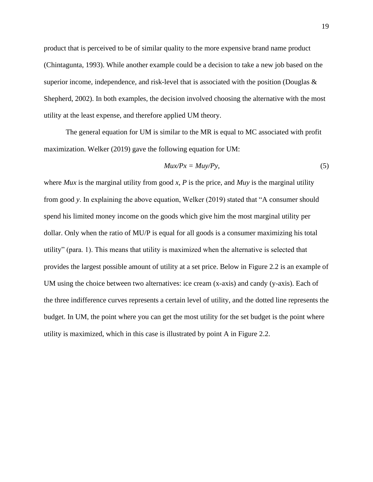product that is perceived to be of similar quality to the more expensive brand name product (Chintagunta, 1993). While another example could be a decision to take a new job based on the superior income, independence, and risk-level that is associated with the position (Douglas  $\&$ Shepherd, 2002). In both examples, the decision involved choosing the alternative with the most utility at the least expense, and therefore applied UM theory.

The general equation for UM is similar to the MR is equal to MC associated with profit maximization. Welker (2019) gave the following equation for UM:

$$
Mux/Px = Muy/Py, \t\t(5)
$$

where *Mux* is the marginal utility from good *x*, *P* is the price, and *Muy* is the marginal utility from good *y*. In explaining the above equation, Welker (2019) stated that "A consumer should spend his limited money income on the goods which give him the most marginal utility per dollar. Only when the ratio of MU/P is equal for all goods is a consumer maximizing his total utility" (para. 1). This means that utility is maximized when the alternative is selected that provides the largest possible amount of utility at a set price. Below in Figure 2.2 is an example of UM using the choice between two alternatives: ice cream (x-axis) and candy (y-axis). Each of the three indifference curves represents a certain level of utility, and the dotted line represents the budget. In UM, the point where you can get the most utility for the set budget is the point where utility is maximized, which in this case is illustrated by point A in Figure 2.2.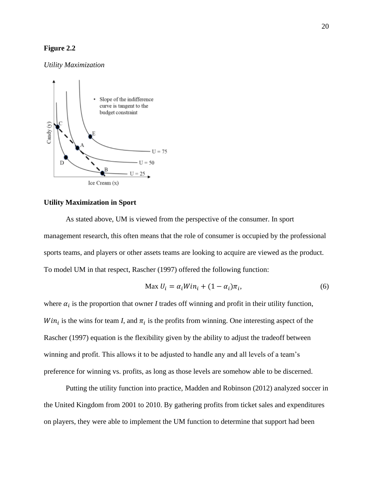# **Figure 2.2**

## *Utility Maximization*



# **Utility Maximization in Sport**

As stated above, UM is viewed from the perspective of the consumer. In sport management research, this often means that the role of consumer is occupied by the professional sports teams, and players or other assets teams are looking to acquire are viewed as the product. To model UM in that respect, Rascher (1997) offered the following function:

$$
\text{Max } U_i = \alpha_i W i n_i + (1 - \alpha_i) \pi_i,\tag{6}
$$

where  $\alpha_i$  is the proportion that owner *I* trades off winning and profit in their utility function,  $Win_i$  is the wins for team *I*, and  $\pi_i$  is the profits from winning. One interesting aspect of the Rascher (1997) equation is the flexibility given by the ability to adjust the tradeoff between winning and profit. This allows it to be adjusted to handle any and all levels of a team's preference for winning vs. profits, as long as those levels are somehow able to be discerned.

Putting the utility function into practice, Madden and Robinson (2012) analyzed soccer in the United Kingdom from 2001 to 2010. By gathering profits from ticket sales and expenditures on players, they were able to implement the UM function to determine that support had been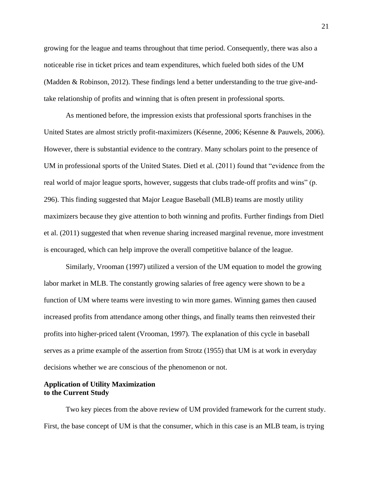growing for the league and teams throughout that time period. Consequently, there was also a noticeable rise in ticket prices and team expenditures, which fueled both sides of the UM (Madden & Robinson, 2012). These findings lend a better understanding to the true give-andtake relationship of profits and winning that is often present in professional sports.

As mentioned before, the impression exists that professional sports franchises in the United States are almost strictly profit-maximizers (Késenne, 2006; Késenne & Pauwels, 2006). However, there is substantial evidence to the contrary. Many scholars point to the presence of UM in professional sports of the United States. Dietl et al. (2011) found that "evidence from the real world of major league sports, however, suggests that clubs trade-off profits and wins" (p. 296). This finding suggested that Major League Baseball (MLB) teams are mostly utility maximizers because they give attention to both winning and profits. Further findings from Dietl et al. (2011) suggested that when revenue sharing increased marginal revenue, more investment is encouraged, which can help improve the overall competitive balance of the league.

Similarly, Vrooman (1997) utilized a version of the UM equation to model the growing labor market in MLB. The constantly growing salaries of free agency were shown to be a function of UM where teams were investing to win more games. Winning games then caused increased profits from attendance among other things, and finally teams then reinvested their profits into higher-priced talent (Vrooman, 1997). The explanation of this cycle in baseball serves as a prime example of the assertion from Strotz (1955) that UM is at work in everyday decisions whether we are conscious of the phenomenon or not.

# **Application of Utility Maximization to the Current Study**

Two key pieces from the above review of UM provided framework for the current study. First, the base concept of UM is that the consumer, which in this case is an MLB team, is trying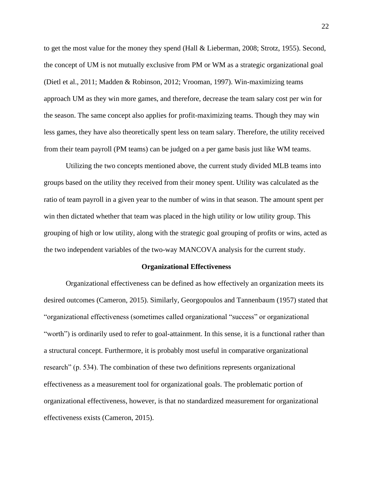to get the most value for the money they spend (Hall & Lieberman, 2008; Strotz, 1955). Second, the concept of UM is not mutually exclusive from PM or WM as a strategic organizational goal (Dietl et al., 2011; Madden & Robinson, 2012; Vrooman, 1997). Win-maximizing teams approach UM as they win more games, and therefore, decrease the team salary cost per win for the season. The same concept also applies for profit-maximizing teams. Though they may win less games, they have also theoretically spent less on team salary. Therefore, the utility received from their team payroll (PM teams) can be judged on a per game basis just like WM teams.

Utilizing the two concepts mentioned above, the current study divided MLB teams into groups based on the utility they received from their money spent. Utility was calculated as the ratio of team payroll in a given year to the number of wins in that season. The amount spent per win then dictated whether that team was placed in the high utility or low utility group. This grouping of high or low utility, along with the strategic goal grouping of profits or wins, acted as the two independent variables of the two-way MANCOVA analysis for the current study.

#### **Organizational Effectiveness**

Organizational effectiveness can be defined as how effectively an organization meets its desired outcomes (Cameron, 2015). Similarly, Georgopoulos and Tannenbaum (1957) stated that "organizational effectiveness (sometimes called organizational "success" or organizational "worth") is ordinarily used to refer to goal-attainment. In this sense, it is a functional rather than a structural concept. Furthermore, it is probably most useful in comparative organizational research" (p. 534). The combination of these two definitions represents organizational effectiveness as a measurement tool for organizational goals. The problematic portion of organizational effectiveness, however, is that no standardized measurement for organizational effectiveness exists (Cameron, 2015).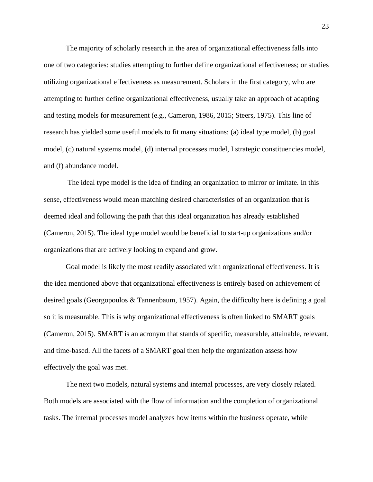The majority of scholarly research in the area of organizational effectiveness falls into one of two categories: studies attempting to further define organizational effectiveness; or studies utilizing organizational effectiveness as measurement. Scholars in the first category, who are attempting to further define organizational effectiveness, usually take an approach of adapting and testing models for measurement (e.g., Cameron, 1986, 2015; Steers, 1975). This line of research has yielded some useful models to fit many situations: (a) ideal type model, (b) goal model, (c) natural systems model, (d) internal processes model, I strategic constituencies model, and (f) abundance model.

The ideal type model is the idea of finding an organization to mirror or imitate. In this sense, effectiveness would mean matching desired characteristics of an organization that is deemed ideal and following the path that this ideal organization has already established (Cameron, 2015). The ideal type model would be beneficial to start-up organizations and/or organizations that are actively looking to expand and grow.

Goal model is likely the most readily associated with organizational effectiveness. It is the idea mentioned above that organizational effectiveness is entirely based on achievement of desired goals (Georgopoulos & Tannenbaum, 1957). Again, the difficulty here is defining a goal so it is measurable. This is why organizational effectiveness is often linked to SMART goals (Cameron, 2015). SMART is an acronym that stands of specific, measurable, attainable, relevant, and time-based. All the facets of a SMART goal then help the organization assess how effectively the goal was met.

The next two models, natural systems and internal processes, are very closely related. Both models are associated with the flow of information and the completion of organizational tasks. The internal processes model analyzes how items within the business operate, while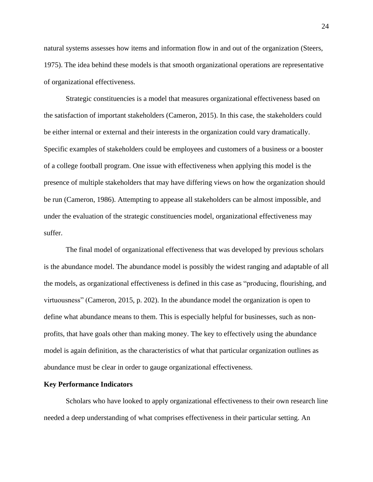natural systems assesses how items and information flow in and out of the organization (Steers, 1975). The idea behind these models is that smooth organizational operations are representative of organizational effectiveness.

Strategic constituencies is a model that measures organizational effectiveness based on the satisfaction of important stakeholders (Cameron, 2015). In this case, the stakeholders could be either internal or external and their interests in the organization could vary dramatically. Specific examples of stakeholders could be employees and customers of a business or a booster of a college football program. One issue with effectiveness when applying this model is the presence of multiple stakeholders that may have differing views on how the organization should be run (Cameron, 1986). Attempting to appease all stakeholders can be almost impossible, and under the evaluation of the strategic constituencies model, organizational effectiveness may suffer.

The final model of organizational effectiveness that was developed by previous scholars is the abundance model. The abundance model is possibly the widest ranging and adaptable of all the models, as organizational effectiveness is defined in this case as "producing, flourishing, and virtuousness" (Cameron, 2015, p. 202). In the abundance model the organization is open to define what abundance means to them. This is especially helpful for businesses, such as nonprofits, that have goals other than making money. The key to effectively using the abundance model is again definition, as the characteristics of what that particular organization outlines as abundance must be clear in order to gauge organizational effectiveness.

#### **Key Performance Indicators**

Scholars who have looked to apply organizational effectiveness to their own research line needed a deep understanding of what comprises effectiveness in their particular setting. An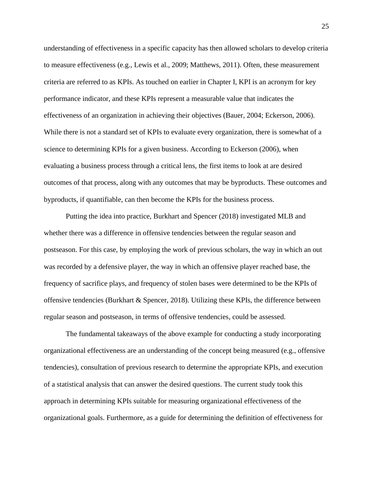understanding of effectiveness in a specific capacity has then allowed scholars to develop criteria to measure effectiveness (e.g., Lewis et al., 2009; Matthews, 2011). Often, these measurement criteria are referred to as KPIs. As touched on earlier in Chapter I, KPI is an acronym for key performance indicator, and these KPIs represent a measurable value that indicates the effectiveness of an organization in achieving their objectives (Bauer, 2004; Eckerson, 2006). While there is not a standard set of KPIs to evaluate every organization, there is somewhat of a science to determining KPIs for a given business. According to Eckerson (2006), when evaluating a business process through a critical lens, the first items to look at are desired outcomes of that process, along with any outcomes that may be byproducts. These outcomes and byproducts, if quantifiable, can then become the KPIs for the business process.

Putting the idea into practice, Burkhart and Spencer (2018) investigated MLB and whether there was a difference in offensive tendencies between the regular season and postseason. For this case, by employing the work of previous scholars, the way in which an out was recorded by a defensive player, the way in which an offensive player reached base, the frequency of sacrifice plays, and frequency of stolen bases were determined to be the KPIs of offensive tendencies (Burkhart & Spencer, 2018). Utilizing these KPIs, the difference between regular season and postseason, in terms of offensive tendencies, could be assessed.

The fundamental takeaways of the above example for conducting a study incorporating organizational effectiveness are an understanding of the concept being measured (e.g., offensive tendencies), consultation of previous research to determine the appropriate KPIs, and execution of a statistical analysis that can answer the desired questions. The current study took this approach in determining KPIs suitable for measuring organizational effectiveness of the organizational goals. Furthermore, as a guide for determining the definition of effectiveness for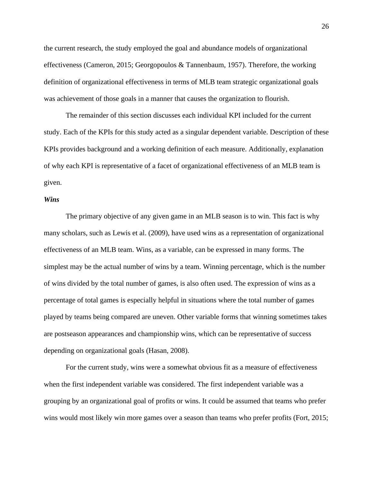the current research, the study employed the goal and abundance models of organizational effectiveness (Cameron, 2015; Georgopoulos & Tannenbaum, 1957). Therefore, the working definition of organizational effectiveness in terms of MLB team strategic organizational goals was achievement of those goals in a manner that causes the organization to flourish.

The remainder of this section discusses each individual KPI included for the current study. Each of the KPIs for this study acted as a singular dependent variable. Description of these KPIs provides background and a working definition of each measure. Additionally, explanation of why each KPI is representative of a facet of organizational effectiveness of an MLB team is given.

## *Wins*

The primary objective of any given game in an MLB season is to win. This fact is why many scholars, such as Lewis et al. (2009), have used wins as a representation of organizational effectiveness of an MLB team. Wins, as a variable, can be expressed in many forms. The simplest may be the actual number of wins by a team. Winning percentage, which is the number of wins divided by the total number of games, is also often used. The expression of wins as a percentage of total games is especially helpful in situations where the total number of games played by teams being compared are uneven. Other variable forms that winning sometimes takes are postseason appearances and championship wins, which can be representative of success depending on organizational goals (Hasan, 2008).

For the current study, wins were a somewhat obvious fit as a measure of effectiveness when the first independent variable was considered. The first independent variable was a grouping by an organizational goal of profits or wins. It could be assumed that teams who prefer wins would most likely win more games over a season than teams who prefer profits (Fort, 2015;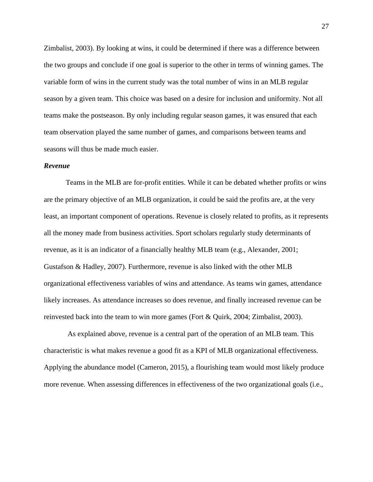Zimbalist, 2003). By looking at wins, it could be determined if there was a difference between the two groups and conclude if one goal is superior to the other in terms of winning games. The variable form of wins in the current study was the total number of wins in an MLB regular season by a given team. This choice was based on a desire for inclusion and uniformity. Not all teams make the postseason. By only including regular season games, it was ensured that each team observation played the same number of games, and comparisons between teams and seasons will thus be made much easier.

#### *Revenue*

Teams in the MLB are for-profit entities. While it can be debated whether profits or wins are the primary objective of an MLB organization, it could be said the profits are, at the very least, an important component of operations. Revenue is closely related to profits, as it represents all the money made from business activities. Sport scholars regularly study determinants of revenue, as it is an indicator of a financially healthy MLB team (e.g., Alexander, 2001; Gustafson & Hadley, 2007). Furthermore, revenue is also linked with the other MLB organizational effectiveness variables of wins and attendance. As teams win games, attendance likely increases. As attendance increases so does revenue, and finally increased revenue can be reinvested back into the team to win more games (Fort & Quirk, 2004; Zimbalist, 2003).

As explained above, revenue is a central part of the operation of an MLB team. This characteristic is what makes revenue a good fit as a KPI of MLB organizational effectiveness. Applying the abundance model (Cameron, 2015), a flourishing team would most likely produce more revenue. When assessing differences in effectiveness of the two organizational goals (i.e.,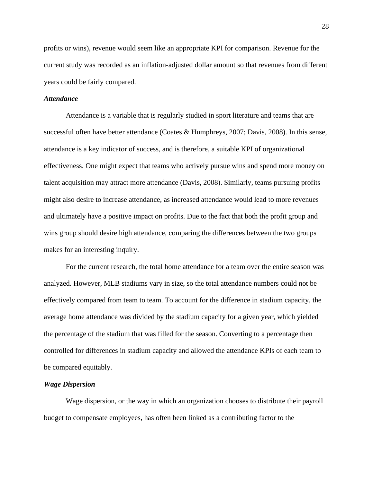profits or wins), revenue would seem like an appropriate KPI for comparison. Revenue for the current study was recorded as an inflation-adjusted dollar amount so that revenues from different years could be fairly compared.

### *Attendance*

Attendance is a variable that is regularly studied in sport literature and teams that are successful often have better attendance (Coates & Humphreys, 2007; Davis, 2008). In this sense, attendance is a key indicator of success, and is therefore, a suitable KPI of organizational effectiveness. One might expect that teams who actively pursue wins and spend more money on talent acquisition may attract more attendance (Davis, 2008). Similarly, teams pursuing profits might also desire to increase attendance, as increased attendance would lead to more revenues and ultimately have a positive impact on profits. Due to the fact that both the profit group and wins group should desire high attendance, comparing the differences between the two groups makes for an interesting inquiry.

For the current research, the total home attendance for a team over the entire season was analyzed. However, MLB stadiums vary in size, so the total attendance numbers could not be effectively compared from team to team. To account for the difference in stadium capacity, the average home attendance was divided by the stadium capacity for a given year, which yielded the percentage of the stadium that was filled for the season. Converting to a percentage then controlled for differences in stadium capacity and allowed the attendance KPIs of each team to be compared equitably.

### *Wage Dispersion*

Wage dispersion, or the way in which an organization chooses to distribute their payroll budget to compensate employees, has often been linked as a contributing factor to the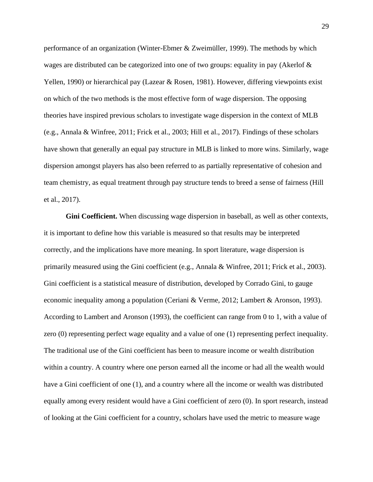performance of an organization (Winter-Ebmer & Zweimüller, 1999). The methods by which wages are distributed can be categorized into one of two groups: equality in pay (Akerlof & Yellen, 1990) or hierarchical pay (Lazear & Rosen, 1981). However, differing viewpoints exist on which of the two methods is the most effective form of wage dispersion. The opposing theories have inspired previous scholars to investigate wage dispersion in the context of MLB (e.g., Annala & Winfree, 2011; Frick et al., 2003; Hill et al., 2017). Findings of these scholars have shown that generally an equal pay structure in MLB is linked to more wins. Similarly, wage dispersion amongst players has also been referred to as partially representative of cohesion and team chemistry, as equal treatment through pay structure tends to breed a sense of fairness (Hill et al., 2017).

**Gini Coefficient.** When discussing wage dispersion in baseball, as well as other contexts, it is important to define how this variable is measured so that results may be interpreted correctly, and the implications have more meaning. In sport literature, wage dispersion is primarily measured using the Gini coefficient (e.g., Annala & Winfree, 2011; Frick et al., 2003). Gini coefficient is a statistical measure of distribution, developed by Corrado Gini, to gauge economic inequality among a population (Ceriani & Verme, 2012; Lambert & Aronson, 1993). According to Lambert and Aronson (1993), the coefficient can range from 0 to 1, with a value of zero (0) representing perfect wage equality and a value of one (1) representing perfect inequality. The traditional use of the Gini coefficient has been to measure income or wealth distribution within a country. A country where one person earned all the income or had all the wealth would have a Gini coefficient of one (1), and a country where all the income or wealth was distributed equally among every resident would have a Gini coefficient of zero (0). In sport research, instead of looking at the Gini coefficient for a country, scholars have used the metric to measure wage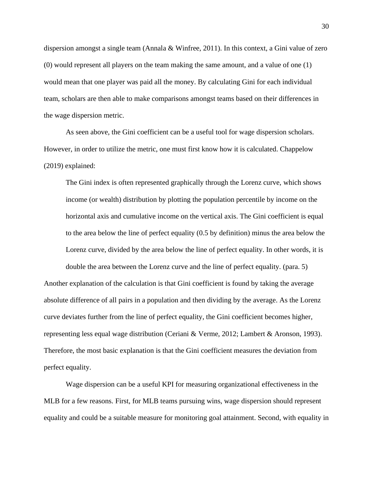dispersion amongst a single team (Annala & Winfree, 2011). In this context, a Gini value of zero (0) would represent all players on the team making the same amount, and a value of one (1) would mean that one player was paid all the money. By calculating Gini for each individual team, scholars are then able to make comparisons amongst teams based on their differences in the wage dispersion metric.

As seen above, the Gini coefficient can be a useful tool for wage dispersion scholars. However, in order to utilize the metric, one must first know how it is calculated. Chappelow (2019) explained:

The Gini index is often represented graphically through the Lorenz curve, which shows income (or wealth) distribution by plotting the population percentile by income on the horizontal axis and cumulative income on the vertical axis. The Gini coefficient is equal to the area below the line of perfect equality (0.5 by definition) minus the area below the Lorenz curve, divided by the area below the line of perfect equality. In other words, it is

double the area between the Lorenz curve and the line of perfect equality. (para. 5) Another explanation of the calculation is that Gini coefficient is found by taking the average absolute difference of all pairs in a population and then dividing by the average. As the Lorenz curve deviates further from the line of perfect equality, the Gini coefficient becomes higher, representing less equal wage distribution (Ceriani & Verme, 2012; Lambert & Aronson, 1993). Therefore, the most basic explanation is that the Gini coefficient measures the deviation from perfect equality.

Wage dispersion can be a useful KPI for measuring organizational effectiveness in the MLB for a few reasons. First, for MLB teams pursuing wins, wage dispersion should represent equality and could be a suitable measure for monitoring goal attainment. Second, with equality in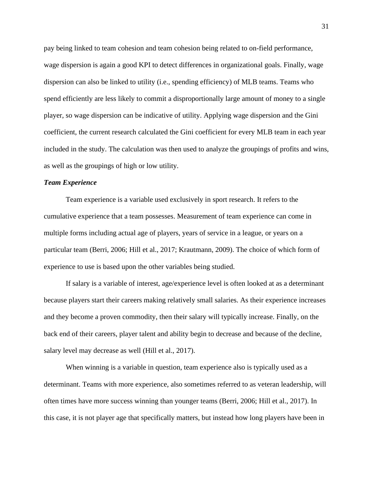pay being linked to team cohesion and team cohesion being related to on-field performance, wage dispersion is again a good KPI to detect differences in organizational goals. Finally, wage dispersion can also be linked to utility (i.e., spending efficiency) of MLB teams. Teams who spend efficiently are less likely to commit a disproportionally large amount of money to a single player, so wage dispersion can be indicative of utility. Applying wage dispersion and the Gini coefficient, the current research calculated the Gini coefficient for every MLB team in each year included in the study. The calculation was then used to analyze the groupings of profits and wins, as well as the groupings of high or low utility.

#### *Team Experience*

Team experience is a variable used exclusively in sport research. It refers to the cumulative experience that a team possesses. Measurement of team experience can come in multiple forms including actual age of players, years of service in a league, or years on a particular team (Berri, 2006; Hill et al., 2017; Krautmann, 2009). The choice of which form of experience to use is based upon the other variables being studied.

If salary is a variable of interest, age/experience level is often looked at as a determinant because players start their careers making relatively small salaries. As their experience increases and they become a proven commodity, then their salary will typically increase. Finally, on the back end of their careers, player talent and ability begin to decrease and because of the decline, salary level may decrease as well (Hill et al., 2017).

When winning is a variable in question, team experience also is typically used as a determinant. Teams with more experience, also sometimes referred to as veteran leadership, will often times have more success winning than younger teams (Berri, 2006; Hill et al., 2017). In this case, it is not player age that specifically matters, but instead how long players have been in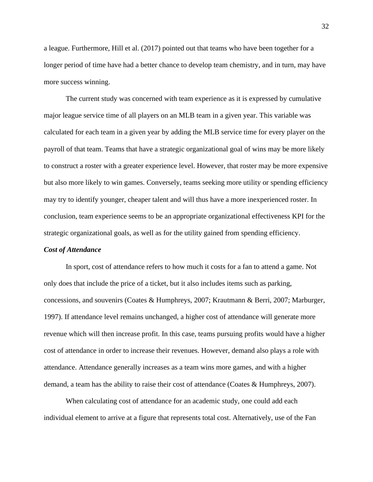a league. Furthermore, Hill et al. (2017) pointed out that teams who have been together for a longer period of time have had a better chance to develop team chemistry, and in turn, may have more success winning.

The current study was concerned with team experience as it is expressed by cumulative major league service time of all players on an MLB team in a given year. This variable was calculated for each team in a given year by adding the MLB service time for every player on the payroll of that team. Teams that have a strategic organizational goal of wins may be more likely to construct a roster with a greater experience level. However, that roster may be more expensive but also more likely to win games. Conversely, teams seeking more utility or spending efficiency may try to identify younger, cheaper talent and will thus have a more inexperienced roster. In conclusion, team experience seems to be an appropriate organizational effectiveness KPI for the strategic organizational goals, as well as for the utility gained from spending efficiency.

#### *Cost of Attendance*

In sport, cost of attendance refers to how much it costs for a fan to attend a game. Not only does that include the price of a ticket, but it also includes items such as parking, concessions, and souvenirs (Coates & Humphreys, 2007; Krautmann & Berri, 2007; Marburger, 1997). If attendance level remains unchanged, a higher cost of attendance will generate more revenue which will then increase profit. In this case, teams pursuing profits would have a higher cost of attendance in order to increase their revenues. However, demand also plays a role with attendance. Attendance generally increases as a team wins more games, and with a higher demand, a team has the ability to raise their cost of attendance (Coates & Humphreys, 2007).

When calculating cost of attendance for an academic study, one could add each individual element to arrive at a figure that represents total cost. Alternatively, use of the Fan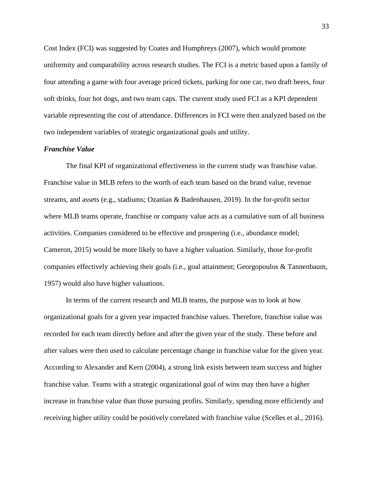Cost Index (FCI) was suggested by Coates and Humphreys (2007), which would promote uniformity and comparability across research studies. The FCI is a metric based upon a family of four attending a game with four average priced tickets, parking for one car, two draft beers, four soft drinks, four hot dogs, and two team caps. The current study used FCI as a KPI dependent variable representing the cost of attendance. Differences in FCI were then analyzed based on the two independent variables of strategic organizational goals and utility.

## *Franchise Value*

The final KPI of organizational effectiveness in the current study was franchise value. Franchise value in MLB refers to the worth of each team based on the brand value, revenue streams, and assets (e.g., stadiums; Ozanian & Badenhausen, 2019). In the for-profit sector where MLB teams operate, franchise or company value acts as a cumulative sum of all business activities. Companies considered to be effective and prospering (i.e., abundance model; Cameron, 2015) would be more likely to have a higher valuation. Similarly, those for-profit companies effectively achieving their goals (i.e., goal attainment; Georgopoulos & Tannenbaum, 1957) would also have higher valuations.

In terms of the current research and MLB teams, the purpose was to look at how organizational goals for a given year impacted franchise values. Therefore, franchise value was recorded for each team directly before and after the given year of the study. These before and after values were then used to calculate percentage change in franchise value for the given year. According to Alexander and Kern (2004), a strong link exists between team success and higher franchise value. Teams with a strategic organizational goal of wins may then have a higher increase in franchise value than those pursuing profits. Similarly, spending more efficiently and receiving higher utility could be positively correlated with franchise value (Scelles et al., 2016).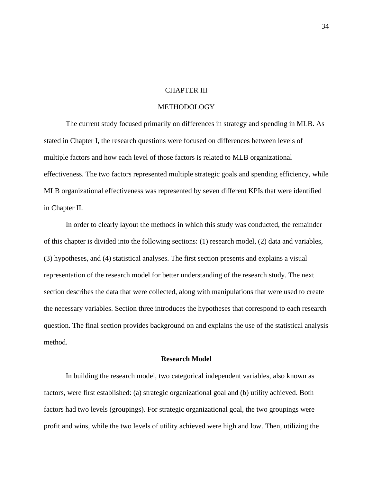### CHAPTER III

## METHODOLOGY

The current study focused primarily on differences in strategy and spending in MLB. As stated in Chapter I, the research questions were focused on differences between levels of multiple factors and how each level of those factors is related to MLB organizational effectiveness. The two factors represented multiple strategic goals and spending efficiency, while MLB organizational effectiveness was represented by seven different KPIs that were identified in Chapter II.

In order to clearly layout the methods in which this study was conducted, the remainder of this chapter is divided into the following sections: (1) research model, (2) data and variables, (3) hypotheses, and (4) statistical analyses. The first section presents and explains a visual representation of the research model for better understanding of the research study. The next section describes the data that were collected, along with manipulations that were used to create the necessary variables. Section three introduces the hypotheses that correspond to each research question. The final section provides background on and explains the use of the statistical analysis method.

## **Research Model**

In building the research model, two categorical independent variables, also known as factors, were first established: (a) strategic organizational goal and (b) utility achieved. Both factors had two levels (groupings). For strategic organizational goal, the two groupings were profit and wins, while the two levels of utility achieved were high and low. Then, utilizing the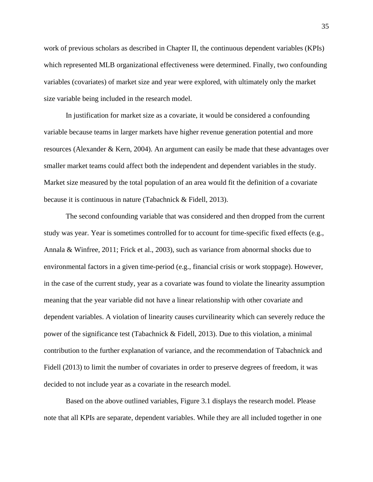work of previous scholars as described in Chapter II, the continuous dependent variables (KPIs) which represented MLB organizational effectiveness were determined. Finally, two confounding variables (covariates) of market size and year were explored, with ultimately only the market size variable being included in the research model.

In justification for market size as a covariate, it would be considered a confounding variable because teams in larger markets have higher revenue generation potential and more resources (Alexander & Kern, 2004). An argument can easily be made that these advantages over smaller market teams could affect both the independent and dependent variables in the study. Market size measured by the total population of an area would fit the definition of a covariate because it is continuous in nature (Tabachnick & Fidell, 2013).

The second confounding variable that was considered and then dropped from the current study was year. Year is sometimes controlled for to account for time-specific fixed effects (e.g., Annala & Winfree, 2011; Frick et al., 2003), such as variance from abnormal shocks due to environmental factors in a given time-period (e.g., financial crisis or work stoppage). However, in the case of the current study, year as a covariate was found to violate the linearity assumption meaning that the year variable did not have a linear relationship with other covariate and dependent variables. A violation of linearity causes curvilinearity which can severely reduce the power of the significance test (Tabachnick & Fidell, 2013). Due to this violation, a minimal contribution to the further explanation of variance, and the recommendation of Tabachnick and Fidell (2013) to limit the number of covariates in order to preserve degrees of freedom, it was decided to not include year as a covariate in the research model.

Based on the above outlined variables, Figure 3.1 displays the research model. Please note that all KPIs are separate, dependent variables. While they are all included together in one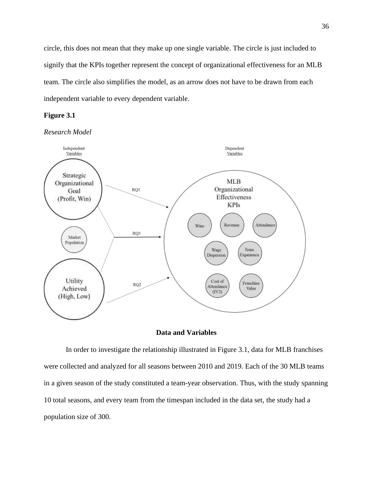circle, this does not mean that they make up one single variable. The circle is just included to signify that the KPIs together represent the concept of organizational effectiveness for an MLB team. The circle also simplifies the model, as an arrow does not have to be drawn from each independent variable to every dependent variable.

## **Figure 3.1**







In order to investigate the relationship illustrated in Figure 3.1, data for MLB franchises were collected and analyzed for all seasons between 2010 and 2019. Each of the 30 MLB teams in a given season of the study constituted a team-year observation. Thus, with the study spanning 10 total seasons, and every team from the timespan included in the data set, the study had a population size of 300.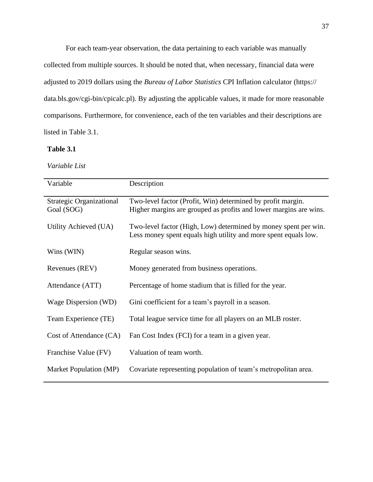For each team-year observation, the data pertaining to each variable was manually collected from multiple sources. It should be noted that, when necessary, financial data were adjusted to 2019 dollars using the *Bureau of Labor Statistics* CPI Inflation calculator (https:// data.bls.gov/cgi-bin/cpicalc.pl). By adjusting the applicable values, it made for more reasonable comparisons. Furthermore, for convenience, each of the ten variables and their descriptions are listed in Table 3.1.

## **Table 3.1**

*Variable List*

| Variable                                      | Description                                                                                                                        |
|-----------------------------------------------|------------------------------------------------------------------------------------------------------------------------------------|
| <b>Strategic Organizational</b><br>Goal (SOG) | Two-level factor (Profit, Win) determined by profit margin.<br>Higher margins are grouped as profits and lower margins are wins.   |
| Utility Achieved (UA)                         | Two-level factor (High, Low) determined by money spent per win.<br>Less money spent equals high utility and more spent equals low. |
| Wins (WIN)                                    | Regular season wins.                                                                                                               |
| Revenues (REV)                                | Money generated from business operations.                                                                                          |
| Attendance (ATT)                              | Percentage of home stadium that is filled for the year.                                                                            |
| Wage Dispersion (WD)                          | Gini coefficient for a team's payroll in a season.                                                                                 |
| Team Experience (TE)                          | Total league service time for all players on an MLB roster.                                                                        |
| Cost of Attendance (CA)                       | Fan Cost Index (FCI) for a team in a given year.                                                                                   |
| Franchise Value (FV)                          | Valuation of team worth.                                                                                                           |
| Market Population (MP)                        | Covariate representing population of team's metropolitan area.                                                                     |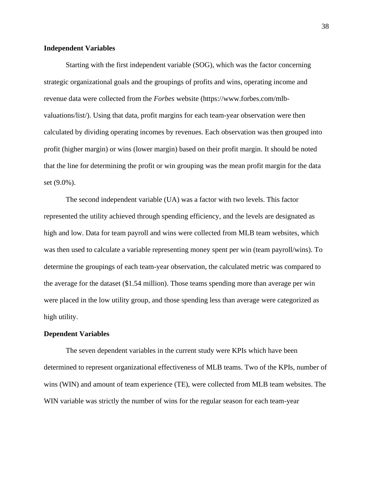## **Independent Variables**

Starting with the first independent variable (SOG), which was the factor concerning strategic organizational goals and the groupings of profits and wins, operating income and revenue data were collected from the *Forbes* website (https://www.forbes.com/mlbvaluations/list/). Using that data, profit margins for each team-year observation were then calculated by dividing operating incomes by revenues. Each observation was then grouped into profit (higher margin) or wins (lower margin) based on their profit margin. It should be noted that the line for determining the profit or win grouping was the mean profit margin for the data set (9.0%).

The second independent variable (UA) was a factor with two levels. This factor represented the utility achieved through spending efficiency, and the levels are designated as high and low. Data for team payroll and wins were collected from MLB team websites, which was then used to calculate a variable representing money spent per win (team payroll/wins). To determine the groupings of each team-year observation, the calculated metric was compared to the average for the dataset (\$1.54 million). Those teams spending more than average per win were placed in the low utility group, and those spending less than average were categorized as high utility.

#### **Dependent Variables**

The seven dependent variables in the current study were KPIs which have been determined to represent organizational effectiveness of MLB teams. Two of the KPIs, number of wins (WIN) and amount of team experience (TE), were collected from MLB team websites. The WIN variable was strictly the number of wins for the regular season for each team-year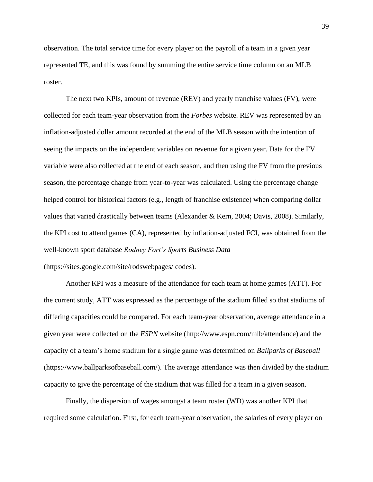observation. The total service time for every player on the payroll of a team in a given year represented TE, and this was found by summing the entire service time column on an MLB roster.

The next two KPIs, amount of revenue (REV) and yearly franchise values (FV), were collected for each team-year observation from the *Forbes* website. REV was represented by an inflation-adjusted dollar amount recorded at the end of the MLB season with the intention of seeing the impacts on the independent variables on revenue for a given year. Data for the FV variable were also collected at the end of each season, and then using the FV from the previous season, the percentage change from year-to-year was calculated. Using the percentage change helped control for historical factors (e.g., length of franchise existence) when comparing dollar values that varied drastically between teams (Alexander & Kern, 2004; Davis, 2008). Similarly, the KPI cost to attend games (CA), represented by inflation-adjusted FCI, was obtained from the well-known sport database *Rodney Fort's Sports Business Data* (https://sites.google.com/site/rodswebpages/ codes).

Another KPI was a measure of the attendance for each team at home games (ATT). For the current study, ATT was expressed as the percentage of the stadium filled so that stadiums of differing capacities could be compared. For each team-year observation, average attendance in a given year were collected on the *ESPN* website (http://www.espn.com/mlb/attendance) and the capacity of a team's home stadium for a single game was determined on *Ballparks of Baseball* (https://www.ballparksofbaseball.com/). The average attendance was then divided by the stadium capacity to give the percentage of the stadium that was filled for a team in a given season.

Finally, the dispersion of wages amongst a team roster (WD) was another KPI that required some calculation. First, for each team-year observation, the salaries of every player on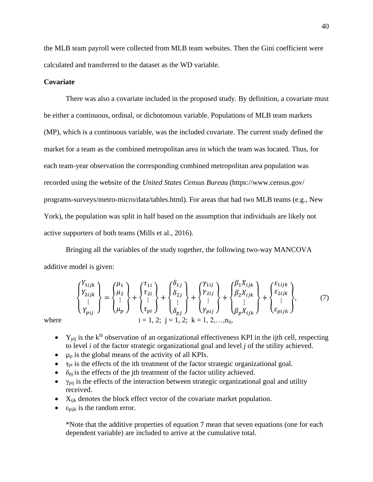the MLB team payroll were collected from MLB team websites. Then the Gini coefficient were calculated and transferred to the dataset as the WD variable.

## **Covariate**

There was also a covariate included in the proposed study. By definition, a covariate must be either a continuous, ordinal, or dichotomous variable. Populations of MLB team markets (MP), which is a continuous variable, was the included covariate. The current study defined the market for a team as the combined metropolitan area in which the team was located. Thus, for each team-year observation the corresponding combined metropolitan area population was recorded using the website of the *United States Census Bureau* (https://www.census.gov/ programs-surveys/metro-micro/data/tables.html). For areas that had two MLB teams (e.g., New York), the population was split in half based on the assumption that individuals are likely not active supporters of both teams (Mills et al., 2016).

Bringing all the variables of the study together, the following two-way MANCOVA additive model is given:

where  
\n
$$
\begin{Bmatrix}\nY_{1ijk} \\
Y_{2ijk} \\
\vdots \\
Y_{pij}\n\end{Bmatrix} =\n\begin{Bmatrix}\n\mu_1 \\
\mu_2 \\
\vdots \\
\mu_p\n\end{Bmatrix} +\n\begin{Bmatrix}\n\tau_{1i} \\
\tau_{2i} \\
\vdots \\
\tau_{pij}\n\end{Bmatrix} +\n\begin{Bmatrix}\n\delta_{1j} \\
\delta_{2j} \\
\vdots \\
\delta_{pj}\n\end{Bmatrix} +\n\begin{Bmatrix}\nY_{1ij} \\
Y_{2ij} \\
\vdots \\
Y_{pij}\n\end{Bmatrix} +\n\begin{Bmatrix}\n\beta_1 X_{ijk} \\
\beta_2 X_{ijk} \\
\vdots \\
\beta_p X_{ijk}\n\end{Bmatrix} +\n\begin{Bmatrix}\n\varepsilon_{1ijk} \\
\varepsilon_{2ijk} \\
\vdots \\
\varepsilon_{pijk}\n\end{Bmatrix},
$$
\n(7)

- $Y_{pi}$  is the k<sup>th</sup> observation of an organizational effectiveness KPI in the ijth cell, respecting to level *i* of the factor strategic organizational goal and level *j* of the utility achieved.
- $\bullet$   $\mu_p$  is the global means of the activity of all KPIs.
- $\tau_{pi}$  is the effects of the ith treatment of the factor strategic organizational goal.
- $\delta_{\text{pi}}$  is the effects of the jth treatment of the factor utility achieved.
- $\bullet$   $\gamma_{\text{pi}}$  is the effects of the interaction between strategic organizational goal and utility received.
- $X_{ijk}$  denotes the block effect vector of the covariate market population.
- $\bullet$   $\varepsilon_{\text{piik}}$  is the random error.

\*Note that the additive properties of equation 7 mean that seven equations (one for each dependent variable) are included to arrive at the cumulative total.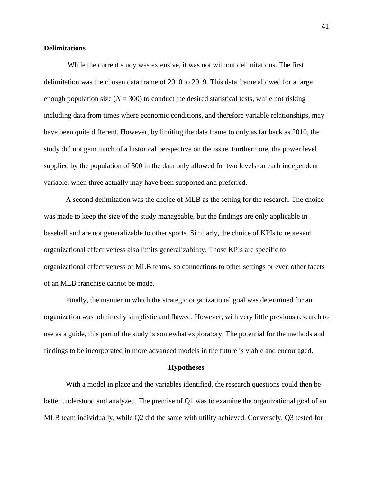## **Delimitations**

While the current study was extensive, it was not without delimitations. The first delimitation was the chosen data frame of 2010 to 2019. This data frame allowed for a large enough population size  $(N = 300)$  to conduct the desired statistical tests, while not risking including data from times where economic conditions, and therefore variable relationships, may have been quite different. However, by limiting the data frame to only as far back as 2010, the study did not gain much of a historical perspective on the issue. Furthermore, the power level supplied by the population of 300 in the data only allowed for two levels on each independent variable, when three actually may have been supported and preferred.

A second delimitation was the choice of MLB as the setting for the research. The choice was made to keep the size of the study manageable, but the findings are only applicable in baseball and are not generalizable to other sports. Similarly, the choice of KPIs to represent organizational effectiveness also limits generalizability. Those KPIs are specific to organizational effectiveness of MLB teams, so connections to other settings or even other facets of an MLB franchise cannot be made.

Finally, the manner in which the strategic organizational goal was determined for an organization was admittedly simplistic and flawed. However, with very little previous research to use as a guide, this part of the study is somewhat exploratory. The potential for the methods and findings to be incorporated in more advanced models in the future is viable and encouraged.

#### **Hypotheses**

With a model in place and the variables identified, the research questions could then be better understood and analyzed. The premise of Q1 was to examine the organizational goal of an MLB team individually, while Q2 did the same with utility achieved. Conversely, Q3 tested for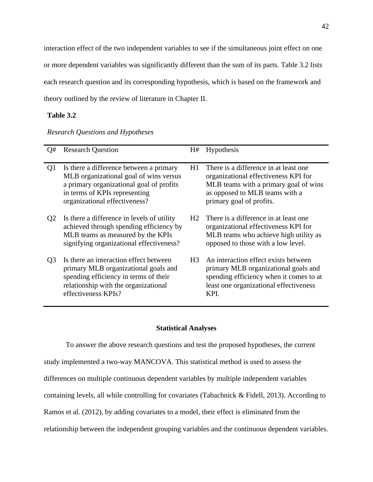interaction effect of the two independent variables to see if the simultaneous joint effect on one or more dependent variables was significantly different than the sum of its parts. Table 3.2 lists each research question and its corresponding hypothesis, which is based on the framework and theory outlined by the review of literature in Chapter II.

## **Table 3.2**

## *Research Questions and Hypotheses*

| Q#             | <b>Research Question</b>                                                                                                                                                                        | H#             | <b>Hypothesis</b>                                                                                                                                                                     |
|----------------|-------------------------------------------------------------------------------------------------------------------------------------------------------------------------------------------------|----------------|---------------------------------------------------------------------------------------------------------------------------------------------------------------------------------------|
| Q <sub>1</sub> | Is there a difference between a primary<br>MLB organizational goal of wins versus<br>a primary organizational goal of profits<br>in terms of KPIs representing<br>organizational effectiveness? | H1             | There is a difference in at least one.<br>organizational effectiveness KPI for<br>MLB teams with a primary goal of wins<br>as opposed to MLB teams with a<br>primary goal of profits. |
| Q <sub>2</sub> | Is there a difference in levels of utility<br>achieved through spending efficiency by<br>MLB teams as measured by the KPIs<br>signifying organizational effectiveness?                          | H <sub>2</sub> | There is a difference in at least one.<br>organizational effectiveness KPI for<br>MLB teams who achieve high utility as<br>opposed to those with a low level.                         |
| Q <sub>3</sub> | Is there an interaction effect between<br>primary MLB organizational goals and<br>spending efficiency in terms of their<br>relationship with the organizational<br>effectiveness KPIs?          | H3             | An interaction effect exists between<br>primary MLB organizational goals and<br>spending efficiency when it comes to at<br>least one organizational effectiveness<br>KPI.             |

## **Statistical Analyses**

To answer the above research questions and test the proposed hypotheses, the current study implemented a two-way MANCOVA. This statistical method is used to assess the differences on multiple continuous dependent variables by multiple independent variables containing levels, all while controlling for covariates (Tabachnick & Fidell, 2013). According to Ramos et al. (2012), by adding covariates to a model, their effect is eliminated from the relationship between the independent grouping variables and the continuous dependent variables.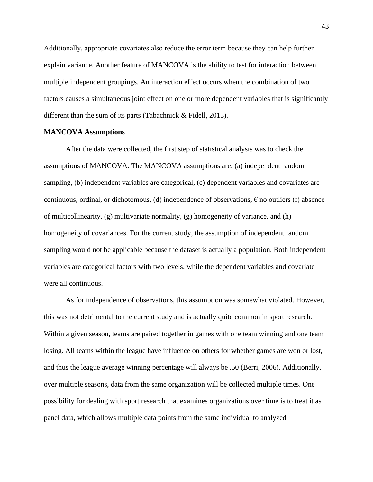Additionally, appropriate covariates also reduce the error term because they can help further explain variance. Another feature of MANCOVA is the ability to test for interaction between multiple independent groupings. An interaction effect occurs when the combination of two factors causes a simultaneous joint effect on one or more dependent variables that is significantly different than the sum of its parts (Tabachnick & Fidell, 2013).

### **MANCOVA Assumptions**

After the data were collected, the first step of statistical analysis was to check the assumptions of MANCOVA. The MANCOVA assumptions are: (a) independent random sampling, (b) independent variables are categorical, (c) dependent variables and covariates are continuous, ordinal, or dichotomous, (d) independence of observations,  $\epsilon$  no outliers (f) absence of multicollinearity,  $(g)$  multivariate normality,  $(g)$  homogeneity of variance, and  $(h)$ homogeneity of covariances. For the current study, the assumption of independent random sampling would not be applicable because the dataset is actually a population. Both independent variables are categorical factors with two levels, while the dependent variables and covariate were all continuous.

As for independence of observations, this assumption was somewhat violated. However, this was not detrimental to the current study and is actually quite common in sport research. Within a given season, teams are paired together in games with one team winning and one team losing. All teams within the league have influence on others for whether games are won or lost, and thus the league average winning percentage will always be .50 (Berri, 2006). Additionally, over multiple seasons, data from the same organization will be collected multiple times. One possibility for dealing with sport research that examines organizations over time is to treat it as panel data, which allows multiple data points from the same individual to analyzed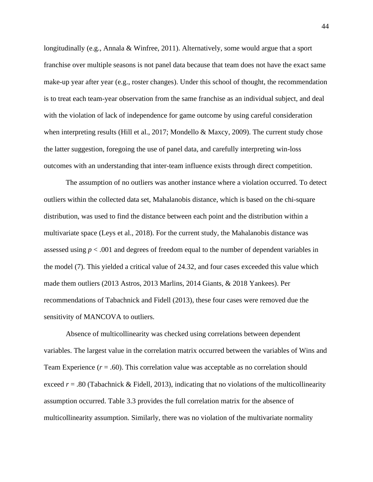longitudinally (e.g., Annala & Winfree, 2011). Alternatively, some would argue that a sport franchise over multiple seasons is not panel data because that team does not have the exact same make-up year after year (e.g., roster changes). Under this school of thought, the recommendation is to treat each team-year observation from the same franchise as an individual subject, and deal with the violation of lack of independence for game outcome by using careful consideration when interpreting results (Hill et al., 2017; Mondello & Maxcy, 2009). The current study chose the latter suggestion, foregoing the use of panel data, and carefully interpreting win-loss outcomes with an understanding that inter-team influence exists through direct competition.

The assumption of no outliers was another instance where a violation occurred. To detect outliers within the collected data set, Mahalanobis distance, which is based on the chi-square distribution, was used to find the distance between each point and the distribution within a multivariate space (Leys et al., 2018). For the current study, the Mahalanobis distance was assessed using *p* < .001 and degrees of freedom equal to the number of dependent variables in the model (7). This yielded a critical value of 24.32, and four cases exceeded this value which made them outliers (2013 Astros, 2013 Marlins, 2014 Giants, & 2018 Yankees). Per recommendations of Tabachnick and Fidell (2013), these four cases were removed due the sensitivity of MANCOVA to outliers.

Absence of multicollinearity was checked using correlations between dependent variables. The largest value in the correlation matrix occurred between the variables of Wins and Team Experience  $(r = .60)$ . This correlation value was acceptable as no correlation should exceed *r* = .80 (Tabachnick & Fidell, 2013), indicating that no violations of the multicollinearity assumption occurred. Table 3.3 provides the full correlation matrix for the absence of multicollinearity assumption. Similarly, there was no violation of the multivariate normality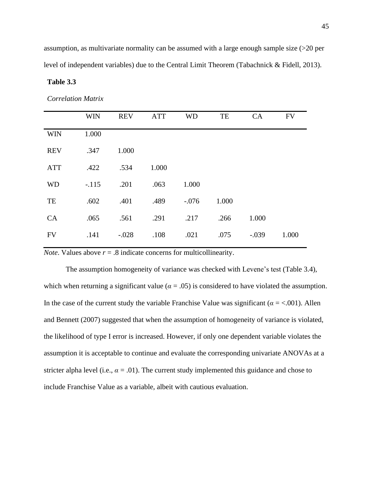assumption, as multivariate normality can be assumed with a large enough sample size (>20 per level of independent variables) due to the Central Limit Theorem (Tabachnick & Fidell, 2013).

## **Table 3.3**

*Correlation Matrix*

|            | <b>WIN</b> | <b>REV</b> | <b>ATT</b> | <b>WD</b> | TE    | <b>CA</b> | <b>FV</b> |
|------------|------------|------------|------------|-----------|-------|-----------|-----------|
| <b>WIN</b> | 1.000      |            |            |           |       |           |           |
| <b>REV</b> | .347       | 1.000      |            |           |       |           |           |
| <b>ATT</b> | .422       | .534       | 1.000      |           |       |           |           |
| <b>WD</b>  | $-.115$    | .201       | .063       | 1.000     |       |           |           |
| TE         | .602       | .401       | .489       | $-.076$   | 1.000 |           |           |
| <b>CA</b>  | .065       | .561       | .291       | .217      | .266  | 1.000     |           |
| <b>FV</b>  | .141       | $-.028$    | .108       | .021      | .075  | $-.039$   | 1.000     |

*Note*. Values above  $r = .8$  indicate concerns for multicollinearity.

The assumption homogeneity of variance was checked with Levene's test (Table 3.4), which when returning a significant value ( $\alpha = .05$ ) is considered to have violated the assumption. In the case of the current study the variable Franchise Value was significant ( $\alpha = <.001$ ). Allen and Bennett (2007) suggested that when the assumption of homogeneity of variance is violated, the likelihood of type I error is increased. However, if only one dependent variable violates the assumption it is acceptable to continue and evaluate the corresponding univariate ANOVAs at a stricter alpha level (i.e.,  $\alpha = .01$ ). The current study implemented this guidance and chose to include Franchise Value as a variable, albeit with cautious evaluation.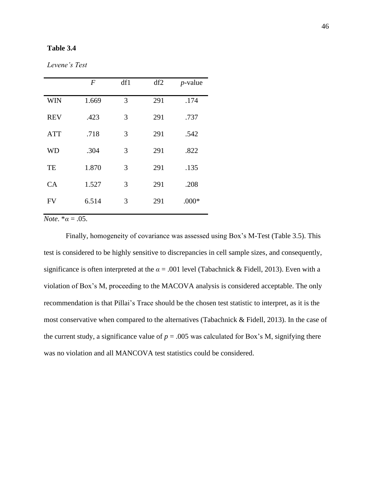## **Table 3.4**

| Levene's Test |  |
|---------------|--|
|---------------|--|

|            | $\boldsymbol{F}$ | df1 | df2 | $p$ -value |
|------------|------------------|-----|-----|------------|
| <b>WIN</b> | 1.669            | 3   | 291 | .174       |
| <b>REV</b> | .423             | 3   | 291 | .737       |
| <b>ATT</b> | .718             | 3   | 291 | .542       |
| WD         | .304             | 3   | 291 | .822       |
| TE         | 1.870            | 3   | 291 | .135       |
| CA         | 1.527            | 3   | 291 | .208       |
| <b>FV</b>  | 6.514            | 3   | 291 | $.000*$    |

*Note*.  $*\alpha = .05$ .

Finally, homogeneity of covariance was assessed using Box's M-Test (Table 3.5). This test is considered to be highly sensitive to discrepancies in cell sample sizes, and consequently, significance is often interpreted at the  $\alpha$  = .001 level (Tabachnick & Fidell, 2013). Even with a violation of Box's M, proceeding to the MACOVA analysis is considered acceptable. The only recommendation is that Pillai's Trace should be the chosen test statistic to interpret, as it is the most conservative when compared to the alternatives (Tabachnick & Fidell, 2013). In the case of the current study, a significance value of  $p = 0.005$  was calculated for Box's M, signifying there was no violation and all MANCOVA test statistics could be considered.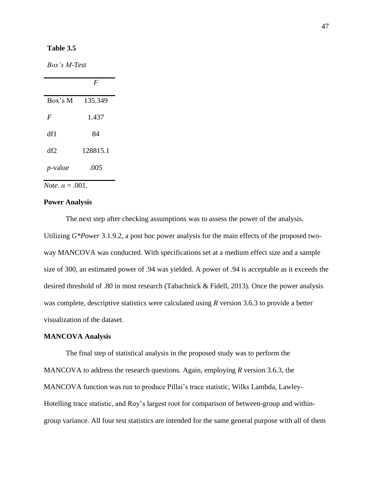## **Table 3.5**

*Box's M-Test*

|            | $\mathbf{F}$ |
|------------|--------------|
| Box's M    | 135.349      |
| F          | 1.437        |
| df1        | 84           |
| df2        | 128815.1     |
| $p$ -value | .005         |

 $\overline{Note. \alpha = .001.}$ 

## **Power Analysis**

The next step after checking assumptions was to assess the power of the analysis. Utilizing *G\*Power* 3.1.9.2, a post hoc power analysis for the main effects of the proposed twoway MANCOVA was conducted. With specifications set at a medium effect size and a sample size of 300, an estimated power of .94 was yielded. A power of .94 is acceptable as it exceeds the desired threshold of .80 in most research (Tabachnick & Fidell, 2013). Once the power analysis was complete, descriptive statistics were calculated using *R* version 3.6.3 to provide a better visualization of the dataset.

## **MANCOVA Analysis**

The final step of statistical analysis in the proposed study was to perform the MANCOVA to address the research questions. Again, employing *R* version 3.6.3, the MANCOVA function was run to produce Pillai's trace statistic, Wilks Lambda, Lawley-Hotelling trace statistic, and Roy's largest root for comparison of between-group and withingroup variance. All four test statistics are intended for the same general purpose with all of them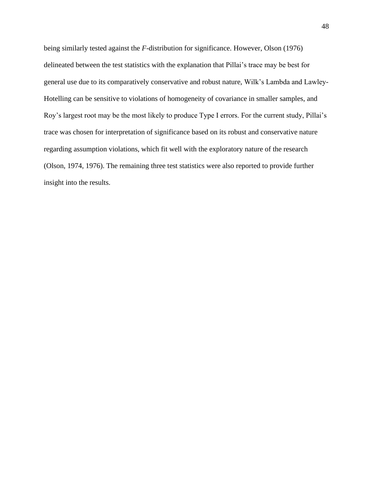being similarly tested against the *F*-distribution for significance. However, Olson (1976) delineated between the test statistics with the explanation that Pillai's trace may be best for general use due to its comparatively conservative and robust nature, Wilk's Lambda and Lawley-Hotelling can be sensitive to violations of homogeneity of covariance in smaller samples, and Roy's largest root may be the most likely to produce Type I errors. For the current study, Pillai's trace was chosen for interpretation of significance based on its robust and conservative nature regarding assumption violations, which fit well with the exploratory nature of the research (Olson, 1974, 1976). The remaining three test statistics were also reported to provide further insight into the results.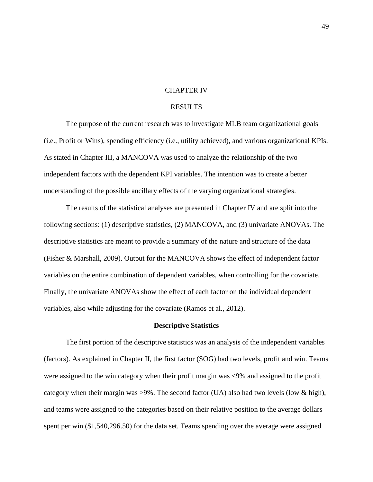### CHAPTER IV

## **RESULTS**

The purpose of the current research was to investigate MLB team organizational goals (i.e., Profit or Wins), spending efficiency (i.e., utility achieved), and various organizational KPIs. As stated in Chapter III, a MANCOVA was used to analyze the relationship of the two independent factors with the dependent KPI variables. The intention was to create a better understanding of the possible ancillary effects of the varying organizational strategies.

The results of the statistical analyses are presented in Chapter IV and are split into the following sections: (1) descriptive statistics, (2) MANCOVA, and (3) univariate ANOVAs. The descriptive statistics are meant to provide a summary of the nature and structure of the data (Fisher & Marshall, 2009). Output for the MANCOVA shows the effect of independent factor variables on the entire combination of dependent variables, when controlling for the covariate. Finally, the univariate ANOVAs show the effect of each factor on the individual dependent variables, also while adjusting for the covariate (Ramos et al., 2012).

#### **Descriptive Statistics**

The first portion of the descriptive statistics was an analysis of the independent variables (factors). As explained in Chapter II, the first factor (SOG) had two levels, profit and win. Teams were assigned to the win category when their profit margin was <9% and assigned to the profit category when their margin was  $>9\%$ . The second factor (UA) also had two levels (low & high), and teams were assigned to the categories based on their relative position to the average dollars spent per win (\$1,540,296.50) for the data set. Teams spending over the average were assigned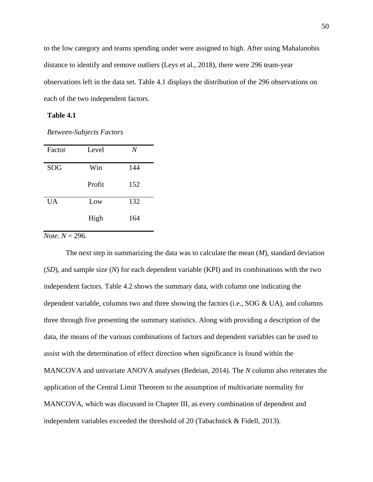to the low category and teams spending under were assigned to high. After using Mahalanobis distance to identify and remove outliers (Leys et al., 2018), there were 296 team-year observations left in the data set. Table 4.1 displays the distribution of the 296 observations on each of the two independent factors.

## **Table 4.1**

*Between-Subjects Factors*

| Factor    | Level  | N   |
|-----------|--------|-----|
| SOG       | Win    | 144 |
|           | Profit | 152 |
| <b>UA</b> | Low    | 132 |
|           | High   | 164 |

 $\overline{Note. N} = 296.$ 

The next step in summarizing the data was to calculate the mean (*M*), standard deviation (*SD*), and sample size (*N*) for each dependent variable (KPI) and its combinations with the two independent factors. Table 4.2 shows the summary data, with column one indicating the dependent variable, columns two and three showing the factors (i.e.,  $SOG \& UA$ ), and columns three through five presenting the summary statistics. Along with providing a description of the data, the means of the various combinations of factors and dependent variables can be used to assist with the determination of effect direction when significance is found within the MANCOVA and univariate ANOVA analyses (Bedeian, 2014). The *N* column also reiterates the application of the Central Limit Theorem to the assumption of multivariate normality for MANCOVA, which was discussed in Chapter III, as every combination of dependent and independent variables exceeded the threshold of 20 (Tabachnick  $\&$  Fidell, 2013).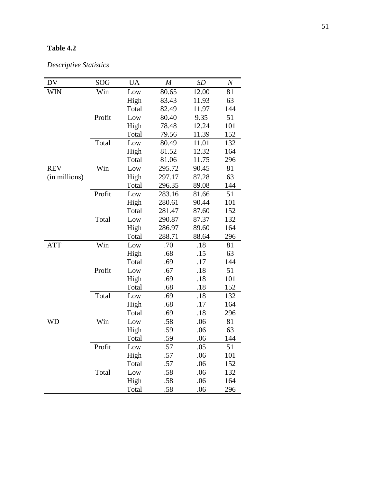# **Table 4.2**

*Descriptive Statistics*

| <b>DV</b>     | SOG    | <b>UA</b> | $\boldsymbol{M}$ | SD    | $\,N$ |
|---------------|--------|-----------|------------------|-------|-------|
| <b>WIN</b>    | Win    | Low       | 80.65            | 12.00 | 81    |
|               |        | High      | 83.43            | 11.93 | 63    |
|               |        | Total     | 82.49            | 11.97 | 144   |
|               | Profit | Low       | 80.40            | 9.35  | 51    |
|               |        | High      | 78.48            | 12.24 | 101   |
|               |        | Total     | 79.56            | 11.39 | 152   |
|               | Total  | Low       | 80.49            | 11.01 | 132   |
|               |        | High      | 81.52            | 12.32 | 164   |
|               |        | Total     | 81.06            | 11.75 | 296   |
| <b>REV</b>    | Win    | Low       | 295.72           | 90.45 | 81    |
| (in millions) |        | High      | 297.17           | 87.28 | 63    |
|               |        | Total     | 296.35           | 89.08 | 144   |
|               | Profit | Low       | 283.16           | 81.66 | 51    |
|               |        | High      | 280.61           | 90.44 | 101   |
|               |        | Total     | 281.47           | 87.60 | 152   |
|               | Total  | Low       | 290.87           | 87.37 | 132   |
|               |        | High      | 286.97           | 89.60 | 164   |
|               |        | Total     | 288.71           | 88.64 | 296   |
| <b>ATT</b>    | Win    | Low       | .70              | .18   | 81    |
|               |        | High      | .68              | .15   | 63    |
|               |        | Total     | .69              | .17   | 144   |
|               | Profit | Low       | .67              | .18   | 51    |
|               |        | High      | .69              | .18   | 101   |
|               |        | Total     | .68              | .18   | 152   |
|               | Total  | Low       | .69              | .18   | 132   |
|               |        | High      | .68              | .17   | 164   |
|               |        | Total     | .69              | .18   | 296   |
| WD            | Win    | Low       | .58              | .06   | 81    |
|               |        | High      | .59              | .06   | 63    |
|               |        | Total     | .59              | .06   | 144   |
|               | Profit | Low       | 57               | .05   | 51    |
|               |        | High      | .57              | .06   | 101   |
|               |        | Total     | .57              | .06   | 152   |
|               | Total  | Low       | .58              | .06   | 132   |
|               |        | High      | .58              | .06   | 164   |
|               |        | Total     | .58              | .06   | 296   |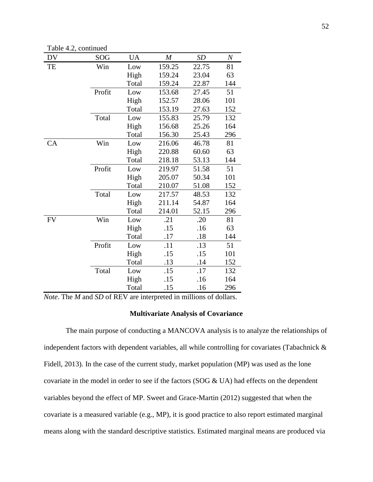Table 4.2, continued

| DV        | SOG    | UA    | $\boldsymbol{M}$ | SD    | $\it N$ |
|-----------|--------|-------|------------------|-------|---------|
| TE        | Win    | Low   | 159.25           | 22.75 | 81      |
|           |        | High  | 159.24           | 23.04 | 63      |
|           |        | Total | 159.24           | 22.87 | 144     |
|           | Profit | Low   | 153.68           | 27.45 | 51      |
|           |        | High  | 152.57           | 28.06 | 101     |
|           |        | Total | 153.19           | 27.63 | 152     |
|           | Total  | Low   | 155.83           | 25.79 | 132     |
|           |        | High  | 156.68           | 25.26 | 164     |
|           |        | Total | 156.30           | 25.43 | 296     |
| CA        | Win    | Low   | 216.06           | 46.78 | 81      |
|           |        | High  | 220.88           | 60.60 | 63      |
|           |        | Total | 218.18           | 53.13 | 144     |
|           | Profit | Low   | 219.97           | 51.58 | 51      |
|           |        | High  | 205.07           | 50.34 | 101     |
|           |        | Total | 210.07           | 51.08 | 152     |
|           | Total  | Low   | 217.57           | 48.53 | 132     |
|           |        | High  | 211.14           | 54.87 | 164     |
|           |        | Total | 214.01           | 52.15 | 296     |
| <b>FV</b> | Win    | Low   | .21              | .20   | 81      |
|           |        | High  | .15              | .16   | 63      |
|           |        | Total | .17              | .18   | 144     |
|           | Profit | Low   | .11              | .13   | 51      |
|           |        | High  | .15              | .15   | 101     |
|           |        | Total | .13              | .14   | 152     |
|           | Total  | Low   | .15              | .17   | 132     |
|           |        | High  | .15              | .16   | 164     |
|           |        | Total | .15              | .16   | 296     |

*Note*. The *M* and *SD* of REV are interpreted in millions of dollars.

### **Multivariate Analysis of Covariance**

The main purpose of conducting a MANCOVA analysis is to analyze the relationships of independent factors with dependent variables, all while controlling for covariates (Tabachnick & Fidell, 2013). In the case of the current study, market population (MP) was used as the lone covariate in the model in order to see if the factors (SOG & UA) had effects on the dependent variables beyond the effect of MP. Sweet and Grace-Martin (2012) suggested that when the covariate is a measured variable (e.g., MP), it is good practice to also report estimated marginal means along with the standard descriptive statistics. Estimated marginal means are produced via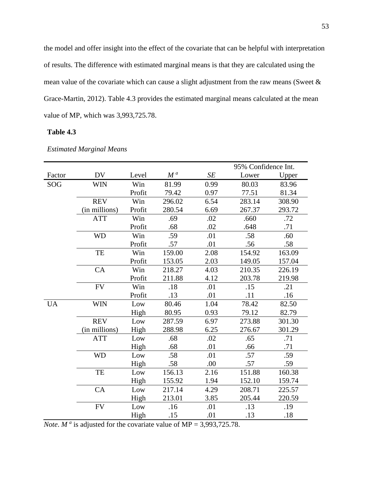the model and offer insight into the effect of the covariate that can be helpful with interpretation of results. The difference with estimated marginal means is that they are calculated using the mean value of the covariate which can cause a slight adjustment from the raw means (Sweet & Grace-Martin, 2012). Table 4.3 provides the estimated marginal means calculated at the mean value of MP, which was 3,993,725.78.

## **Table 4.3**

|           |               |        |        |      | 95% Confidence Int. |        |
|-----------|---------------|--------|--------|------|---------------------|--------|
| Factor    | <b>DV</b>     | Level  | $M^a$  | SE   | Lower               | Upper  |
| SOG       | <b>WIN</b>    | Win    | 81.99  | 0.99 | 80.03               | 83.96  |
|           |               | Profit | 79.42  | 0.97 | 77.51               | 81.34  |
|           | <b>REV</b>    | Win    | 296.02 | 6.54 | 283.14              | 308.90 |
|           | (in millions) | Profit | 280.54 | 6.69 | 267.37              | 293.72 |
|           | <b>ATT</b>    | Win    | .69    | .02  | .660                | .72    |
|           |               | Profit | .68    | .02  | .648                | .71    |
|           | <b>WD</b>     | Win    | .59    | .01  | .58                 | .60    |
|           |               | Profit | .57    | .01  | .56                 | .58    |
|           | TE            | Win    | 159.00 | 2.08 | 154.92              | 163.09 |
|           |               | Profit | 153.05 | 2.03 | 149.05              | 157.04 |
|           | CA            | Win    | 218.27 | 4.03 | 210.35              | 226.19 |
|           |               | Profit | 211.88 | 4.12 | 203.78              | 219.98 |
|           | <b>FV</b>     | Win    | .18    | .01  | .15                 | .21    |
|           |               | Profit | .13    | .01  | .11                 | .16    |
| <b>UA</b> | <b>WIN</b>    | Low    | 80.46  | 1.04 | 78.42               | 82.50  |
|           |               | High   | 80.95  | 0.93 | 79.12               | 82.79  |
|           | <b>REV</b>    | Low    | 287.59 | 6.97 | 273.88              | 301.30 |
|           | (in millions) | High   | 288.98 | 6.25 | 276.67              | 301.29 |
|           | <b>ATT</b>    | Low    | .68    | .02  | .65                 | .71    |
|           |               | High   | .68    | .01  | .66                 | .71    |
|           | <b>WD</b>     | Low    | .58    | .01  | .57                 | .59    |
|           |               | High   | .58    | .00  | .57                 | .59    |
|           | TE            | Low    | 156.13 | 2.16 | 151.88              | 160.38 |
|           |               | High   | 155.92 | 1.94 | 152.10              | 159.74 |
|           | CA            | Low    | 217.14 | 4.29 | 208.71              | 225.57 |
|           |               | High   | 213.01 | 3.85 | 205.44              | 220.59 |
|           | ${\rm FV}$    | Low    | .16    | .01  | .13                 | .19    |
|           |               | High   | .15    | .01  | .13                 | .18    |

## *Estimated Marginal Means*

*Note*. *M*<sup>*a*</sup> is adjusted for the covariate value of MP = 3,993,725.78.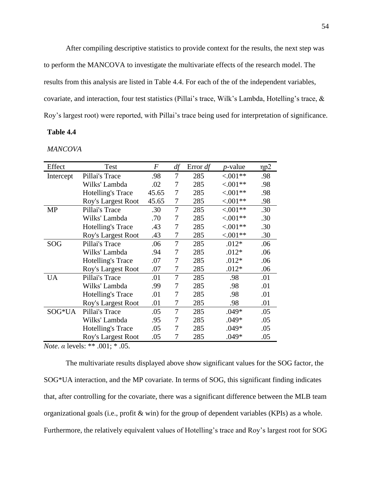After compiling descriptive statistics to provide context for the results, the next step was to perform the MANCOVA to investigate the multivariate effects of the research model. The results from this analysis are listed in Table 4.4. For each of the of the independent variables, covariate, and interaction, four test statistics (Pillai's trace, Wilk's Lambda, Hotelling's trace, & Roy's largest root) were reported, with Pillai's trace being used for interpretation of significance.

## **Table 4.4**

*MANCOVA*

| Effect    | Test                     | F     | df             | Error $df$ | <i>p</i> -value | np2 |
|-----------|--------------------------|-------|----------------|------------|-----------------|-----|
| Intercept | Pillai's Trace           | .98   | 7              | 285        | ${<}001**$      | .98 |
|           | Wilks' Lambda            | .02   | 7              | 285        | $< .001**$      | .98 |
|           | <b>Hotelling's Trace</b> | 45.65 | 7              | 285        | ${<}001**$      | .98 |
|           | Roy's Largest Root       | 45.65 | 7              | 285        | ${<}.001**$     | .98 |
| <b>MP</b> | Pillai's Trace           | .30   | 7              | 285        | ${<}.001**$     | .30 |
|           | Wilks' Lambda            | .70   | 7              | 285        | $< .001**$      | .30 |
|           | <b>Hotelling's Trace</b> | .43   | 7              | 285        | ${<}001**$      | .30 |
|           | Roy's Largest Root       | .43   | 7              | 285        | ${<}001**$      | .30 |
| SOG       | Pillai's Trace           | .06   | 7              | 285        | $.012*$         | .06 |
|           | Wilks' Lambda            | .94   | 7              | 285        | $.012*$         | .06 |
|           | <b>Hotelling's Trace</b> | .07   | 7              | 285        | $.012*$         | .06 |
|           | Roy's Largest Root       | .07   | 7              | 285        | $.012*$         | .06 |
| <b>UA</b> | Pillai's Trace           | .01   | 7              | 285        | .98             | .01 |
|           | Wilks' Lambda            | .99   | 7              | 285        | .98             | .01 |
|           | <b>Hotelling's Trace</b> | .01   | 7              | 285        | .98             | .01 |
|           | Roy's Largest Root       | .01   | 7              | 285        | .98             | .01 |
| SOG*UA    | Pillai's Trace           | .05   | $\overline{7}$ | 285        | $.049*$         | .05 |
|           | Wilks' Lambda            | .95   | 7              | 285        | $.049*$         | .05 |
|           | Hotelling's Trace        | .05   | 7              | 285        | $.049*$         | .05 |
|           | Roy's Largest Root       | .05   | 7              | 285        | $.049*$         | .05 |

*Note*. *α* levels: \*\* .001; \* .05.

The multivariate results displayed above show significant values for the SOG factor, the SOG\*UA interaction, and the MP covariate. In terms of SOG, this significant finding indicates that, after controlling for the covariate, there was a significant difference between the MLB team organizational goals (i.e., profit & win) for the group of dependent variables (KPIs) as a whole. Furthermore, the relatively equivalent values of Hotelling's trace and Roy's largest root for SOG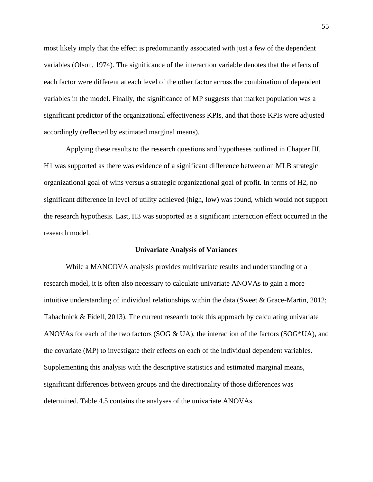most likely imply that the effect is predominantly associated with just a few of the dependent variables (Olson, 1974). The significance of the interaction variable denotes that the effects of each factor were different at each level of the other factor across the combination of dependent variables in the model. Finally, the significance of MP suggests that market population was a significant predictor of the organizational effectiveness KPIs, and that those KPIs were adjusted accordingly (reflected by estimated marginal means).

Applying these results to the research questions and hypotheses outlined in Chapter III, H1 was supported as there was evidence of a significant difference between an MLB strategic organizational goal of wins versus a strategic organizational goal of profit. In terms of H2, no significant difference in level of utility achieved (high, low) was found, which would not support the research hypothesis. Last, H3 was supported as a significant interaction effect occurred in the research model.

#### **Univariate Analysis of Variances**

While a MANCOVA analysis provides multivariate results and understanding of a research model, it is often also necessary to calculate univariate ANOVAs to gain a more intuitive understanding of individual relationships within the data (Sweet & Grace-Martin, 2012; Tabachnick & Fidell, 2013). The current research took this approach by calculating univariate ANOVAs for each of the two factors (SOG  $\&$  UA), the interaction of the factors (SOG\*UA), and the covariate (MP) to investigate their effects on each of the individual dependent variables. Supplementing this analysis with the descriptive statistics and estimated marginal means, significant differences between groups and the directionality of those differences was determined. Table 4.5 contains the analyses of the univariate ANOVAs.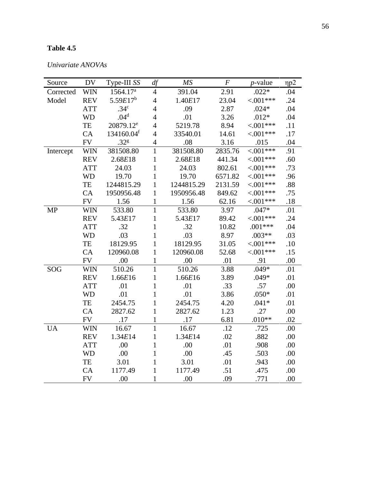# **Table 4.5**

| Source    | <b>DV</b>  | Type-III SS           | df             | MS         | $\cal F$ | <i>p</i> -value | $\eta p2$ |
|-----------|------------|-----------------------|----------------|------------|----------|-----------------|-----------|
| Corrected | <b>WIN</b> | 1564.17 <sup>a</sup>  | $\overline{4}$ | 391.04     | 2.91     | $.022*$         | .04       |
| Model     | <b>REV</b> | $5.59E17^{b}$         | $\overline{4}$ | 1.40E17    | 23.04    | $< 0.01***$     | .24       |
|           | <b>ATT</b> | .34 <sup>c</sup>      | $\overline{4}$ | .09        | 2.87     | $.024*$         | .04       |
|           | <b>WD</b>  | .04 <sup>d</sup>      | $\overline{4}$ | .01        | 3.26     | $.012*$         | .04       |
|           | TE         | 20879.12 <sup>e</sup> | $\overline{4}$ | 5219.78    | 8.94     | $< 0.01***$     | .11       |
|           | CA         | 134160.04f            | $\overline{4}$ | 33540.01   | 14.61    | $< 0.01***$     | .17       |
|           | <b>FV</b>  | .32 <sup>g</sup>      | $\overline{4}$ | .08        | 3.16     | .015            | .04       |
| Intercept | <b>WIN</b> | 381508.80             | $\overline{1}$ | 381508.80  | 2835.76  | $< .001***$     | .91       |
|           | <b>REV</b> | 2.68E18               | $\mathbf{1}$   | 2.68E18    | 441.34   | $< 0.01***$     | .60       |
|           | <b>ATT</b> | 24.03                 | $\mathbf{1}$   | 24.03      | 802.61   | $< 0.01***$     | .73       |
|           | <b>WD</b>  | 19.70                 | $\mathbf{1}$   | 19.70      | 6571.82  | $< 0.01***$     | .96       |
|           | TE         | 1244815.29            | $\mathbf{1}$   | 1244815.29 | 2131.59  | $< .001***$     | .88       |
|           | CA         | 1950956.48            | $\mathbf{1}$   | 1950956.48 | 849.62   | $< 0.01***$     | .75       |
|           | <b>FV</b>  | 1.56                  | $\mathbf{1}$   | 1.56       | 62.16    | $< 0.01***$     | .18       |
| <b>MP</b> | <b>WIN</b> | 533.80                | $\mathbf{1}$   | 533.80     | 3.97     | $.047*$         | .01       |
|           | <b>REV</b> | 5.43E17               | $\mathbf{1}$   | 5.43E17    | 89.42    | $< 001***$      | .24       |
|           | <b>ATT</b> | .32                   | $\mathbf{1}$   | .32        | 10.82    | $.001***$       | .04       |
|           | <b>WD</b>  | .03                   | $\mathbf{1}$   | .03        | 8.97     | $.003**$        | .03       |
|           | TE         | 18129.95              | $\mathbf{1}$   | 18129.95   | 31.05    | $< 001***$      | .10       |
|           | CA         | 120960.08             | $\mathbf{1}$   | 120960.08  | 52.68    | $< 0.01***$     | .15       |
|           | <b>FV</b>  | .00                   | $\mathbf{1}$   | .00        | .01      | .91             | .00       |
| SOG       | <b>WIN</b> | 510.26                | $\mathbf{1}$   | 510.26     | 3.88     | $.049*$         | .01       |
|           | <b>REV</b> | 1.66E16               | $\mathbf{1}$   | 1.66E16    | 3.89     | $.049*$         | .01       |
|           | <b>ATT</b> | .01                   | $\mathbf{1}$   | .01        | .33      | .57             | .00       |
|           | <b>WD</b>  | .01                   | $\mathbf{1}$   | .01        | 3.86     | $.050*$         | .01       |
|           | TE         | 2454.75               | $\mathbf{1}$   | 2454.75    | 4.20     | $.041*$         | .01       |
|           | CA         | 2827.62               | $\mathbf{1}$   | 2827.62    | 1.23     | .27             | .00       |
|           | <b>FV</b>  | .17                   | $\mathbf{1}$   | .17        | 6.81     | $.010**$        | .02       |
| <b>UA</b> | <b>WIN</b> | 16.67                 | $\mathbf{1}$   | 16.67      | .12      | .725            | .00       |
|           | <b>REV</b> | 1.34E14               | $\mathbf{1}$   | 1.34E14    | .02      | .882            | .00       |
|           | <b>ATT</b> | .00                   | $\mathbf{1}$   | .00        | .01      | .908            | .00       |
|           | <b>WD</b>  | .00                   | $\mathbf{1}$   | .00.       | .45      | .503            | .00       |
|           | TE         | 3.01                  | $\mathbf{1}$   | 3.01       | .01      | .943            | .00       |
|           | CA         | 1177.49               | $\mathbf{1}$   | 1177.49    | .51      | .475            | .00       |
|           | <b>FV</b>  | .00                   | $\mathbf{1}$   | .00        | .09      | .771            | .00       |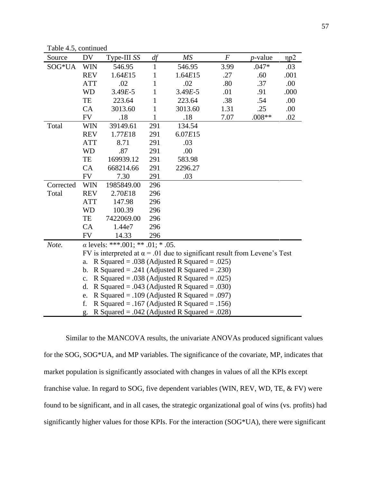Table 4.5, continued

| Source    | DV                                                                               | Type-III SS | df  | MS          | $\boldsymbol{F}$ | <i>p</i> -value | np2  |
|-----------|----------------------------------------------------------------------------------|-------------|-----|-------------|------------------|-----------------|------|
| SOG*UA    | <b>WIN</b>                                                                       | 546.95      | 1   | 546.95      | 3.99             | $.047*$         | .03  |
|           | <b>REV</b>                                                                       | 1.64E15     | 1   | 1.64E15     | .27              | .60             | .001 |
|           | <b>ATT</b>                                                                       | .02         | 1   | .02         | .80              | .37             | .00  |
|           | <b>WD</b>                                                                        | $3.49E - 5$ | 1   | $3.49E - 5$ | .01              | .91             | .000 |
|           | TE                                                                               | 223.64      | 1   | 223.64      | .38              | .54             | .00  |
|           | CA                                                                               | 3013.60     | 1   | 3013.60     | 1.31             | .25             | .00  |
|           | <b>FV</b>                                                                        | .18         | 1   | .18         | 7.07             | $.008**$        | .02  |
| Total     | <b>WIN</b>                                                                       | 39149.61    | 291 | 134.54      |                  |                 |      |
|           | <b>REV</b>                                                                       | 1.77E18     | 291 | 6.07E15     |                  |                 |      |
|           | <b>ATT</b>                                                                       | 8.71        | 291 | .03         |                  |                 |      |
|           | <b>WD</b>                                                                        | .87         | 291 | .00         |                  |                 |      |
|           | TE                                                                               | 169939.12   | 291 | 583.98      |                  |                 |      |
|           | CA                                                                               | 668214.66   | 291 | 2296.27     |                  |                 |      |
|           | <b>FV</b>                                                                        | 7.30        | 291 | .03         |                  |                 |      |
| Corrected | <b>WIN</b>                                                                       | 1985849.00  | 296 |             |                  |                 |      |
| Total     | <b>REV</b>                                                                       | 2.70E18     | 296 |             |                  |                 |      |
|           | <b>ATT</b>                                                                       | 147.98      | 296 |             |                  |                 |      |
|           | <b>WD</b>                                                                        | 100.39      | 296 |             |                  |                 |      |
|           | TE                                                                               | 7422069.00  | 296 |             |                  |                 |      |
|           | CA                                                                               | 1.44e7      | 296 |             |                  |                 |      |
|           | <b>FV</b>                                                                        | 14.33       | 296 |             |                  |                 |      |
| Note.     | $\alpha$ levels: ***.001; ** .01; * .05.                                         |             |     |             |                  |                 |      |
|           | FV is interpreted at $\alpha$ = .01 due to significant result from Levene's Test |             |     |             |                  |                 |      |
|           | R Squared = $.038$ (Adjusted R Squared = $.025$ )<br>a.                          |             |     |             |                  |                 |      |
|           | R Squared = .241 (Adjusted R Squared = .230)<br>$\mathbf b$ .                    |             |     |             |                  |                 |      |
|           | R Squared = .038 (Adjusted R Squared = .025)<br>$\mathbf{c}$ .                   |             |     |             |                  |                 |      |
|           | R Squared = $.043$ (Adjusted R Squared = $.030$ )<br>d.                          |             |     |             |                  |                 |      |
|           | R Squared = $.109$ (Adjusted R Squared = $.097$ )<br>e.                          |             |     |             |                  |                 |      |
|           | f.<br>R Squared = .167 (Adjusted R Squared = .156)                               |             |     |             |                  |                 |      |
|           | R Squared = $.042$ (Adjusted R Squared = $.028$ )<br>g.                          |             |     |             |                  |                 |      |

Similar to the MANCOVA results, the univariate ANOVAs produced significant values for the SOG, SOG\*UA, and MP variables. The significance of the covariate, MP, indicates that market population is significantly associated with changes in values of all the KPIs except franchise value. In regard to SOG, five dependent variables (WIN, REV, WD, TE, & FV) were found to be significant, and in all cases, the strategic organizational goal of wins (vs. profits) had significantly higher values for those KPIs. For the interaction (SOG\*UA), there were significant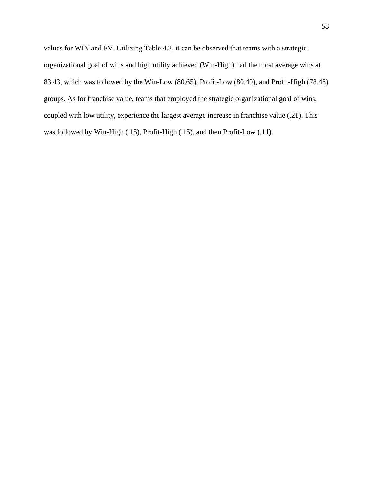values for WIN and FV. Utilizing Table 4.2, it can be observed that teams with a strategic organizational goal of wins and high utility achieved (Win-High) had the most average wins at 83.43, which was followed by the Win-Low (80.65), Profit-Low (80.40), and Profit-High (78.48) groups. As for franchise value, teams that employed the strategic organizational goal of wins, coupled with low utility, experience the largest average increase in franchise value (.21). This was followed by Win-High (.15), Profit-High (.15), and then Profit-Low (.11).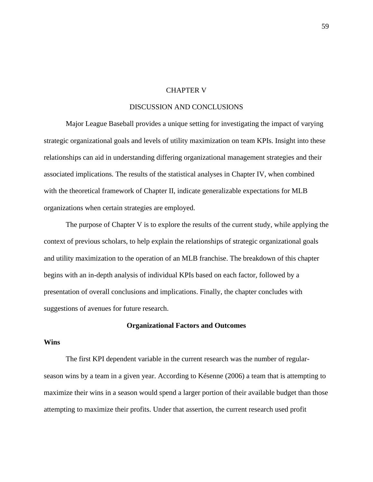### CHAPTER V

## DISCUSSION AND CONCLUSIONS

Major League Baseball provides a unique setting for investigating the impact of varying strategic organizational goals and levels of utility maximization on team KPIs. Insight into these relationships can aid in understanding differing organizational management strategies and their associated implications. The results of the statistical analyses in Chapter IV, when combined with the theoretical framework of Chapter II, indicate generalizable expectations for MLB organizations when certain strategies are employed.

The purpose of Chapter V is to explore the results of the current study, while applying the context of previous scholars, to help explain the relationships of strategic organizational goals and utility maximization to the operation of an MLB franchise. The breakdown of this chapter begins with an in-depth analysis of individual KPIs based on each factor, followed by a presentation of overall conclusions and implications. Finally, the chapter concludes with suggestions of avenues for future research.

### **Organizational Factors and Outcomes**

## **Wins**

The first KPI dependent variable in the current research was the number of regularseason wins by a team in a given year. According to Késenne (2006) a team that is attempting to maximize their wins in a season would spend a larger portion of their available budget than those attempting to maximize their profits. Under that assertion, the current research used profit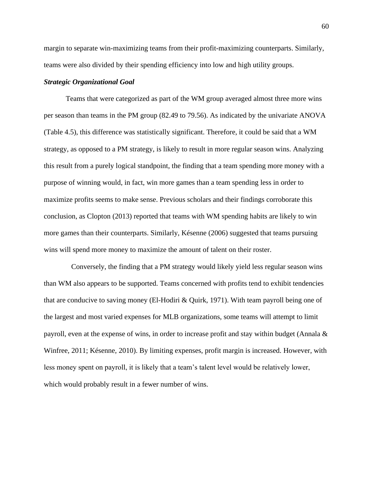margin to separate win-maximizing teams from their profit-maximizing counterparts. Similarly, teams were also divided by their spending efficiency into low and high utility groups.

### *Strategic Organizational Goal*

Teams that were categorized as part of the WM group averaged almost three more wins per season than teams in the PM group (82.49 to 79.56). As indicated by the univariate ANOVA (Table 4.5), this difference was statistically significant. Therefore, it could be said that a WM strategy, as opposed to a PM strategy, is likely to result in more regular season wins. Analyzing this result from a purely logical standpoint, the finding that a team spending more money with a purpose of winning would, in fact, win more games than a team spending less in order to maximize profits seems to make sense. Previous scholars and their findings corroborate this conclusion, as Clopton (2013) reported that teams with WM spending habits are likely to win more games than their counterparts. Similarly, Késenne (2006) suggested that teams pursuing wins will spend more money to maximize the amount of talent on their roster.

 Conversely, the finding that a PM strategy would likely yield less regular season wins than WM also appears to be supported. Teams concerned with profits tend to exhibit tendencies that are conducive to saving money (El-Hodiri & Quirk, 1971). With team payroll being one of the largest and most varied expenses for MLB organizations, some teams will attempt to limit payroll, even at the expense of wins, in order to increase profit and stay within budget (Annala & Winfree, 2011; Késenne, 2010). By limiting expenses, profit margin is increased. However, with less money spent on payroll, it is likely that a team's talent level would be relatively lower, which would probably result in a fewer number of wins.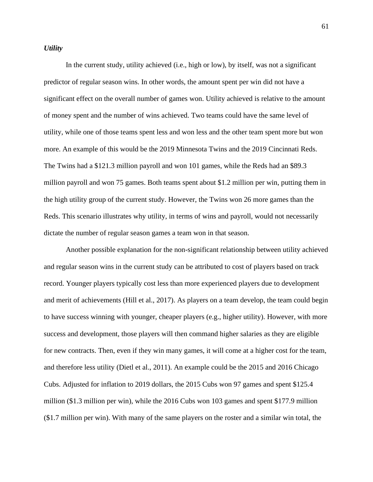## *Utility*

In the current study, utility achieved (i.e., high or low), by itself, was not a significant predictor of regular season wins. In other words, the amount spent per win did not have a significant effect on the overall number of games won. Utility achieved is relative to the amount of money spent and the number of wins achieved. Two teams could have the same level of utility, while one of those teams spent less and won less and the other team spent more but won more. An example of this would be the 2019 Minnesota Twins and the 2019 Cincinnati Reds. The Twins had a \$121.3 million payroll and won 101 games, while the Reds had an \$89.3 million payroll and won 75 games. Both teams spent about \$1.2 million per win, putting them in the high utility group of the current study. However, the Twins won 26 more games than the Reds. This scenario illustrates why utility, in terms of wins and payroll, would not necessarily dictate the number of regular season games a team won in that season.

Another possible explanation for the non-significant relationship between utility achieved and regular season wins in the current study can be attributed to cost of players based on track record. Younger players typically cost less than more experienced players due to development and merit of achievements (Hill et al., 2017). As players on a team develop, the team could begin to have success winning with younger, cheaper players (e.g., higher utility). However, with more success and development, those players will then command higher salaries as they are eligible for new contracts. Then, even if they win many games, it will come at a higher cost for the team, and therefore less utility (Dietl et al., 2011). An example could be the 2015 and 2016 Chicago Cubs. Adjusted for inflation to 2019 dollars, the 2015 Cubs won 97 games and spent \$125.4 million (\$1.3 million per win), while the 2016 Cubs won 103 games and spent \$177.9 million (\$1.7 million per win). With many of the same players on the roster and a similar win total, the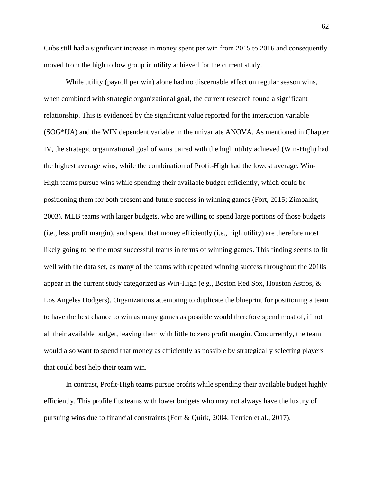Cubs still had a significant increase in money spent per win from 2015 to 2016 and consequently moved from the high to low group in utility achieved for the current study.

While utility (payroll per win) alone had no discernable effect on regular season wins, when combined with strategic organizational goal, the current research found a significant relationship. This is evidenced by the significant value reported for the interaction variable (SOG\*UA) and the WIN dependent variable in the univariate ANOVA. As mentioned in Chapter IV, the strategic organizational goal of wins paired with the high utility achieved (Win-High) had the highest average wins, while the combination of Profit-High had the lowest average. Win-High teams pursue wins while spending their available budget efficiently, which could be positioning them for both present and future success in winning games (Fort, 2015; Zimbalist, 2003). MLB teams with larger budgets, who are willing to spend large portions of those budgets (i.e., less profit margin), and spend that money efficiently (i.e., high utility) are therefore most likely going to be the most successful teams in terms of winning games. This finding seems to fit well with the data set, as many of the teams with repeated winning success throughout the 2010s appear in the current study categorized as Win-High (e.g., Boston Red Sox, Houston Astros, & Los Angeles Dodgers). Organizations attempting to duplicate the blueprint for positioning a team to have the best chance to win as many games as possible would therefore spend most of, if not all their available budget, leaving them with little to zero profit margin. Concurrently, the team would also want to spend that money as efficiently as possible by strategically selecting players that could best help their team win.

In contrast, Profit-High teams pursue profits while spending their available budget highly efficiently. This profile fits teams with lower budgets who may not always have the luxury of pursuing wins due to financial constraints (Fort & Quirk, 2004; Terrien et al., 2017).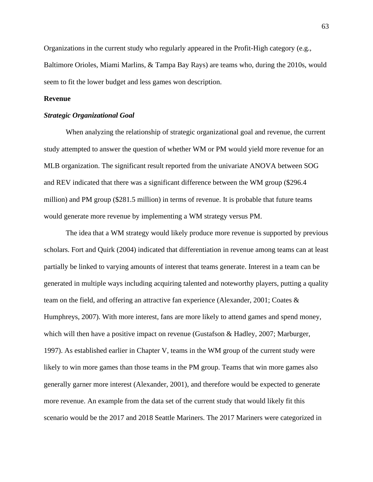Organizations in the current study who regularly appeared in the Profit-High category (e.g., Baltimore Orioles, Miami Marlins, & Tampa Bay Rays) are teams who, during the 2010s, would seem to fit the lower budget and less games won description.

# **Revenue**

#### *Strategic Organizational Goal*

When analyzing the relationship of strategic organizational goal and revenue, the current study attempted to answer the question of whether WM or PM would yield more revenue for an MLB organization. The significant result reported from the univariate ANOVA between SOG and REV indicated that there was a significant difference between the WM group (\$296.4 million) and PM group (\$281.5 million) in terms of revenue. It is probable that future teams would generate more revenue by implementing a WM strategy versus PM.

The idea that a WM strategy would likely produce more revenue is supported by previous scholars. Fort and Quirk (2004) indicated that differentiation in revenue among teams can at least partially be linked to varying amounts of interest that teams generate. Interest in a team can be generated in multiple ways including acquiring talented and noteworthy players, putting a quality team on the field, and offering an attractive fan experience (Alexander, 2001; Coates & Humphreys, 2007). With more interest, fans are more likely to attend games and spend money, which will then have a positive impact on revenue (Gustafson & Hadley, 2007; Marburger, 1997). As established earlier in Chapter V, teams in the WM group of the current study were likely to win more games than those teams in the PM group. Teams that win more games also generally garner more interest (Alexander, 2001), and therefore would be expected to generate more revenue. An example from the data set of the current study that would likely fit this scenario would be the 2017 and 2018 Seattle Mariners. The 2017 Mariners were categorized in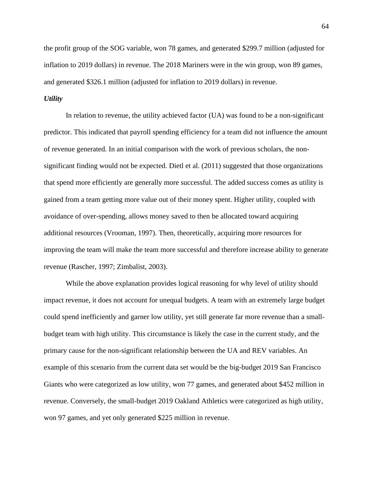the profit group of the SOG variable, won 78 games, and generated \$299.7 million (adjusted for inflation to 2019 dollars) in revenue. The 2018 Mariners were in the win group, won 89 games, and generated \$326.1 million (adjusted for inflation to 2019 dollars) in revenue.

# *Utility*

In relation to revenue, the utility achieved factor (UA) was found to be a non-significant predictor. This indicated that payroll spending efficiency for a team did not influence the amount of revenue generated. In an initial comparison with the work of previous scholars, the nonsignificant finding would not be expected. Dietl et al. (2011) suggested that those organizations that spend more efficiently are generally more successful. The added success comes as utility is gained from a team getting more value out of their money spent. Higher utility, coupled with avoidance of over-spending, allows money saved to then be allocated toward acquiring additional resources (Vrooman, 1997). Then, theoretically, acquiring more resources for improving the team will make the team more successful and therefore increase ability to generate revenue (Rascher, 1997; Zimbalist, 2003).

While the above explanation provides logical reasoning for why level of utility should impact revenue, it does not account for unequal budgets. A team with an extremely large budget could spend inefficiently and garner low utility, yet still generate far more revenue than a smallbudget team with high utility. This circumstance is likely the case in the current study, and the primary cause for the non-significant relationship between the UA and REV variables. An example of this scenario from the current data set would be the big-budget 2019 San Francisco Giants who were categorized as low utility, won 77 games, and generated about \$452 million in revenue. Conversely, the small-budget 2019 Oakland Athletics were categorized as high utility, won 97 games, and yet only generated \$225 million in revenue.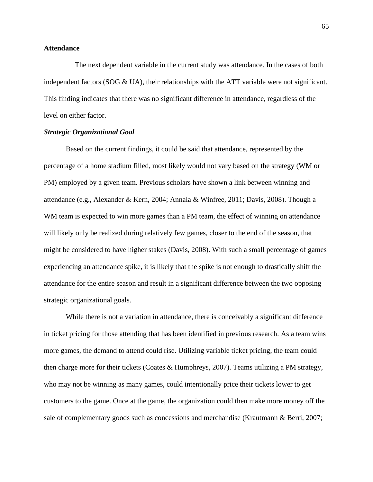# **Attendance**

 The next dependent variable in the current study was attendance. In the cases of both independent factors (SOG  $\&$  UA), their relationships with the ATT variable were not significant. This finding indicates that there was no significant difference in attendance, regardless of the level on either factor.

# *Strategic Organizational Goal*

Based on the current findings, it could be said that attendance, represented by the percentage of a home stadium filled, most likely would not vary based on the strategy (WM or PM) employed by a given team. Previous scholars have shown a link between winning and attendance (e.g., Alexander & Kern, 2004; Annala & Winfree, 2011; Davis, 2008). Though a WM team is expected to win more games than a PM team, the effect of winning on attendance will likely only be realized during relatively few games, closer to the end of the season, that might be considered to have higher stakes (Davis, 2008). With such a small percentage of games experiencing an attendance spike, it is likely that the spike is not enough to drastically shift the attendance for the entire season and result in a significant difference between the two opposing strategic organizational goals.

While there is not a variation in attendance, there is conceivably a significant difference in ticket pricing for those attending that has been identified in previous research. As a team wins more games, the demand to attend could rise. Utilizing variable ticket pricing, the team could then charge more for their tickets (Coates & Humphreys, 2007). Teams utilizing a PM strategy, who may not be winning as many games, could intentionally price their tickets lower to get customers to the game. Once at the game, the organization could then make more money off the sale of complementary goods such as concessions and merchandise (Krautmann & Berri, 2007;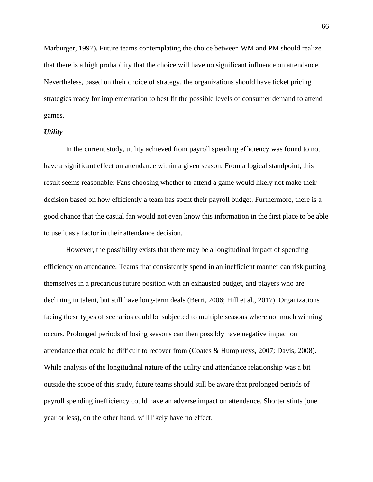Marburger, 1997). Future teams contemplating the choice between WM and PM should realize that there is a high probability that the choice will have no significant influence on attendance. Nevertheless, based on their choice of strategy, the organizations should have ticket pricing strategies ready for implementation to best fit the possible levels of consumer demand to attend games.

# *Utility*

In the current study, utility achieved from payroll spending efficiency was found to not have a significant effect on attendance within a given season. From a logical standpoint, this result seems reasonable: Fans choosing whether to attend a game would likely not make their decision based on how efficiently a team has spent their payroll budget. Furthermore, there is a good chance that the casual fan would not even know this information in the first place to be able to use it as a factor in their attendance decision.

However, the possibility exists that there may be a longitudinal impact of spending efficiency on attendance. Teams that consistently spend in an inefficient manner can risk putting themselves in a precarious future position with an exhausted budget, and players who are declining in talent, but still have long-term deals (Berri, 2006; Hill et al., 2017). Organizations facing these types of scenarios could be subjected to multiple seasons where not much winning occurs. Prolonged periods of losing seasons can then possibly have negative impact on attendance that could be difficult to recover from (Coates & Humphreys, 2007; Davis, 2008). While analysis of the longitudinal nature of the utility and attendance relationship was a bit outside the scope of this study, future teams should still be aware that prolonged periods of payroll spending inefficiency could have an adverse impact on attendance. Shorter stints (one year or less), on the other hand, will likely have no effect.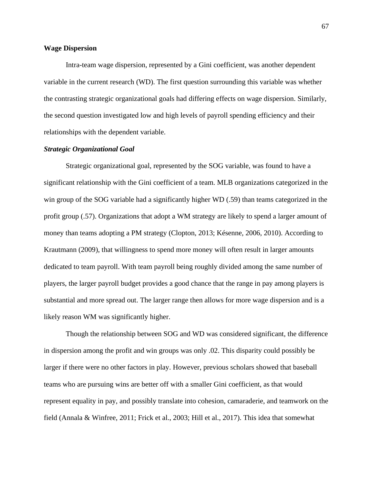# **Wage Dispersion**

Intra-team wage dispersion, represented by a Gini coefficient, was another dependent variable in the current research (WD). The first question surrounding this variable was whether the contrasting strategic organizational goals had differing effects on wage dispersion. Similarly, the second question investigated low and high levels of payroll spending efficiency and their relationships with the dependent variable.

#### *Strategic Organizational Goal*

Strategic organizational goal, represented by the SOG variable, was found to have a significant relationship with the Gini coefficient of a team. MLB organizations categorized in the win group of the SOG variable had a significantly higher WD (.59) than teams categorized in the profit group (.57). Organizations that adopt a WM strategy are likely to spend a larger amount of money than teams adopting a PM strategy (Clopton, 2013; Késenne, 2006, 2010). According to Krautmann (2009), that willingness to spend more money will often result in larger amounts dedicated to team payroll. With team payroll being roughly divided among the same number of players, the larger payroll budget provides a good chance that the range in pay among players is substantial and more spread out. The larger range then allows for more wage dispersion and is a likely reason WM was significantly higher.

Though the relationship between SOG and WD was considered significant, the difference in dispersion among the profit and win groups was only .02. This disparity could possibly be larger if there were no other factors in play. However, previous scholars showed that baseball teams who are pursuing wins are better off with a smaller Gini coefficient, as that would represent equality in pay, and possibly translate into cohesion, camaraderie, and teamwork on the field (Annala & Winfree, 2011; Frick et al., 2003; Hill et al., 2017). This idea that somewhat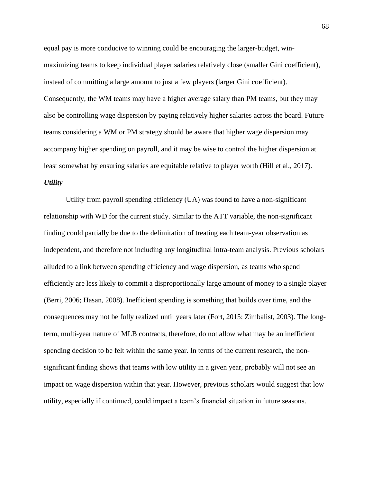equal pay is more conducive to winning could be encouraging the larger-budget, winmaximizing teams to keep individual player salaries relatively close (smaller Gini coefficient), instead of committing a large amount to just a few players (larger Gini coefficient). Consequently, the WM teams may have a higher average salary than PM teams, but they may also be controlling wage dispersion by paying relatively higher salaries across the board. Future teams considering a WM or PM strategy should be aware that higher wage dispersion may accompany higher spending on payroll, and it may be wise to control the higher dispersion at least somewhat by ensuring salaries are equitable relative to player worth (Hill et al., 2017). *Utility*

Utility from payroll spending efficiency (UA) was found to have a non-significant relationship with WD for the current study. Similar to the ATT variable, the non-significant finding could partially be due to the delimitation of treating each team-year observation as independent, and therefore not including any longitudinal intra-team analysis. Previous scholars alluded to a link between spending efficiency and wage dispersion, as teams who spend efficiently are less likely to commit a disproportionally large amount of money to a single player (Berri, 2006; Hasan, 2008). Inefficient spending is something that builds over time, and the consequences may not be fully realized until years later (Fort, 2015; Zimbalist, 2003). The longterm, multi-year nature of MLB contracts, therefore, do not allow what may be an inefficient spending decision to be felt within the same year. In terms of the current research, the nonsignificant finding shows that teams with low utility in a given year, probably will not see an impact on wage dispersion within that year. However, previous scholars would suggest that low utility, especially if continued, could impact a team's financial situation in future seasons.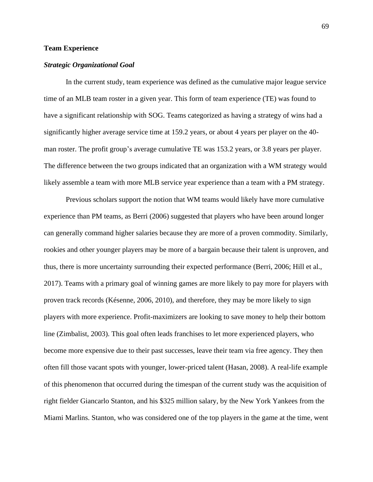# **Team Experience**

# *Strategic Organizational Goal*

In the current study, team experience was defined as the cumulative major league service time of an MLB team roster in a given year. This form of team experience (TE) was found to have a significant relationship with SOG. Teams categorized as having a strategy of wins had a significantly higher average service time at 159.2 years, or about 4 years per player on the 40 man roster. The profit group's average cumulative TE was 153.2 years, or 3.8 years per player. The difference between the two groups indicated that an organization with a WM strategy would likely assemble a team with more MLB service year experience than a team with a PM strategy.

Previous scholars support the notion that WM teams would likely have more cumulative experience than PM teams, as Berri (2006) suggested that players who have been around longer can generally command higher salaries because they are more of a proven commodity. Similarly, rookies and other younger players may be more of a bargain because their talent is unproven, and thus, there is more uncertainty surrounding their expected performance (Berri, 2006; Hill et al., 2017). Teams with a primary goal of winning games are more likely to pay more for players with proven track records (Késenne, 2006, 2010), and therefore, they may be more likely to sign players with more experience. Profit-maximizers are looking to save money to help their bottom line (Zimbalist, 2003). This goal often leads franchises to let more experienced players, who become more expensive due to their past successes, leave their team via free agency. They then often fill those vacant spots with younger, lower-priced talent (Hasan, 2008). A real-life example of this phenomenon that occurred during the timespan of the current study was the acquisition of right fielder Giancarlo Stanton, and his \$325 million salary, by the New York Yankees from the Miami Marlins. Stanton, who was considered one of the top players in the game at the time, went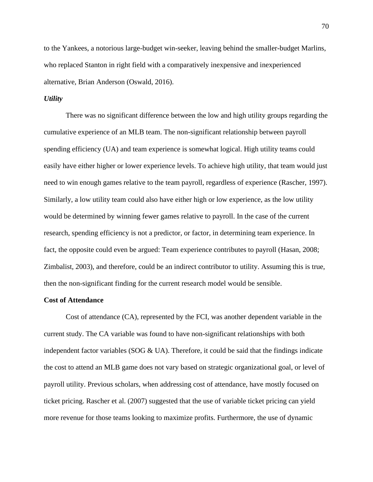to the Yankees, a notorious large-budget win-seeker, leaving behind the smaller-budget Marlins, who replaced Stanton in right field with a comparatively inexpensive and inexperienced alternative, Brian Anderson (Oswald, 2016).

# *Utility*

There was no significant difference between the low and high utility groups regarding the cumulative experience of an MLB team. The non-significant relationship between payroll spending efficiency (UA) and team experience is somewhat logical. High utility teams could easily have either higher or lower experience levels. To achieve high utility, that team would just need to win enough games relative to the team payroll, regardless of experience (Rascher, 1997). Similarly, a low utility team could also have either high or low experience, as the low utility would be determined by winning fewer games relative to payroll. In the case of the current research, spending efficiency is not a predictor, or factor, in determining team experience. In fact, the opposite could even be argued: Team experience contributes to payroll (Hasan, 2008; Zimbalist, 2003), and therefore, could be an indirect contributor to utility. Assuming this is true, then the non-significant finding for the current research model would be sensible.

# **Cost of Attendance**

Cost of attendance (CA), represented by the FCI, was another dependent variable in the current study. The CA variable was found to have non-significant relationships with both independent factor variables ( $SOG & UA$ ). Therefore, it could be said that the findings indicate the cost to attend an MLB game does not vary based on strategic organizational goal, or level of payroll utility. Previous scholars, when addressing cost of attendance, have mostly focused on ticket pricing. Rascher et al. (2007) suggested that the use of variable ticket pricing can yield more revenue for those teams looking to maximize profits. Furthermore, the use of dynamic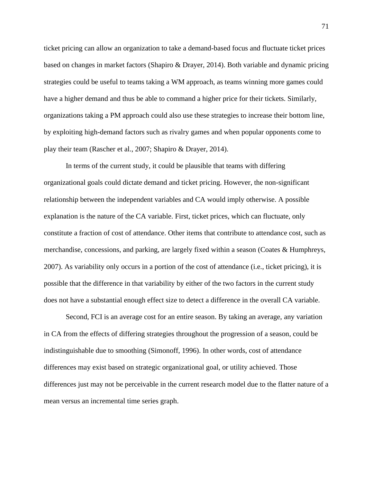ticket pricing can allow an organization to take a demand-based focus and fluctuate ticket prices based on changes in market factors (Shapiro & Drayer, 2014). Both variable and dynamic pricing strategies could be useful to teams taking a WM approach, as teams winning more games could have a higher demand and thus be able to command a higher price for their tickets. Similarly, organizations taking a PM approach could also use these strategies to increase their bottom line, by exploiting high-demand factors such as rivalry games and when popular opponents come to play their team (Rascher et al., 2007; Shapiro & Drayer, 2014).

In terms of the current study, it could be plausible that teams with differing organizational goals could dictate demand and ticket pricing. However, the non-significant relationship between the independent variables and CA would imply otherwise. A possible explanation is the nature of the CA variable. First, ticket prices, which can fluctuate, only constitute a fraction of cost of attendance. Other items that contribute to attendance cost, such as merchandise, concessions, and parking, are largely fixed within a season (Coates & Humphreys, 2007). As variability only occurs in a portion of the cost of attendance (i.e., ticket pricing), it is possible that the difference in that variability by either of the two factors in the current study does not have a substantial enough effect size to detect a difference in the overall CA variable.

Second, FCI is an average cost for an entire season. By taking an average, any variation in CA from the effects of differing strategies throughout the progression of a season, could be indistinguishable due to smoothing (Simonoff, 1996). In other words, cost of attendance differences may exist based on strategic organizational goal, or utility achieved. Those differences just may not be perceivable in the current research model due to the flatter nature of a mean versus an incremental time series graph.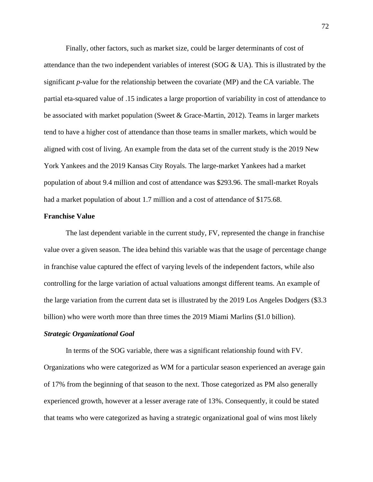Finally, other factors, such as market size, could be larger determinants of cost of attendance than the two independent variables of interest (SOG & UA). This is illustrated by the significant *p*-value for the relationship between the covariate (MP) and the CA variable. The partial eta-squared value of .15 indicates a large proportion of variability in cost of attendance to be associated with market population (Sweet & Grace-Martin, 2012). Teams in larger markets tend to have a higher cost of attendance than those teams in smaller markets, which would be aligned with cost of living. An example from the data set of the current study is the 2019 New York Yankees and the 2019 Kansas City Royals. The large-market Yankees had a market population of about 9.4 million and cost of attendance was \$293.96. The small-market Royals had a market population of about 1.7 million and a cost of attendance of \$175.68.

### **Franchise Value**

The last dependent variable in the current study, FV, represented the change in franchise value over a given season. The idea behind this variable was that the usage of percentage change in franchise value captured the effect of varying levels of the independent factors, while also controlling for the large variation of actual valuations amongst different teams. An example of the large variation from the current data set is illustrated by the 2019 Los Angeles Dodgers (\$3.3 billion) who were worth more than three times the 2019 Miami Marlins (\$1.0 billion).

#### *Strategic Organizational Goal*

In terms of the SOG variable, there was a significant relationship found with FV. Organizations who were categorized as WM for a particular season experienced an average gain of 17% from the beginning of that season to the next. Those categorized as PM also generally experienced growth, however at a lesser average rate of 13%. Consequently, it could be stated that teams who were categorized as having a strategic organizational goal of wins most likely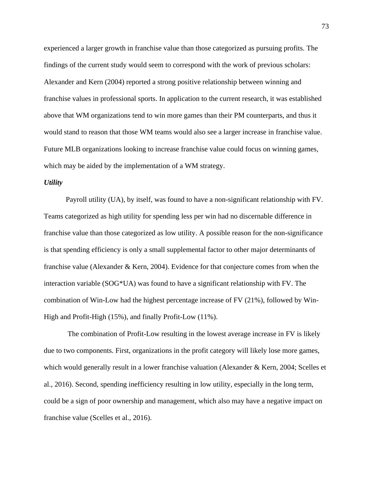experienced a larger growth in franchise value than those categorized as pursuing profits. The findings of the current study would seem to correspond with the work of previous scholars: Alexander and Kern (2004) reported a strong positive relationship between winning and franchise values in professional sports. In application to the current research, it was established above that WM organizations tend to win more games than their PM counterparts, and thus it would stand to reason that those WM teams would also see a larger increase in franchise value. Future MLB organizations looking to increase franchise value could focus on winning games, which may be aided by the implementation of a WM strategy.

# *Utility*

Payroll utility (UA), by itself, was found to have a non-significant relationship with FV. Teams categorized as high utility for spending less per win had no discernable difference in franchise value than those categorized as low utility. A possible reason for the non-significance is that spending efficiency is only a small supplemental factor to other major determinants of franchise value (Alexander & Kern, 2004). Evidence for that conjecture comes from when the interaction variable (SOG\*UA) was found to have a significant relationship with FV. The combination of Win-Low had the highest percentage increase of FV (21%), followed by Win-High and Profit-High (15%), and finally Profit-Low (11%).

The combination of Profit-Low resulting in the lowest average increase in FV is likely due to two components. First, organizations in the profit category will likely lose more games, which would generally result in a lower franchise valuation (Alexander & Kern, 2004; Scelles et al., 2016). Second, spending inefficiency resulting in low utility, especially in the long term, could be a sign of poor ownership and management, which also may have a negative impact on franchise value (Scelles et al., 2016).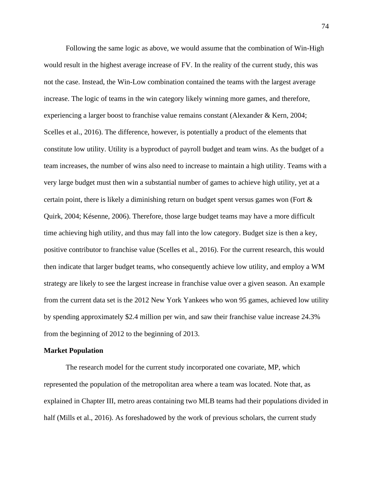Following the same logic as above, we would assume that the combination of Win-High would result in the highest average increase of FV. In the reality of the current study, this was not the case. Instead, the Win-Low combination contained the teams with the largest average increase. The logic of teams in the win category likely winning more games, and therefore, experiencing a larger boost to franchise value remains constant (Alexander & Kern, 2004; Scelles et al., 2016). The difference, however, is potentially a product of the elements that constitute low utility. Utility is a byproduct of payroll budget and team wins. As the budget of a team increases, the number of wins also need to increase to maintain a high utility. Teams with a very large budget must then win a substantial number of games to achieve high utility, yet at a certain point, there is likely a diminishing return on budget spent versus games won (Fort & Quirk, 2004; Késenne, 2006). Therefore, those large budget teams may have a more difficult time achieving high utility, and thus may fall into the low category. Budget size is then a key, positive contributor to franchise value (Scelles et al., 2016). For the current research, this would then indicate that larger budget teams, who consequently achieve low utility, and employ a WM strategy are likely to see the largest increase in franchise value over a given season. An example from the current data set is the 2012 New York Yankees who won 95 games, achieved low utility by spending approximately \$2.4 million per win, and saw their franchise value increase 24.3% from the beginning of 2012 to the beginning of 2013.

#### **Market Population**

The research model for the current study incorporated one covariate, MP, which represented the population of the metropolitan area where a team was located. Note that, as explained in Chapter III, metro areas containing two MLB teams had their populations divided in half (Mills et al., 2016). As foreshadowed by the work of previous scholars, the current study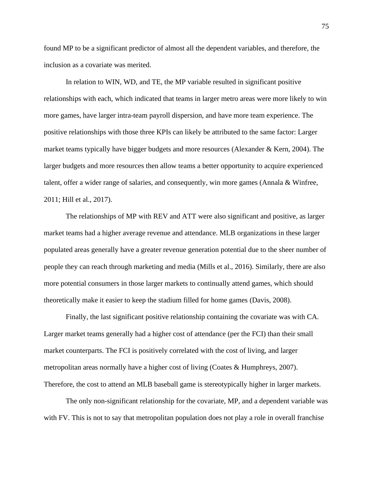found MP to be a significant predictor of almost all the dependent variables, and therefore, the inclusion as a covariate was merited.

In relation to WIN, WD, and TE, the MP variable resulted in significant positive relationships with each, which indicated that teams in larger metro areas were more likely to win more games, have larger intra-team payroll dispersion, and have more team experience. The positive relationships with those three KPIs can likely be attributed to the same factor: Larger market teams typically have bigger budgets and more resources (Alexander & Kern, 2004). The larger budgets and more resources then allow teams a better opportunity to acquire experienced talent, offer a wider range of salaries, and consequently, win more games (Annala & Winfree, 2011; Hill et al., 2017).

The relationships of MP with REV and ATT were also significant and positive, as larger market teams had a higher average revenue and attendance. MLB organizations in these larger populated areas generally have a greater revenue generation potential due to the sheer number of people they can reach through marketing and media (Mills et al., 2016). Similarly, there are also more potential consumers in those larger markets to continually attend games, which should theoretically make it easier to keep the stadium filled for home games (Davis, 2008).

Finally, the last significant positive relationship containing the covariate was with CA. Larger market teams generally had a higher cost of attendance (per the FCI) than their small market counterparts. The FCI is positively correlated with the cost of living, and larger metropolitan areas normally have a higher cost of living (Coates & Humphreys, 2007). Therefore, the cost to attend an MLB baseball game is stereotypically higher in larger markets.

The only non-significant relationship for the covariate, MP, and a dependent variable was with FV. This is not to say that metropolitan population does not play a role in overall franchise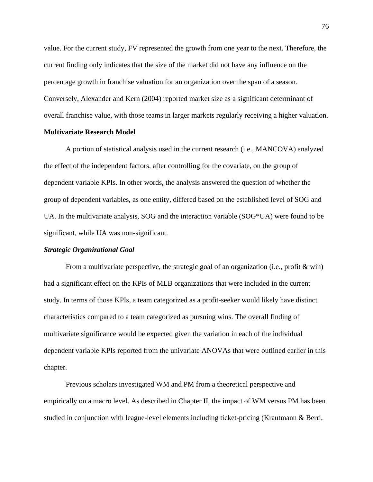value. For the current study, FV represented the growth from one year to the next. Therefore, the current finding only indicates that the size of the market did not have any influence on the percentage growth in franchise valuation for an organization over the span of a season. Conversely, Alexander and Kern (2004) reported market size as a significant determinant of overall franchise value, with those teams in larger markets regularly receiving a higher valuation.

# **Multivariate Research Model**

A portion of statistical analysis used in the current research (i.e., MANCOVA) analyzed the effect of the independent factors, after controlling for the covariate, on the group of dependent variable KPIs. In other words, the analysis answered the question of whether the group of dependent variables, as one entity, differed based on the established level of SOG and UA. In the multivariate analysis, SOG and the interaction variable (SOG\*UA) were found to be significant, while UA was non-significant.

#### *Strategic Organizational Goal*

From a multivariate perspective, the strategic goal of an organization (i.e., profit & win) had a significant effect on the KPIs of MLB organizations that were included in the current study. In terms of those KPIs, a team categorized as a profit-seeker would likely have distinct characteristics compared to a team categorized as pursuing wins. The overall finding of multivariate significance would be expected given the variation in each of the individual dependent variable KPIs reported from the univariate ANOVAs that were outlined earlier in this chapter.

Previous scholars investigated WM and PM from a theoretical perspective and empirically on a macro level. As described in Chapter II, the impact of WM versus PM has been studied in conjunction with league-level elements including ticket-pricing (Krautmann & Berri,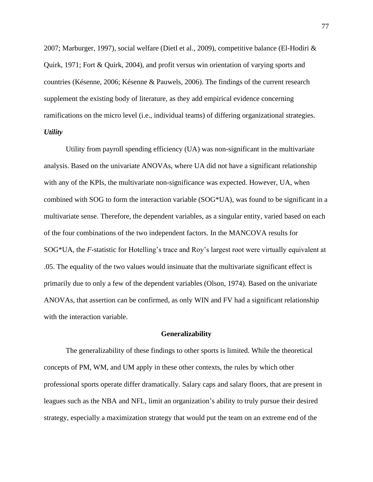2007; Marburger, 1997), social welfare (Dietl et al., 2009), competitive balance (El-Hodiri & Quirk, 1971; Fort & Quirk, 2004), and profit versus win orientation of varying sports and countries (Késenne, 2006; Késenne & Pauwels, 2006). The findings of the current research supplement the existing body of literature, as they add empirical evidence concerning ramifications on the micro level (i.e., individual teams) of differing organizational strategies. *Utility*

Utility from payroll spending efficiency (UA) was non-significant in the multivariate analysis. Based on the univariate ANOVAs, where UA did not have a significant relationship with any of the KPIs, the multivariate non-significance was expected. However, UA, when combined with SOG to form the interaction variable (SOG\*UA), was found to be significant in a multivariate sense. Therefore, the dependent variables, as a singular entity, varied based on each of the four combinations of the two independent factors. In the MANCOVA results for SOG\*UA, the *F*-statistic for Hotelling's trace and Roy's largest root were virtually equivalent at .05. The equality of the two values would insinuate that the multivariate significant effect is primarily due to only a few of the dependent variables (Olson, 1974). Based on the univariate ANOVAs, that assertion can be confirmed, as only WIN and FV had a significant relationship with the interaction variable.

#### **Generalizability**

The generalizability of these findings to other sports is limited. While the theoretical concepts of PM, WM, and UM apply in these other contexts, the rules by which other professional sports operate differ dramatically. Salary caps and salary floors, that are present in leagues such as the NBA and NFL, limit an organization's ability to truly pursue their desired strategy, especially a maximization strategy that would put the team on an extreme end of the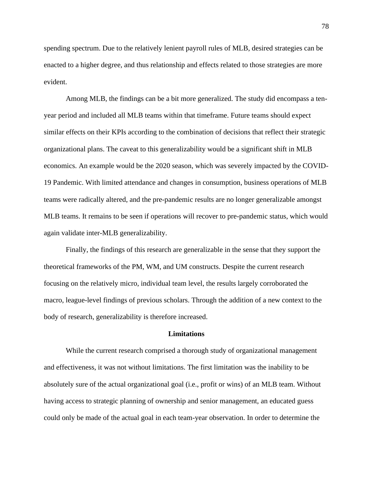spending spectrum. Due to the relatively lenient payroll rules of MLB, desired strategies can be enacted to a higher degree, and thus relationship and effects related to those strategies are more evident.

Among MLB, the findings can be a bit more generalized. The study did encompass a tenyear period and included all MLB teams within that timeframe. Future teams should expect similar effects on their KPIs according to the combination of decisions that reflect their strategic organizational plans. The caveat to this generalizability would be a significant shift in MLB economics. An example would be the 2020 season, which was severely impacted by the COVID-19 Pandemic. With limited attendance and changes in consumption, business operations of MLB teams were radically altered, and the pre-pandemic results are no longer generalizable amongst MLB teams. It remains to be seen if operations will recover to pre-pandemic status, which would again validate inter-MLB generalizability.

Finally, the findings of this research are generalizable in the sense that they support the theoretical frameworks of the PM, WM, and UM constructs. Despite the current research focusing on the relatively micro, individual team level, the results largely corroborated the macro, league-level findings of previous scholars. Through the addition of a new context to the body of research, generalizability is therefore increased.

## **Limitations**

While the current research comprised a thorough study of organizational management and effectiveness, it was not without limitations. The first limitation was the inability to be absolutely sure of the actual organizational goal (i.e., profit or wins) of an MLB team. Without having access to strategic planning of ownership and senior management, an educated guess could only be made of the actual goal in each team-year observation. In order to determine the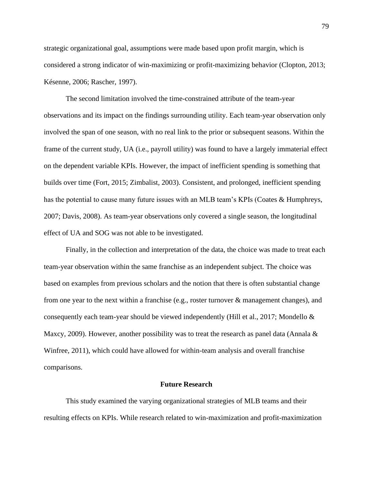strategic organizational goal, assumptions were made based upon profit margin, which is considered a strong indicator of win-maximizing or profit-maximizing behavior (Clopton, 2013; Késenne, 2006; Rascher, 1997).

The second limitation involved the time-constrained attribute of the team-year observations and its impact on the findings surrounding utility. Each team-year observation only involved the span of one season, with no real link to the prior or subsequent seasons. Within the frame of the current study, UA (i.e., payroll utility) was found to have a largely immaterial effect on the dependent variable KPIs. However, the impact of inefficient spending is something that builds over time (Fort, 2015; Zimbalist, 2003). Consistent, and prolonged, inefficient spending has the potential to cause many future issues with an MLB team's KPIs (Coates & Humphreys, 2007; Davis, 2008). As team-year observations only covered a single season, the longitudinal effect of UA and SOG was not able to be investigated.

Finally, in the collection and interpretation of the data, the choice was made to treat each team-year observation within the same franchise as an independent subject. The choice was based on examples from previous scholars and the notion that there is often substantial change from one year to the next within a franchise (e.g., roster turnover & management changes), and consequently each team-year should be viewed independently (Hill et al., 2017; Mondello & Maxcy, 2009). However, another possibility was to treat the research as panel data (Annala  $\&$ Winfree, 2011), which could have allowed for within-team analysis and overall franchise comparisons.

#### **Future Research**

This study examined the varying organizational strategies of MLB teams and their resulting effects on KPIs. While research related to win-maximization and profit-maximization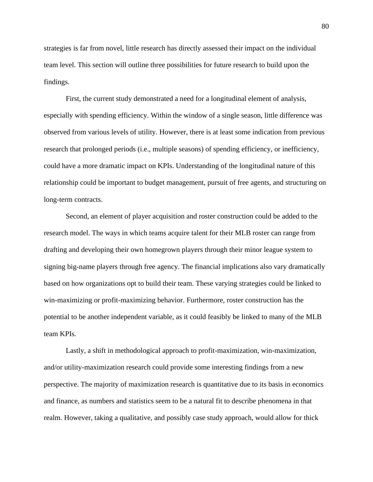strategies is far from novel, little research has directly assessed their impact on the individual team level. This section will outline three possibilities for future research to build upon the findings.

First, the current study demonstrated a need for a longitudinal element of analysis, especially with spending efficiency. Within the window of a single season, little difference was observed from various levels of utility. However, there is at least some indication from previous research that prolonged periods (i.e., multiple seasons) of spending efficiency, or inefficiency, could have a more dramatic impact on KPIs. Understanding of the longitudinal nature of this relationship could be important to budget management, pursuit of free agents, and structuring on long-term contracts.

Second, an element of player acquisition and roster construction could be added to the research model. The ways in which teams acquire talent for their MLB roster can range from drafting and developing their own homegrown players through their minor league system to signing big-name players through free agency. The financial implications also vary dramatically based on how organizations opt to build their team. These varying strategies could be linked to win-maximizing or profit-maximizing behavior. Furthermore, roster construction has the potential to be another independent variable, as it could feasibly be linked to many of the MLB team KPIs.

Lastly, a shift in methodological approach to profit-maximization, win-maximization, and/or utility-maximization research could provide some interesting findings from a new perspective. The majority of maximization research is quantitative due to its basis in economics and finance, as numbers and statistics seem to be a natural fit to describe phenomena in that realm. However, taking a qualitative, and possibly case study approach, would allow for thick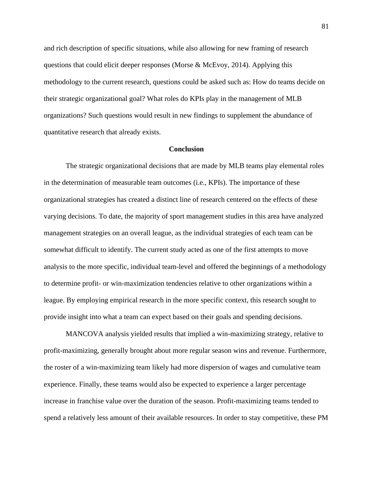and rich description of specific situations, while also allowing for new framing of research questions that could elicit deeper responses (Morse  $\&$  McEvoy, 2014). Applying this methodology to the current research, questions could be asked such as: How do teams decide on their strategic organizational goal? What roles do KPIs play in the management of MLB organizations? Such questions would result in new findings to supplement the abundance of quantitative research that already exists.

#### **Conclusion**

The strategic organizational decisions that are made by MLB teams play elemental roles in the determination of measurable team outcomes (i.e., KPIs). The importance of these organizational strategies has created a distinct line of research centered on the effects of these varying decisions. To date, the majority of sport management studies in this area have analyzed management strategies on an overall league, as the individual strategies of each team can be somewhat difficult to identify. The current study acted as one of the first attempts to move analysis to the more specific, individual team-level and offered the beginnings of a methodology to determine profit- or win-maximization tendencies relative to other organizations within a league. By employing empirical research in the more specific context, this research sought to provide insight into what a team can expect based on their goals and spending decisions.

MANCOVA analysis yielded results that implied a win-maximizing strategy, relative to profit-maximizing, generally brought about more regular season wins and revenue. Furthermore, the roster of a win-maximizing team likely had more dispersion of wages and cumulative team experience. Finally, these teams would also be expected to experience a larger percentage increase in franchise value over the duration of the season. Profit-maximizing teams tended to spend a relatively less amount of their available resources. In order to stay competitive, these PM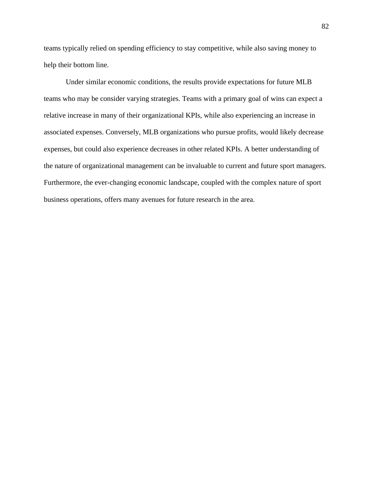teams typically relied on spending efficiency to stay competitive, while also saving money to help their bottom line.

Under similar economic conditions, the results provide expectations for future MLB teams who may be consider varying strategies. Teams with a primary goal of wins can expect a relative increase in many of their organizational KPIs, while also experiencing an increase in associated expenses. Conversely, MLB organizations who pursue profits, would likely decrease expenses, but could also experience decreases in other related KPIs. A better understanding of the nature of organizational management can be invaluable to current and future sport managers. Furthermore, the ever-changing economic landscape, coupled with the complex nature of sport business operations, offers many avenues for future research in the area.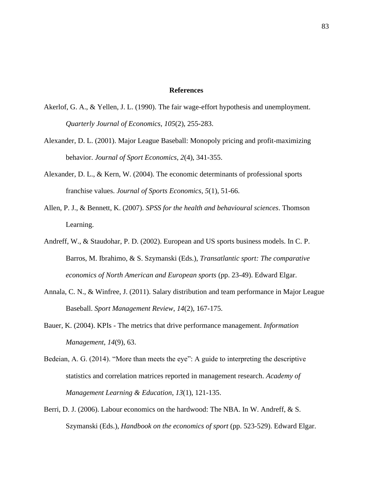#### **References**

- Akerlof, G. A., & Yellen, J. L. (1990). The fair wage-effort hypothesis and unemployment. *Quarterly Journal of Economics*, *105*(2), 255-283.
- Alexander, D. L. (2001). Major League Baseball: Monopoly pricing and profit-maximizing behavior. *Journal of Sport Economics*, *2*(4), 341-355.
- Alexander, D. L., & Kern, W. (2004). The economic determinants of professional sports franchise values. *Journal of Sports Economics*, *5*(1), 51-66.
- Allen, P. J., & Bennett, K. (2007). *SPSS for the health and behavioural sciences*. Thomson Learning.
- Andreff, W., & Staudohar, P. D. (2002). European and US sports business models. In C. P. Barros, M. Ibrahimo, & S. Szymanski (Eds.), *Transatlantic sport: The comparative economics of North American and European sports* (pp. 23-49). Edward Elgar.
- Annala, C. N., & Winfree, J. (2011). Salary distribution and team performance in Major League Baseball. *Sport Management Review*, *14*(2), 167-175.
- Bauer, K. (2004). KPIs The metrics that drive performance management. *Information Management*, *14*(9), 63.
- Bedeian, A. G. (2014). "More than meets the eye": A guide to interpreting the descriptive statistics and correlation matrices reported in management research. *Academy of Management Learning & Education*, *13*(1), 121-135.
- Berri, D. J. (2006). Labour economics on the hardwood: The NBA. In W. Andreff, & S. Szymanski (Eds.), *Handbook on the economics of sport* (pp. 523-529). Edward Elgar.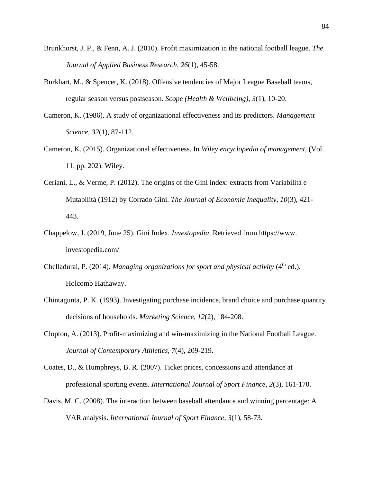- Brunkhorst, J. P., & Fenn, A. J. (2010). Profit maximization in the national football league. *The Journal of Applied Business Research*, *26*(1), 45-58.
- Burkhart, M., & Spencer, K. (2018). Offensive tendencies of Major League Baseball teams, regular season versus postseason. *Scope (Health & Wellbeing)*, *3*(1), 10-20.
- Cameron, K. (1986). A study of organizational effectiveness and its predictors. *Management Science*, *32*(1), 87-112.
- Cameron, K. (2015). Organizational effectiveness. In *Wiley encyclopedia of management*, (Vol. 11, pp. 202). Wiley.
- Ceriani, L., & Verme, P. (2012). The origins of the Gini index: extracts from Variabilità e Mutabilità (1912) by Corrado Gini. *The Journal of Economic Inequality*, *10*(3), 421- 443.
- Chappelow, J. (2019, June 25). Gini Index. *Investopedia*. Retrieved from https://www. investopedia.com/
- Chelladurai, P. (2014). *Managing organizations for sport and physical activity* (4<sup>th</sup> ed.). Holcomb Hathaway.
- Chintagunta, P. K. (1993). Investigating purchase incidence, brand choice and purchase quantity decisions of households. *Marketing Science*, *12*(2), 184-208.
- Clopton, A. (2013). Profit-maximizing and win-maximizing in the National Football League. *Journal of Contemporary Athletics*, *7*(4), 209-219.
- Coates, D., & Humphreys, B. R. (2007). Ticket prices, concessions and attendance at professional sporting events. *International Journal of Sport Finance*, *2*(3), 161-170.
- Davis, M. C. (2008). The interaction between baseball attendance and winning percentage: A VAR analysis. *International Journal of Sport Finance*, *3*(1), 58-73.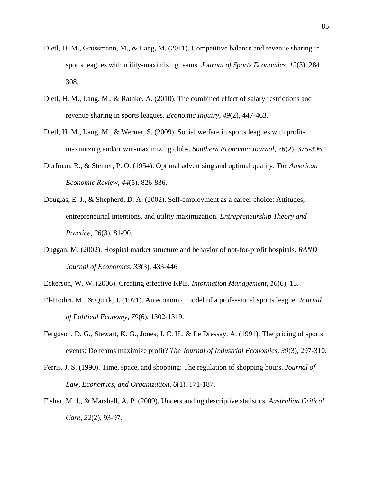- Dietl, H. M., Grossmann, M., & Lang, M. (2011). Competitive balance and revenue sharing in sports leagues with utility-maximizing teams. *Journal of Sports Economics*, *12*(3), 284 308.
- Dietl, H. M., Lang, M., & Rathke, A. (2010). The combined effect of salary restrictions and revenue sharing in sports leagues. *Economic Inquiry*, *49*(2), 447-463.
- Dietl, H. M., Lang, M., & Werner, S. (2009). Social welfare in sports leagues with profitmaximizing and/or win-maximizing clubs. *Southern Economic Journal*, *76*(2), 375-396.
- Dorfman, R., & Steiner, P. O. (1954). Optimal advertising and optimal quality. *The American Economic Review*, *44*(5), 826-836.
- Douglas, E. J., & Shepherd, D. A. (2002). Self-employment as a career choice: Attitudes, entrepreneurial intentions, and utility maximization. *Entrepreneurship Theory and Practice*, *26*(3), 81-90.
- Duggan, M. (2002). Hospital market structure and behavior of not-for-profit hospitals. *RAND Journal of Economics*, *33*(3), 433-446
- Eckerson, W. W. (2006). Creating effective KPIs. *Information Management*, *16*(6), 15.
- El-Hodiri, M., & Quirk, J. (1971). An economic model of a professional sports league. *Journal of Political Economy*, *79*(6), 1302-1319.
- Ferguson, D. G., Stewart, K. G., Jones, J. C. H., & Le Dressay, A. (1991). The pricing of sports events: Do teams maximize profit? *The Journal of Industrial Economics*, *39*(3), 297-310.
- Ferris, J. S. (1990). Time, space, and shopping: The regulation of shopping hours. *Journal of Law, Economics, and Organization*, *6*(1), 171-187.
- Fisher, M. J., & Marshall, A. P. (2009). Understanding descriptive statistics. *Australian Critical Care*, *22*(2), 93-97.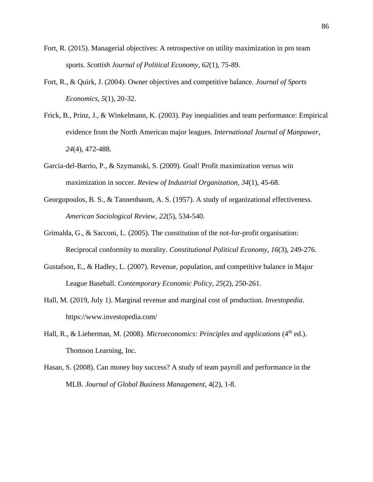- Fort, R. (2015). Managerial objectives: A retrospective on utility maximization in pro team sports. *Scottish Journal of Political Economy*, *62*(1), 75-89.
- Fort, R., & Quirk, J. (2004). Owner objectives and competitive balance. *Journal of Sports Economics*, *5*(1), 20-32.
- Frick, B., Prinz, J., & Winkelmann, K. (2003). Pay inequalities and team performance: Empirical evidence from the North American major leagues. *International Journal of Manpower*, *24*(4), 472-488.
- Garcia-del-Barrio, P., & Szymanski, S. (2009). Goal! Profit maximization versus win maximization in soccer. *Review of Industrial Organization*, *34*(1), 45-68.
- Georgopoulos, B. S., & Tannenbaum, A. S. (1957). A study of organizational effectiveness. *American Sociological Review*, *22*(5), 534-540.
- Grimalda, G., & Sacconi, L. (2005). The constitution of the not-for-profit organisation: Reciprocal conformity to morality. *Constitutional Political Economy*, *16*(3), 249-276.
- Gustafson, E., & Hadley, L. (2007). Revenue, population, and competitive balance in Major League Baseball. *Contemporary Economic Policy*, *25*(2), 250-261.
- Hall, M. (2019, July 1). Marginal revenue and marginal cost of production. *Investopedia*. https://www.investopedia.com/
- Hall, R., & Lieberman, M. (2008). *Microeconomics: Principles and applications* (4<sup>th</sup> ed.). Thomson Learning, Inc.
- Hasan, S. (2008). Can money buy success? A study of team payroll and performance in the MLB. *Journal of Global Business Management*, 4(2), 1-8.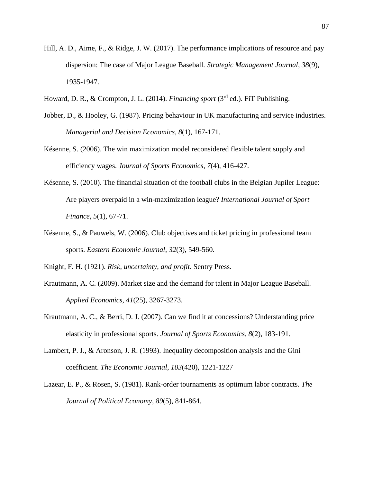- Hill, A. D., Aime, F., & Ridge, J. W. (2017). The performance implications of resource and pay dispersion: The case of Major League Baseball. *Strategic Management Journal*, *38*(9), 1935-1947.
- Howard, D. R., & Crompton, J. L. (2014). *Financing sport* (3rd ed.). FiT Publishing.
- Jobber, D., & Hooley, G. (1987). Pricing behaviour in UK manufacturing and service industries. *Managerial and Decision Economics*, *8*(1), 167-171.
- Késenne, S. (2006). The win maximization model reconsidered flexible talent supply and efficiency wages. *Journal of Sports Economics*, *7*(4), 416-427.
- Késenne, S. (2010). The financial situation of the football clubs in the Belgian Jupiler League: Are players overpaid in a win-maximization league? *International Journal of Sport Finance*, *5*(1), 67-71.
- Késenne, S., & Pauwels, W. (2006). Club objectives and ticket pricing in professional team sports. *Eastern Economic Journal*, *32*(3), 549-560.
- Knight, F. H. (1921). *Risk, uncertainty, and profit*. Sentry Press.
- Krautmann, A. C. (2009). Market size and the demand for talent in Major League Baseball. *Applied Economics*, *41*(25), 3267-3273.
- Krautmann, A. C., & Berri, D. J. (2007). Can we find it at concessions? Understanding price elasticity in professional sports. *Journal of Sports Economics*, *8*(2), 183-191.
- Lambert, P. J., & Aronson, J. R. (1993). Inequality decomposition analysis and the Gini coefficient. *The Economic Journal*, *103*(420), 1221-1227
- Lazear, E. P., & Rosen, S. (1981). Rank-order tournaments as optimum labor contracts. *The Journal of Political Economy*, *89*(5), 841-864.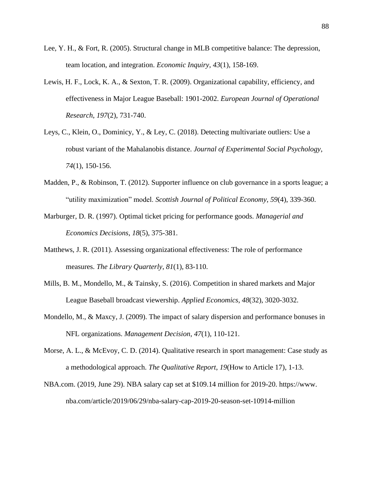- Lee, Y. H., & Fort, R. (2005). Structural change in MLB competitive balance: The depression, team location, and integration. *Economic Inquiry*, *43*(1), 158-169.
- Lewis, H. F., Lock, K. A., & Sexton, T. R. (2009). Organizational capability, efficiency, and effectiveness in Major League Baseball: 1901-2002. *European Journal of Operational Research*, *197*(2), 731-740.
- Leys, C., Klein, O., Dominicy, Y., & Ley, C. (2018). Detecting multivariate outliers: Use a robust variant of the Mahalanobis distance. *Journal of Experimental Social Psychology*, *74*(1), 150-156.
- Madden, P., & Robinson, T. (2012). Supporter influence on club governance in a sports league; a "utility maximization" model. *Scottish Journal of Political Economy*, *59*(4), 339-360.
- Marburger, D. R. (1997). Optimal ticket pricing for performance goods. *Managerial and Economics Decisions*, *18*(5), 375-381.
- Matthews, J. R. (2011). Assessing organizational effectiveness: The role of performance measures. *The Library Quarterly*, *81*(1), 83-110.
- Mills, B. M., Mondello, M., & Tainsky, S. (2016). Competition in shared markets and Major League Baseball broadcast viewership. *Applied Economics*, *48*(32), 3020-3032.
- Mondello, M., & Maxcy, J. (2009). The impact of salary dispersion and performance bonuses in NFL organizations. *Management Decision*, *47*(1), 110-121.
- Morse, A. L., & McEvoy, C. D. (2014). Qualitative research in sport management: Case study as a methodological approach. *The Qualitative Report*, *19*(How to Article 17), 1-13.
- NBA.com. (2019, June 29). NBA salary cap set at \$109.14 million for 2019-20. https://www. nba.com/article/2019/06/29/nba-salary-cap-2019-20-season-set-10914-million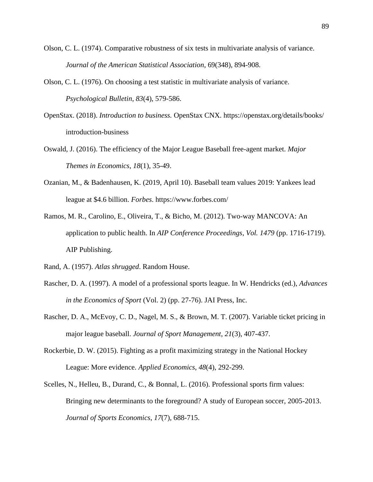- Olson, C. L. (1974). Comparative robustness of six tests in multivariate analysis of variance. *Journal of the American Statistical Association*, 69(348), 894-908.
- Olson, C. L. (1976). On choosing a test statistic in multivariate analysis of variance. *Psychological Bulletin*, *83*(4), 579-586.
- OpenStax. (2018). *Introduction to business.* OpenStax CNX. https://openstax.org/details/books/ introduction-business
- Oswald, J. (2016). The efficiency of the Major League Baseball free-agent market. *Major Themes in Economics*, *18*(1), 35-49.
- Ozanian, M., & Badenhausen, K. (2019, April 10). Baseball team values 2019: Yankees lead league at \$4.6 billion. *Forbes*. https://www.forbes.com/
- Ramos, M. R., Carolino, E., Oliveira, T., & Bicho, M. (2012). Two-way MANCOVA: An application to public health. In *AIP Conference Proceedings*, *Vol. 1479* (pp. 1716-1719). AIP Publishing.
- Rand, A. (1957). *Atlas shrugged*. Random House.
- Rascher, D. A. (1997). A model of a professional sports league. In W. Hendricks (ed.), *Advances in the Economics of Sport* (Vol. 2) (pp. 27-76). JAI Press, Inc.
- Rascher, D. A., McEvoy, C. D., Nagel, M. S., & Brown, M. T. (2007). Variable ticket pricing in major league baseball. *Journal of Sport Management*, *21*(3), 407-437.
- Rockerbie, D. W. (2015). Fighting as a profit maximizing strategy in the National Hockey League: More evidence. *Applied Economics*, *48*(4), 292-299.
- Scelles, N., Helleu, B., Durand, C., & Bonnal, L. (2016). Professional sports firm values: Bringing new determinants to the foreground? A study of European soccer, 2005-2013. *Journal of Sports Economics*, *17*(7), 688-715.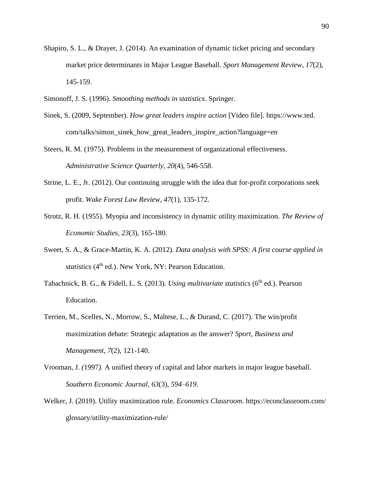- Shapiro, S. L., & Drayer, J. (2014). An examination of dynamic ticket pricing and secondary market price determinants in Major League Baseball. *Sport Management Review*, *17*(2), 145-159.
- Simonoff, J. S. (1996). *Smoothing methods in statistics*. Springer.
- Sinek, S. (2009, September). *How great leaders inspire action* [Video file]. https://www.ted. com/talks/simon\_sinek\_how\_great\_leaders\_inspire\_action?language=en
- Steers, R. M. (1975). Problems in the measurement of organizational effectiveness. *Administrative Science Quarterly*, *20*(4), 546-558.
- Strine, L. E., Jr. (2012). Our continuing struggle with the idea that for-profit corporations seek profit. *Wake Forest Law Review*, *47*(1), 135-172.
- Strotz, R. H. (1955). Myopia and inconsistency in dynamic utility maximization. *The Review of Economic Studies*, *23*(3), 165-180.
- Sweet, S. A., & Grace-Martin, K. A. (2012). *Data analysis with SPSS: A first course applied in statistics* (4<sup>th</sup> ed.). New York, NY: Pearson Education.
- Tabachnick, B. G., & Fidell, L. S. (2013). *Using multivariate statistics* (6<sup>th</sup> ed.). Pearson Education.
- Terrien, M., Scelles, N., Morrow, S., Maltese, L., & Durand, C. (2017). The win/profit maximization debate: Strategic adaptation as the answer? *Sport, Business and Management*, *7*(2), 121-140.
- Vrooman, J. *(*1997*).* A unified theory of capital and labor markets in major league baseball*. Southern Economic Journal, 63*(3)*, 594–619.*
- Welker, J. (2019). Utility maximization rule. *Economics Classroom*. https://econclassroom.com/ glossary/utility-maximization-rule/